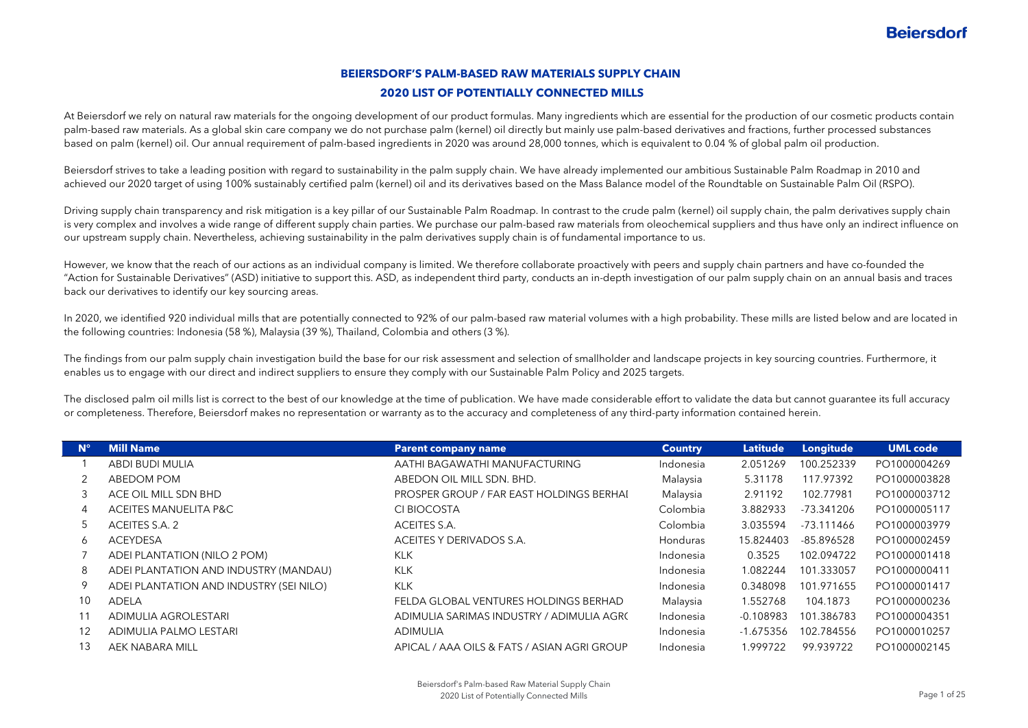#### **BEIERSDORF'S PALM-BASED RAW MATERIALS SUPPLY CHAIN 2020 LIST OF POTENTIALLY CONNECTED MILLS**

At Beiersdorf we rely on natural raw materials for the ongoing development of our product formulas. Many ingredients which are essential for the production of our cosmetic products contain palm-based raw materials. As a global skin care company we do not purchase palm (kernel) oil directly but mainly use palm-based derivatives and fractions, further processed substances based on palm (kernel) oil. Our annual requirement of palm-based ingredients in 2020 was around 28,000 tonnes, which is equivalent to 0.04 % of global palm oil production.

Beiersdorf strives to take a leading position with regard to sustainability in the palm supply chain. We have already implemented our ambitious Sustainable Palm Roadmap in 2010 and achieved our 2020 target of using 100% sustainably certified palm (kernel) oil and its derivatives based on the Mass Balance model of the Roundtable on Sustainable Palm Oil (RSPO).

Driving supply chain transparency and risk mitigation is a key pillar of our Sustainable Palm Roadmap. In contrast to the crude palm (kernel) oil supply chain, the palm derivatives supply chain is very complex and involves a wide range of different supply chain parties. We purchase our palm-based raw materials from oleochemical suppliers and thus have only an indirect influence on our upstream supply chain. Nevertheless, achieving sustainability in the palm derivatives supply chain is of fundamental importance to us.

However, we know that the reach of our actions as an individual company is limited. We therefore collaborate proactively with peers and supply chain partners and have co-founded the "Action for Sustainable Derivatives" (ASD) initiative to support this. ASD, as independent third party, conducts an in-depth investigation of our palm supply chain on an annual basis and traces back our derivatives to identify our key sourcing areas.

In 2020, we identified 920 individual mills that are potentially connected to 92% of our palm-based raw material volumes with a high probability. These mills are listed below and are located in the following countries: Indonesia (58 %), Malaysia (39 %), Thailand, Colombia and others (3 %).

The findings from our palm supply chain investigation build the base for our risk assessment and selection of smallholder and landscape projects in key sourcing countries. Furthermore, it enables us to engage with our direct and indirect suppliers to ensure they comply with our Sustainable Palm Policy and 2025 targets.

The disclosed palm oil mills list is correct to the best of our knowledge at the time of publication. We have made considerable effort to validate the data but cannot quarantee its full accuracy or completeness. Therefore, Beiersdorf makes no representation or warranty as to the accuracy and completeness of any third-party information contained herein.

| <b>N°</b> | Mill Name                               | <b>Parent company name</b>                      | <b>Country</b> | Latitude    | Longitude  | UML code     |
|-----------|-----------------------------------------|-------------------------------------------------|----------------|-------------|------------|--------------|
|           | ABDI BUDI MULIA                         | AATHI BAGAWATHI MANUFACTURING                   | Indonesia      | 2.051269    | 100.252339 | PO1000004269 |
|           | ABEDOM POM                              | ABEDON OIL MILL SDN. BHD.                       | Malaysia       | 5.31178     | 117.97392  | PO1000003828 |
| 3         | ACE OIL MILL SDN BHD                    | <b>PROSPER GROUP / FAR EAST HOLDINGS BERHAL</b> | Malaysia       | 2.91192     | 102.77981  | PO1000003712 |
| 4         | <b>ACEITES MANUELITA P&amp;C</b>        | CI BIOCOSTA                                     | Colombia       | 3.882933    | -73.341206 | PO1000005117 |
| 5         | ACEITES S.A. 2                          | ACEITES S.A.                                    | Colombia       | 3.035594    | -73.111466 | PO1000003979 |
| 6         | <b>ACEYDESA</b>                         | ACEITES Y DERIVADOS S.A.                        | Honduras       | 15.824403   | -85.896528 | PO1000002459 |
|           | ADEI PLANTATION (NILO 2 POM)            | <b>KLK</b>                                      | Indonesia      | 0.3525      | 102.094722 | PO1000001418 |
| 8         | ADEI PLANTATION AND INDUSTRY (MANDAU)   | <b>KLK</b>                                      | Indonesia      | 1.082244    | 101.333057 | PO1000000411 |
| 9         | ADEI PLANTATION AND INDUSTRY (SEI NILO) | <b>KLK</b>                                      | Indonesia      | 0.348098    | 101.971655 | PO1000001417 |
| 10        | <b>ADELA</b>                            | FELDA GLOBAL VENTURES HOLDINGS BERHAD           | Malaysia       | 1.552768    | 104.1873   | PO1000000236 |
|           | ADIMULIA AGROLESTARI                    | ADIMULIA SARIMAS INDUSTRY / ADIMULIA AGRO       | Indonesia      | $-0.108983$ | 101.386783 | PO1000004351 |
| 12        | ADIMULIA PALMO LESTARI                  | <b>ADIMULIA</b>                                 | Indonesia      | $-1.675356$ | 102.784556 | PO1000010257 |
| 13        | AEK NABARA MILL                         | APICAL / AAA OILS & FATS / ASIAN AGRI GROUP     | Indonesia      | 1.999722    | 99.939722  | PO1000002145 |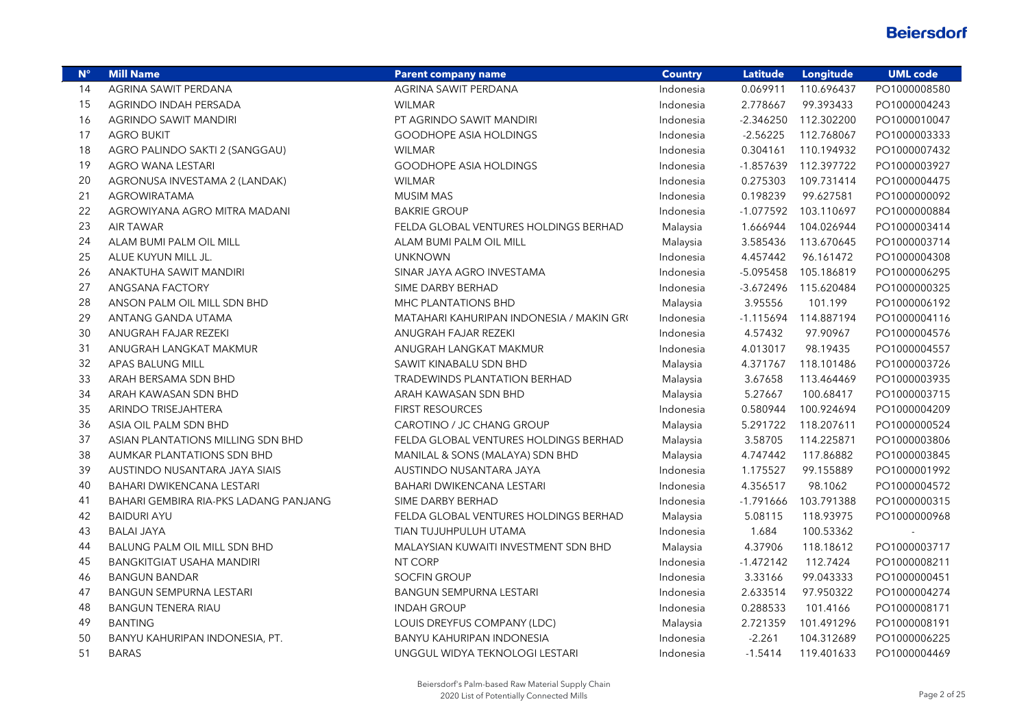| $N^{\circ}$ | <b>Mill Name</b>                      | <b>Parent company name</b>               | <b>Country</b> | <b>Latitude</b> | Longitude  | <b>UML code</b>          |
|-------------|---------------------------------------|------------------------------------------|----------------|-----------------|------------|--------------------------|
| 14          | AGRINA SAWIT PERDANA                  | AGRINA SAWIT PERDANA                     | Indonesia      | 0.069911        | 110.696437 | PO1000008580             |
| 15          | AGRINDO INDAH PERSADA                 | <b>WILMAR</b>                            | Indonesia      | 2.778667        | 99.393433  | PO1000004243             |
| 16          | <b>AGRINDO SAWIT MANDIRI</b>          | PT AGRINDO SAWIT MANDIRI                 | Indonesia      | $-2.346250$     | 112.302200 | PO1000010047             |
| 17          | <b>AGRO BUKIT</b>                     | <b>GOODHOPE ASIA HOLDINGS</b>            | Indonesia      | $-2.56225$      | 112.768067 | PO1000003333             |
| 18          | AGRO PALINDO SAKTI 2 (SANGGAU)        | <b>WILMAR</b>                            | Indonesia      | 0.304161        | 110.194932 | PO1000007432             |
| 19          | <b>AGRO WANA LESTARI</b>              | <b>GOODHOPE ASIA HOLDINGS</b>            | Indonesia      | $-1.857639$     | 112.397722 | PO1000003927             |
| 20          | AGRONUSA INVESTAMA 2 (LANDAK)         | <b>WILMAR</b>                            | Indonesia      | 0.275303        | 109.731414 | PO1000004475             |
| 21          | AGROWIRATAMA                          | <b>MUSIM MAS</b>                         | Indonesia      | 0.198239        | 99.627581  | PO1000000092             |
| 22          | AGROWIYANA AGRO MITRA MADANI          | <b>BAKRIE GROUP</b>                      | Indonesia      | $-1.077592$     | 103.110697 | PO1000000884             |
| 23          | <b>AIR TAWAR</b>                      | FELDA GLOBAL VENTURES HOLDINGS BERHAD    | Malaysia       | 1.666944        | 104.026944 | PO1000003414             |
| 24          | ALAM BUMI PALM OIL MILL               | ALAM BUMI PALM OIL MILL                  | Malaysia       | 3.585436        | 113.670645 | PO1000003714             |
| 25          | ALUE KUYUN MILL JL.                   | <b>UNKNOWN</b>                           | Indonesia      | 4.457442        | 96.161472  | PO1000004308             |
| 26          | ANAKTUHA SAWIT MANDIRI                | SINAR JAYA AGRO INVESTAMA                | Indonesia      | $-5.095458$     | 105.186819 | PO1000006295             |
| 27          | ANGSANA FACTORY                       | SIME DARBY BERHAD                        | Indonesia      | $-3.672496$     | 115.620484 | PO1000000325             |
| 28          | ANSON PALM OIL MILL SDN BHD           | <b>MHC PLANTATIONS BHD</b>               | Malaysia       | 3.95556         | 101.199    | PO1000006192             |
| 29          | ANTANG GANDA UTAMA                    | MATAHARI KAHURIPAN INDONESIA / MAKIN GRO | Indonesia      | $-1.115694$     | 114.887194 | PO1000004116             |
| 30          | ANUGRAH FAJAR REZEKI                  | ANUGRAH FAJAR REZEKI                     | Indonesia      | 4.57432         | 97.90967   | PO1000004576             |
| 31          | ANUGRAH LANGKAT MAKMUR                | ANUGRAH LANGKAT MAKMUR                   | Indonesia      | 4.013017        | 98.19435   | PO1000004557             |
| 32          | APAS BALUNG MILL                      | SAWIT KINABALU SDN BHD                   | Malaysia       | 4.371767        | 118.101486 | PO1000003726             |
| 33          | ARAH BERSAMA SDN BHD                  | TRADEWINDS PLANTATION BERHAD             | Malaysia       | 3.67658         | 113.464469 | PO1000003935             |
| 34          | ARAH KAWASAN SDN BHD                  | ARAH KAWASAN SDN BHD                     | Malaysia       | 5.27667         | 100.68417  | PO1000003715             |
| 35          | ARINDO TRISEJAHTERA                   | <b>FIRST RESOURCES</b>                   | Indonesia      | 0.580944        | 100.924694 | PO1000004209             |
| 36          | ASIA OIL PALM SDN BHD                 | CAROTINO / JC CHANG GROUP                | Malaysia       | 5.291722        | 118.207611 | PO1000000524             |
| 37          | ASIAN PLANTATIONS MILLING SDN BHD     | FELDA GLOBAL VENTURES HOLDINGS BERHAD    | Malaysia       | 3.58705         | 114.225871 | PO1000003806             |
| 38          | AUMKAR PLANTATIONS SDN BHD            | MANILAL & SONS (MALAYA) SDN BHD          | Malaysia       | 4.747442        | 117.86882  | PO1000003845             |
| 39          | AUSTINDO NUSANTARA JAYA SIAIS         | AUSTINDO NUSANTARA JAYA                  | Indonesia      | 1.175527        | 99.155889  | PO1000001992             |
| 40          | <b>BAHARI DWIKENCANA LESTARI</b>      | BAHARI DWIKENCANA LESTARI                | Indonesia      | 4.356517        | 98.1062    | PO1000004572             |
| 41          | BAHARI GEMBIRA RIA-PKS LADANG PANJANG | SIME DARBY BERHAD                        | Indonesia      | $-1.791666$     | 103.791388 | PO1000000315             |
| 42          | <b>BAIDURI AYU</b>                    | FELDA GLOBAL VENTURES HOLDINGS BERHAD    | Malaysia       | 5.08115         | 118.93975  | PO1000000968             |
| 43          | <b>BALAI JAYA</b>                     | TIAN TUJUHPULUH UTAMA                    | Indonesia      | 1.684           | 100.53362  | $\overline{\phantom{a}}$ |
| 44          | BALUNG PALM OIL MILL SDN BHD          | MALAYSIAN KUWAITI INVESTMENT SDN BHD     | Malaysia       | 4.37906         | 118.18612  | PO1000003717             |
| 45          | <b>BANGKITGIAT USAHA MANDIRI</b>      | NT CORP                                  | Indonesia      | $-1.472142$     | 112.7424   | PO1000008211             |
| 46          | <b>BANGUN BANDAR</b>                  | <b>SOCFIN GROUP</b>                      | Indonesia      | 3.33166         | 99.043333  | PO1000000451             |
| 47          | <b>BANGUN SEMPURNA LESTARI</b>        | <b>BANGUN SEMPURNA LESTARI</b>           | Indonesia      | 2.633514        | 97.950322  | PO1000004274             |
| 48          | <b>BANGUN TENERA RIAU</b>             | <b>INDAH GROUP</b>                       | Indonesia      | 0.288533        | 101.4166   | PO1000008171             |
| 49          | <b>BANTING</b>                        | LOUIS DREYFUS COMPANY (LDC)              | Malaysia       | 2.721359        | 101.491296 | PO1000008191             |
| 50          | BANYU KAHURIPAN INDONESIA, PT.        | BANYU KAHURIPAN INDONESIA                | Indonesia      | $-2.261$        | 104.312689 | PO1000006225             |
| 51          | <b>BARAS</b>                          | UNGGUL WIDYA TEKNOLOGI LESTARI           | Indonesia      | $-1.5414$       | 119.401633 | PO1000004469             |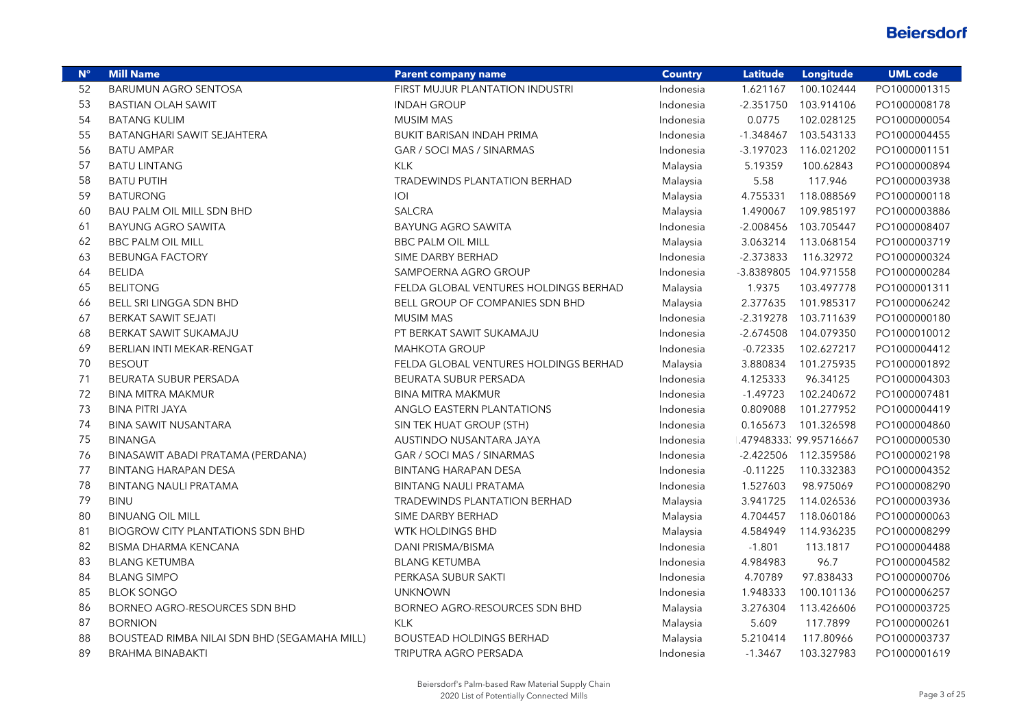| $N^{\circ}$ | <b>Mill Name</b>                             | <b>Parent company name</b>            | <b>Country</b> | <b>Latitude</b>       | Longitude              | <b>UML code</b> |
|-------------|----------------------------------------------|---------------------------------------|----------------|-----------------------|------------------------|-----------------|
| 52          | <b>BARUMUN AGRO SENTOSA</b>                  | FIRST MUJUR PLANTATION INDUSTRI       | Indonesia      | 1.621167              | 100.102444             | PO1000001315    |
| 53          | <b>BASTIAN OLAH SAWIT</b>                    | <b>INDAH GROUP</b>                    | Indonesia      | $-2.351750$           | 103.914106             | PO1000008178    |
| 54          | <b>BATANG KULIM</b>                          | <b>MUSIM MAS</b>                      | Indonesia      | 0.0775                | 102.028125             | PO1000000054    |
| 55          | BATANGHARI SAWIT SEJAHTERA                   | BUKIT BARISAN INDAH PRIMA             | Indonesia      | $-1.348467$           | 103.543133             | PO1000004455    |
| 56          | <b>BATU AMPAR</b>                            | GAR / SOCI MAS / SINARMAS             | Indonesia      | $-3.197023$           | 116.021202             | PO1000001151    |
| 57          | <b>BATU LINTANG</b>                          | <b>KLK</b>                            | Malaysia       | 5.19359               | 100.62843              | PO1000000894    |
| 58          | <b>BATU PUTIH</b>                            | TRADEWINDS PLANTATION BERHAD          | Malaysia       | 5.58                  | 117.946                | PO1000003938    |
| 59          | <b>BATURONG</b>                              | O                                     | Malaysia       | 4.755331              | 118.088569             | PO1000000118    |
| 60          | <b>BAU PALM OIL MILL SDN BHD</b>             | <b>SALCRA</b>                         | Malaysia       | 1.490067              | 109.985197             | PO1000003886    |
| 61          | <b>BAYUNG AGRO SAWITA</b>                    | <b>BAYUNG AGRO SAWITA</b>             | Indonesia      | $-2.008456$           | 103.705447             | PO1000008407    |
| 62          | <b>BBC PALM OIL MILL</b>                     | <b>BBC PALM OIL MILL</b>              | Malaysia       |                       | 3.063214 113.068154    | PO1000003719    |
| 63          | <b>BEBUNGA FACTORY</b>                       | SIME DARBY BERHAD                     | Indonesia      | $-2.373833$           | 116.32972              | PO1000000324    |
| 64          | <b>BELIDA</b>                                | SAMPOERNA AGRO GROUP                  | Indonesia      | -3.8389805 104.971558 |                        | PO1000000284    |
| 65          | <b>BELITONG</b>                              | FELDA GLOBAL VENTURES HOLDINGS BERHAD | Malaysia       | 1.9375                | 103.497778             | PO1000001311    |
| 66          | <b>BELL SRI LINGGA SDN BHD</b>               | BELL GROUP OF COMPANIES SDN BHD       | Malaysia       | 2.377635              | 101.985317             | PO1000006242    |
| 67          | <b>BERKAT SAWIT SEJATI</b>                   | <b>MUSIM MAS</b>                      | Indonesia      | $-2.319278$           | 103.711639             | PO1000000180    |
| 68          | BERKAT SAWIT SUKAMAJU                        | PT BERKAT SAWIT SUKAMAJU              | Indonesia      | $-2.674508$           | 104.079350             | PO1000010012    |
| 69          | BERLIAN INTI MEKAR-RENGAT                    | <b>MAHKOTA GROUP</b>                  | Indonesia      | $-0.72335$            | 102.627217             | PO1000004412    |
| 70          | <b>BESOUT</b>                                | FELDA GLOBAL VENTURES HOLDINGS BERHAD | Malaysia       | 3.880834              | 101.275935             | PO1000001892    |
| 71          | BEURATA SUBUR PERSADA                        | BEURATA SUBUR PERSADA                 | Indonesia      | 4.125333              | 96.34125               | PO1000004303    |
| 72          | <b>BINA MITRA MAKMUR</b>                     | <b>BINA MITRA MAKMUR</b>              | Indonesia      | $-1.49723$            | 102.240672             | PO1000007481    |
| 73          | <b>BINA PITRI JAYA</b>                       | ANGLO EASTERN PLANTATIONS             | Indonesia      | 0.809088              | 101.277952             | PO1000004419    |
| 74          | <b>BINA SAWIT NUSANTARA</b>                  | SIN TEK HUAT GROUP (STH)              | Indonesia      | 0.165673              | 101.326598             | PO1000004860    |
| 75          | <b>BINANGA</b>                               | AUSTINDO NUSANTARA JAYA               | Indonesia      |                       | .47948333. 99.95716667 | PO1000000530    |
| 76          | BINASAWIT ABADI PRATAMA (PERDANA)            | GAR / SOCI MAS / SINARMAS             | Indonesia      |                       | -2.422506 112.359586   | PO1000002198    |
| 77          | <b>BINTANG HARAPAN DESA</b>                  | <b>BINTANG HARAPAN DESA</b>           | Indonesia      | $-0.11225$            | 110.332383             | PO1000004352    |
| 78          | <b>BINTANG NAULI PRATAMA</b>                 | <b>BINTANG NAULI PRATAMA</b>          | Indonesia      | 1.527603              | 98.975069              | PO1000008290    |
| 79          | <b>BINU</b>                                  | <b>TRADEWINDS PLANTATION BERHAD</b>   | Malaysia       | 3.941725              | 114.026536             | PO1000003936    |
| 80          | <b>BINUANG OIL MILL</b>                      | SIME DARBY BERHAD                     | Malaysia       | 4.704457              | 118.060186             | PO1000000063    |
| 81          | <b>BIOGROW CITY PLANTATIONS SDN BHD</b>      | <b>WTK HOLDINGS BHD</b>               | Malaysia       | 4.584949              | 114.936235             | PO1000008299    |
| 82          | <b>BISMA DHARMA KENCANA</b>                  | DANI PRISMA/BISMA                     | Indonesia      | $-1.801$              | 113.1817               | PO1000004488    |
| 83          | <b>BLANG KETUMBA</b>                         | <b>BLANG KETUMBA</b>                  | Indonesia      | 4.984983              | 96.7                   | PO1000004582    |
| 84          | <b>BLANG SIMPO</b>                           | PERKASA SUBUR SAKTI                   | Indonesia      | 4.70789               | 97.838433              | PO1000000706    |
| 85          | <b>BLOK SONGO</b>                            | <b>UNKNOWN</b>                        | Indonesia      | 1.948333              | 100.101136             | PO1000006257    |
| 86          | <b>BORNEO AGRO-RESOURCES SDN BHD</b>         | BORNEO AGRO-RESOURCES SDN BHD         | Malaysia       | 3.276304              | 113.426606             | PO1000003725    |
| 87          | <b>BORNION</b>                               | <b>KLK</b>                            | Malaysia       | 5.609                 | 117.7899               | PO1000000261    |
| 88          | BOUSTEAD RIMBA NILAI SDN BHD (SEGAMAHA MILL) | <b>BOUSTEAD HOLDINGS BERHAD</b>       | Malaysia       | 5.210414              | 117.80966              | PO1000003737    |
| 89          | <b>BRAHMA BINABAKTI</b>                      | TRIPUTRA AGRO PERSADA                 | Indonesia      | $-1.3467$             | 103.327983             | PO1000001619    |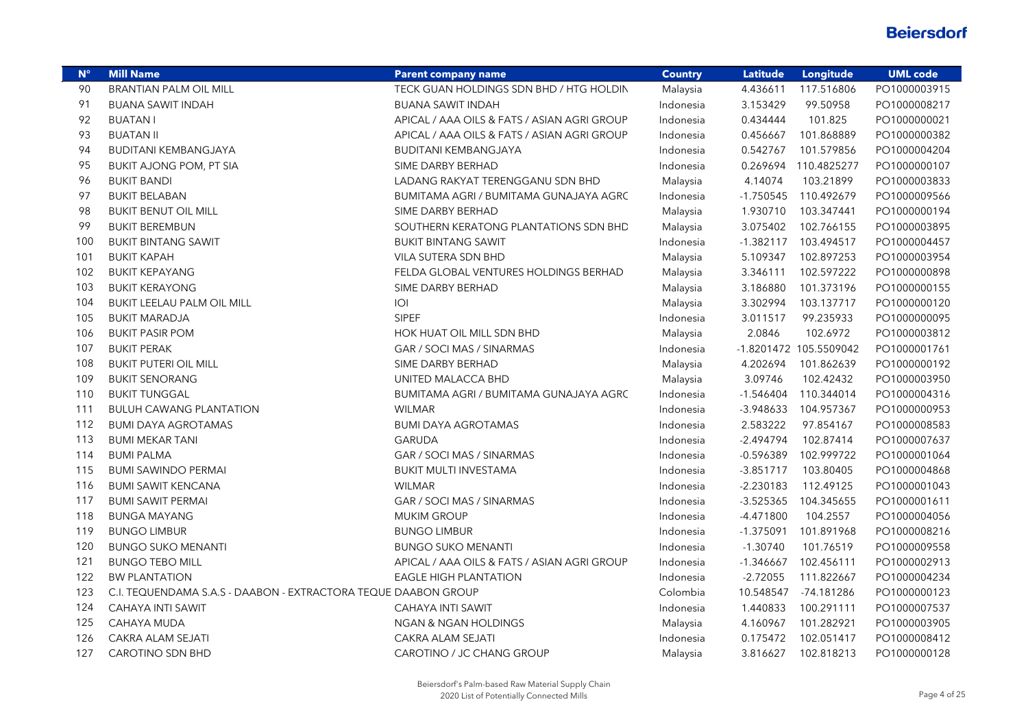| $N^{\circ}$ | <b>Mill Name</b>                                               | <b>Parent company name</b>                  | <b>Country</b> | <b>Latitude</b> | Longitude              | <b>UML code</b> |
|-------------|----------------------------------------------------------------|---------------------------------------------|----------------|-----------------|------------------------|-----------------|
| 90          | <b>BRANTIAN PALM OIL MILL</b>                                  | TECK GUAN HOLDINGS SDN BHD / HTG HOLDIN     | Malaysia       | 4.436611        | 117.516806             | PO1000003915    |
| 91          | <b>BUANA SAWIT INDAH</b>                                       | <b>BUANA SAWIT INDAH</b>                    | Indonesia      | 3.153429        | 99.50958               | PO1000008217    |
| 92          | <b>BUATAN I</b>                                                | APICAL / AAA OILS & FATS / ASIAN AGRI GROUP | Indonesia      | 0.434444        | 101.825                | PO1000000021    |
| 93          | <b>BUATAN II</b>                                               | APICAL / AAA OILS & FATS / ASIAN AGRI GROUP | Indonesia      | 0.456667        | 101.868889             | PO1000000382    |
| 94          | <b>BUDITANI KEMBANGJAYA</b>                                    | <b>BUDITANI KEMBANGJAYA</b>                 | Indonesia      | 0.542767        | 101.579856             | PO1000004204    |
| 95          | <b>BUKIT AJONG POM, PT SIA</b>                                 | SIME DARBY BERHAD                           | Indonesia      | 0.269694        | 110.4825277            | PO1000000107    |
| 96          | <b>BUKIT BANDI</b>                                             | LADANG RAKYAT TERENGGANU SDN BHD            | Malaysia       | 4.14074         | 103.21899              | PO1000003833    |
| 97          | <b>BUKIT BELABAN</b>                                           | BUMITAMA AGRI / BUMITAMA GUNAJAYA AGRC      | Indonesia      | $-1.750545$     | 110.492679             | PO1000009566    |
| 98          | <b>BUKIT BENUT OIL MILL</b>                                    | SIME DARBY BERHAD                           | Malaysia       | 1.930710        | 103.347441             | PO1000000194    |
| 99          | <b>BUKIT BEREMBUN</b>                                          | SOUTHERN KERATONG PLANTATIONS SDN BHD       | Malaysia       | 3.075402        | 102.766155             | PO1000003895    |
| 100         | <b>BUKIT BINTANG SAWIT</b>                                     | <b>BUKIT BINTANG SAWIT</b>                  | Indonesia      | $-1.382117$     | 103.494517             | PO1000004457    |
| 101         | <b>BUKIT KAPAH</b>                                             | VILA SUTERA SDN BHD                         | Malaysia       | 5.109347        | 102.897253             | PO1000003954    |
| 102         | <b>BUKIT KEPAYANG</b>                                          | FELDA GLOBAL VENTURES HOLDINGS BERHAD       | Malaysia       | 3.346111        | 102.597222             | PO1000000898    |
| 103         | <b>BUKIT KERAYONG</b>                                          | SIME DARBY BERHAD                           | Malaysia       | 3.186880        | 101.373196             | PO1000000155    |
| 104         | BUKIT LEELAU PALM OIL MILL                                     | O                                           | Malaysia       | 3.302994        | 103.137717             | PO1000000120    |
| 105         | <b>BUKIT MARADJA</b>                                           | <b>SIPEF</b>                                | Indonesia      | 3.011517        | 99.235933              | PO1000000095    |
| 106         | <b>BUKIT PASIR POM</b>                                         | HOK HUAT OIL MILL SDN BHD                   | Malaysia       | 2.0846          | 102.6972               | PO1000003812    |
| 107         | <b>BUKIT PERAK</b>                                             | GAR / SOCI MAS / SINARMAS                   | Indonesia      |                 | -1.8201472 105.5509042 | PO1000001761    |
| 108         | <b>BUKIT PUTERI OIL MILL</b>                                   | SIME DARBY BERHAD                           | Malaysia       | 4.202694        | 101.862639             | PO1000000192    |
| 109         | <b>BUKIT SENORANG</b>                                          | UNITED MALACCA BHD                          | Malaysia       | 3.09746         | 102.42432              | PO1000003950    |
| 110         | <b>BUKIT TUNGGAL</b>                                           | BUMITAMA AGRI / BUMITAMA GUNAJAYA AGRC      | Indonesia      | $-1.546404$     | 110.344014             | PO1000004316    |
| 111         | <b>BULUH CAWANG PLANTATION</b>                                 | <b>WILMAR</b>                               | Indonesia      | $-3.948633$     | 104.957367             | PO1000000953    |
| 112         | <b>BUMI DAYA AGROTAMAS</b>                                     | <b>BUMI DAYA AGROTAMAS</b>                  | Indonesia      | 2.583222        | 97.854167              | PO1000008583    |
| 113         | <b>BUMI MEKAR TANI</b>                                         | <b>GARUDA</b>                               | Indonesia      | $-2.494794$     | 102.87414              | PO1000007637    |
| 114         | <b>BUMI PALMA</b>                                              | GAR / SOCI MAS / SINARMAS                   | Indonesia      | $-0.596389$     | 102.999722             | PO1000001064    |
| 115         | <b>BUMI SAWINDO PERMAI</b>                                     | BUKIT MULTI INVESTAMA                       | Indonesia      | $-3.851717$     | 103.80405              | PO1000004868    |
| 116         | <b>BUMI SAWIT KENCANA</b>                                      | <b>WILMAR</b>                               | Indonesia      | $-2.230183$     | 112.49125              | PO1000001043    |
| 117         | <b>BUMI SAWIT PERMAI</b>                                       | GAR / SOCI MAS / SINARMAS                   | Indonesia      | $-3.525365$     | 104.345655             | PO1000001611    |
| 118         | <b>BUNGA MAYANG</b>                                            | <b>MUKIM GROUP</b>                          | Indonesia      | $-4.471800$     | 104.2557               | PO1000004056    |
| 119         | <b>BUNGO LIMBUR</b>                                            | <b>BUNGO LIMBUR</b>                         | Indonesia      | $-1.375091$     | 101.891968             | PO1000008216    |
| 120         | <b>BUNGO SUKO MENANTI</b>                                      | <b>BUNGO SUKO MENANTI</b>                   | Indonesia      | $-1.30740$      | 101.76519              | PO1000009558    |
| 121         | <b>BUNGO TEBO MILL</b>                                         | APICAL / AAA OILS & FATS / ASIAN AGRI GROUP | Indonesia      | $-1.346667$     | 102.456111             | PO1000002913    |
| 122         | <b>BW PLANTATION</b>                                           | <b>EAGLE HIGH PLANTATION</b>                | Indonesia      | $-2.72055$      | 111.822667             | PO1000004234    |
| 123         | C.I. TEQUENDAMA S.A.S - DAABON - EXTRACTORA TEQUE DAABON GROUP |                                             | Colombia       | 10.548547       | -74.181286             | PO1000000123    |
| 124         | CAHAYA INTI SAWIT                                              | CAHAYA INTI SAWIT                           | Indonesia      | 1.440833        | 100.291111             | PO1000007537    |
| 125         | CAHAYA MUDA                                                    | <b>NGAN &amp; NGAN HOLDINGS</b>             | Malaysia       | 4.160967        | 101.282921             | PO1000003905    |
| 126         | CAKRA ALAM SEJATI                                              | <b>CAKRA ALAM SEJATI</b>                    | Indonesia      | 0.175472        | 102.051417             | PO1000008412    |
| 127         | <b>CAROTINO SDN BHD</b>                                        | CAROTINO / JC CHANG GROUP                   | Malaysia       | 3.816627        | 102.818213             | PO1000000128    |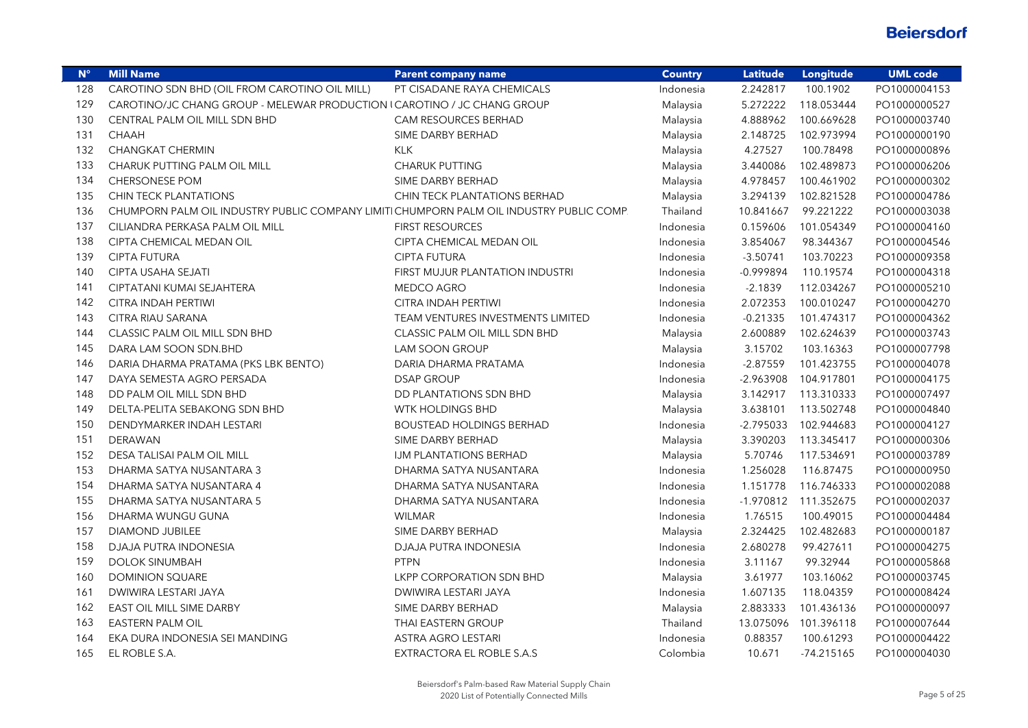| $N^{\circ}$ | <b>Mill Name</b>                                                                        | <b>Parent company name</b>          | <b>Country</b> | <b>Latitude</b> | Longitude  | <b>UML code</b> |
|-------------|-----------------------------------------------------------------------------------------|-------------------------------------|----------------|-----------------|------------|-----------------|
| 128         | CAROTINO SDN BHD (OIL FROM CAROTINO OIL MILL)                                           | PT CISADANE RAYA CHEMICALS          | Indonesia      | 2.242817        | 100.1902   | PO1000004153    |
| 129         | CAROTINO/JC CHANG GROUP - MELEWAR PRODUCTION I CAROTINO / JC CHANG GROUP                |                                     | Malaysia       | 5.272222        | 118.053444 | PO1000000527    |
| 130         | CENTRAL PALM OIL MILL SDN BHD                                                           | <b>CAM RESOURCES BERHAD</b>         | Malaysia       | 4.888962        | 100.669628 | PO1000003740    |
| 131         | <b>CHAAH</b>                                                                            | SIME DARBY BERHAD                   | Malaysia       | 2.148725        | 102.973994 | PO1000000190    |
| 132         | <b>CHANGKAT CHERMIN</b>                                                                 | <b>KLK</b>                          | Malaysia       | 4.27527         | 100.78498  | PO1000000896    |
| 133         | CHARUK PUTTING PALM OIL MILL                                                            | <b>CHARUK PUTTING</b>               | Malaysia       | 3.440086        | 102.489873 | PO1000006206    |
| 134         | <b>CHERSONESE POM</b>                                                                   | SIME DARBY BERHAD                   | Malaysia       | 4.978457        | 100.461902 | PO1000000302    |
| 135         | <b>CHIN TECK PLANTATIONS</b>                                                            | <b>CHIN TECK PLANTATIONS BERHAD</b> | Malaysia       | 3.294139        | 102.821528 | PO1000004786    |
| 136         | CHUMPORN PALM OIL INDUSTRY PUBLIC COMPANY LIMITI CHUMPORN PALM OIL INDUSTRY PUBLIC COMP |                                     | Thailand       | 10.841667       | 99.221222  | PO1000003038    |
| 137         | CILIANDRA PERKASA PALM OIL MILL                                                         | <b>FIRST RESOURCES</b>              | Indonesia      | 0.159606        | 101.054349 | PO1000004160    |
| 138         | CIPTA CHEMICAL MEDAN OIL                                                                | CIPTA CHEMICAL MEDAN OIL            | Indonesia      | 3.854067        | 98.344367  | PO1000004546    |
| 139         | <b>CIPTA FUTURA</b>                                                                     | <b>CIPTA FUTURA</b>                 | Indonesia      | $-3.50741$      | 103.70223  | PO1000009358    |
| 140         | CIPTA USAHA SEJATI                                                                      | FIRST MUJUR PLANTATION INDUSTRI     | Indonesia      | $-0.999894$     | 110.19574  | PO1000004318    |
| 141         | CIPTATANI KUMAI SEJAHTERA                                                               | MEDCO AGRO                          | Indonesia      | $-2.1839$       | 112.034267 | PO1000005210    |
| 142         | CITRA INDAH PERTIWI                                                                     | CITRA INDAH PERTIWI                 | Indonesia      | 2.072353        | 100.010247 | PO1000004270    |
| 143         | CITRA RIAU SARANA                                                                       | TEAM VENTURES INVESTMENTS LIMITED   | Indonesia      | $-0.21335$      | 101.474317 | PO1000004362    |
| 144         | CLASSIC PALM OIL MILL SDN BHD                                                           | CLASSIC PALM OIL MILL SDN BHD       | Malaysia       | 2.600889        | 102.624639 | PO1000003743    |
| 145         | DARA LAM SOON SDN.BHD                                                                   | <b>LAM SOON GROUP</b>               | Malaysia       | 3.15702         | 103.16363  | PO1000007798    |
| 146         | DARIA DHARMA PRATAMA (PKS LBK BENTO)                                                    | DARIA DHARMA PRATAMA                | Indonesia      | $-2.87559$      | 101.423755 | PO1000004078    |
| 147         | DAYA SEMESTA AGRO PERSADA                                                               | <b>DSAP GROUP</b>                   | Indonesia      | $-2.963908$     | 104.917801 | PO1000004175    |
| 148         | DD PALM OIL MILL SDN BHD                                                                | DD PLANTATIONS SDN BHD              | Malaysia       | 3.142917        | 113.310333 | PO1000007497    |
| 149         | DELTA-PELITA SEBAKONG SDN BHD                                                           | <b>WTK HOLDINGS BHD</b>             | Malaysia       | 3.638101        | 113.502748 | PO1000004840    |
| 150         | DENDYMARKER INDAH LESTARI                                                               | <b>BOUSTEAD HOLDINGS BERHAD</b>     | Indonesia      | $-2.795033$     | 102.944683 | PO1000004127    |
| 151         | DERAWAN                                                                                 | SIME DARBY BERHAD                   | Malaysia       | 3.390203        | 113.345417 | PO1000000306    |
| 152         | DESA TALISAI PALM OIL MILL                                                              | IJM PLANTATIONS BERHAD              | Malaysia       | 5.70746         | 117.534691 | PO1000003789    |
| 153         | DHARMA SATYA NUSANTARA 3                                                                | DHARMA SATYA NUSANTARA              | Indonesia      | 1.256028        | 116.87475  | PO1000000950    |
| 154         | DHARMA SATYA NUSANTARA 4                                                                | DHARMA SATYA NUSANTARA              | Indonesia      | 1.151778        | 116.746333 | PO1000002088    |
| 155         | DHARMA SATYA NUSANTARA 5                                                                | DHARMA SATYA NUSANTARA              | Indonesia      | $-1.970812$     | 111.352675 | PO1000002037    |
| 156         | DHARMA WUNGU GUNA                                                                       | <b>WILMAR</b>                       | Indonesia      | 1.76515         | 100.49015  | PO1000004484    |
| 157         | <b>DIAMOND JUBILEE</b>                                                                  | SIME DARBY BERHAD                   | Malaysia       | 2.324425        | 102.482683 | PO1000000187    |
| 158         | DJAJA PUTRA INDONESIA                                                                   | DJAJA PUTRA INDONESIA               | Indonesia      | 2.680278        | 99.427611  | PO1000004275    |
| 159         | DOLOK SINUMBAH                                                                          | <b>PTPN</b>                         | Indonesia      | 3.11167         | 99.32944   | PO1000005868    |
| 160         | DOMINION SQUARE                                                                         | <b>LKPP CORPORATION SDN BHD</b>     | Malaysia       | 3.61977         | 103.16062  | PO1000003745    |
| 161         | DWIWIRA LESTARI JAYA                                                                    | DWIWIRA LESTARI JAYA                | Indonesia      | 1.607135        | 118.04359  | PO1000008424    |
| 162         | EAST OIL MILL SIME DARBY                                                                | SIME DARBY BERHAD                   | Malaysia       | 2.883333        | 101.436136 | PO1000000097    |
| 163         | <b>EASTERN PALM OIL</b>                                                                 | THAI EASTERN GROUP                  | Thailand       | 13.075096       | 101.396118 | PO1000007644    |
| 164         | EKA DURA INDONESIA SEI MANDING                                                          | ASTRA AGRO LESTARI                  | Indonesia      | 0.88357         | 100.61293  | PO1000004422    |
| 165         | EL ROBLE S.A.                                                                           | EXTRACTORA EL ROBLE S.A.S           | Colombia       | 10.671          | -74.215165 | PO1000004030    |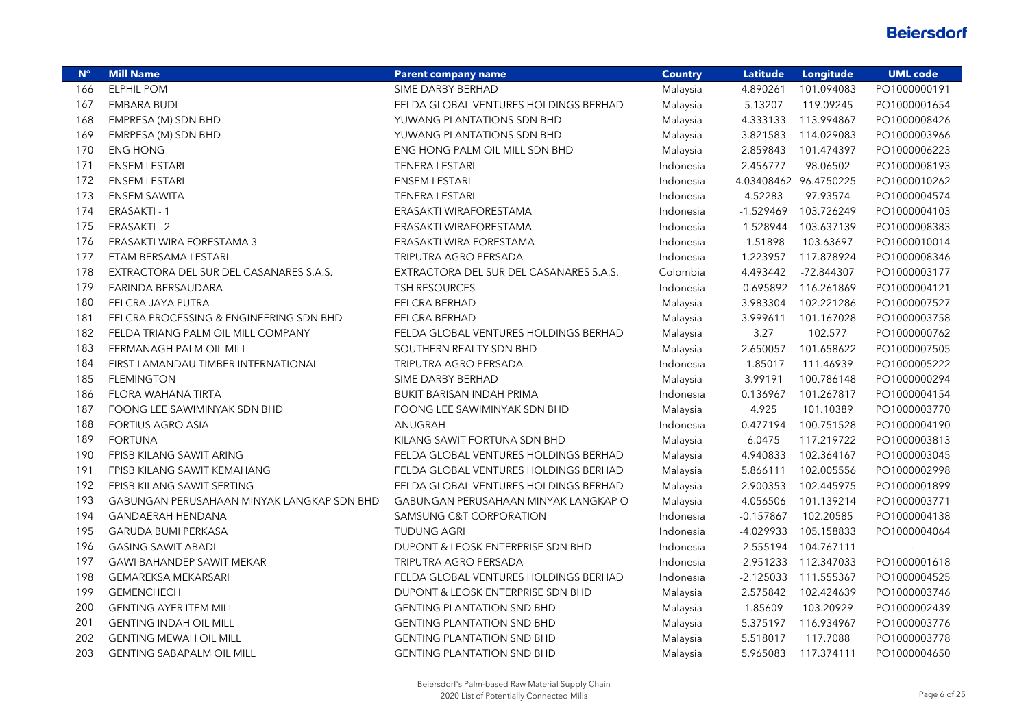| $N^{\circ}$ | <b>Mill Name</b>                           | <b>Parent company name</b>              | <b>Country</b> | <b>Latitude</b> | Longitude             | <b>UML</b> code |
|-------------|--------------------------------------------|-----------------------------------------|----------------|-----------------|-----------------------|-----------------|
| 166         | <b>ELPHIL POM</b>                          | SIME DARBY BERHAD                       | Malaysia       | 4.890261        | 101.094083            | PO1000000191    |
| 167         | <b>EMBARA BUDI</b>                         | FELDA GLOBAL VENTURES HOLDINGS BERHAD   | Malaysia       | 5.13207         | 119.09245             | PO1000001654    |
| 168         | EMPRESA (M) SDN BHD                        | YUWANG PLANTATIONS SDN BHD              | Malaysia       | 4.333133        | 113.994867            | PO1000008426    |
| 169         | EMRPESA (M) SDN BHD                        | YUWANG PLANTATIONS SDN BHD              | Malaysia       | 3.821583        | 114.029083            | PO1000003966    |
| 170         | <b>ENG HONG</b>                            | ENG HONG PALM OIL MILL SDN BHD          | Malaysia       | 2.859843        | 101.474397            | PO1000006223    |
| 171         | <b>ENSEM LESTARI</b>                       | <b>TENERA LESTARI</b>                   | Indonesia      | 2.456777        | 98.06502              | PO1000008193    |
| 172         | <b>ENSEM LESTARI</b>                       | <b>ENSEM LESTARI</b>                    | Indonesia      |                 | 4.03408462 96.4750225 | PO1000010262    |
| 173         | <b>ENSEM SAWITA</b>                        | <b>TENERA LESTARI</b>                   | Indonesia      | 4.52283         | 97.93574              | PO1000004574    |
| 174         | ERASAKTI - 1                               | ERASAKTI WIRAFORESTAMA                  | Indonesia      | $-1.529469$     | 103.726249            | PO1000004103    |
| 175         | ERASAKTI - 2                               | ERASAKTI WIRAFORESTAMA                  | Indonesia      | $-1.528944$     | 103.637139            | PO1000008383    |
| 176         | ERASAKTI WIRA FORESTAMA 3                  | ERASAKTI WIRA FORESTAMA                 | Indonesia      | $-1.51898$      | 103.63697             | PO1000010014    |
| 177         | ETAM BERSAMA LESTARI                       | TRIPUTRA AGRO PERSADA                   | Indonesia      | 1.223957        | 117.878924            | PO1000008346    |
| 178         | EXTRACTORA DEL SUR DEL CASANARES S.A.S.    | EXTRACTORA DEL SUR DEL CASANARES S.A.S. | Colombia       | 4.493442        | -72.844307            | PO1000003177    |
| 179         | FARINDA BERSAUDARA                         | <b>TSH RESOURCES</b>                    | Indonesia      | $-0.695892$     | 116.261869            | PO1000004121    |
| 180         | FELCRA JAYA PUTRA                          | <b>FELCRA BERHAD</b>                    | Malaysia       | 3.983304        | 102.221286            | PO1000007527    |
| 181         | FELCRA PROCESSING & ENGINEERING SDN BHD    | FELCRA BERHAD                           | Malaysia       | 3.999611        | 101.167028            | PO1000003758    |
| 182         | FELDA TRIANG PALM OIL MILL COMPANY         | FELDA GLOBAL VENTURES HOLDINGS BERHAD   | Malaysia       | 3.27            | 102.577               | PO1000000762    |
| 183         | FERMANAGH PALM OIL MILL                    | SOUTHERN REALTY SDN BHD                 | Malaysia       | 2.650057        | 101.658622            | PO1000007505    |
| 184         | FIRST LAMANDAU TIMBER INTERNATIONAL        | TRIPUTRA AGRO PERSADA                   | Indonesia      | $-1.85017$      | 111.46939             | PO1000005222    |
| 185         | <b>FLEMINGTON</b>                          | SIME DARBY BERHAD                       | Malaysia       | 3.99191         | 100.786148            | PO1000000294    |
| 186         | FLORA WAHANA TIRTA                         | <b>BUKIT BARISAN INDAH PRIMA</b>        | Indonesia      | 0.136967        | 101.267817            | PO1000004154    |
| 187         | FOONG LEE SAWIMINYAK SDN BHD               | FOONG LEE SAWIMINYAK SDN BHD            | Malaysia       | 4.925           | 101.10389             | PO1000003770    |
| 188         | <b>FORTIUS AGRO ASIA</b>                   | ANUGRAH                                 | Indonesia      | 0.477194        | 100.751528            | PO1000004190    |
| 189         | <b>FORTUNA</b>                             | KILANG SAWIT FORTUNA SDN BHD            | Malaysia       | 6.0475          | 117.219722            | PO1000003813    |
| 190         | FPISB KILANG SAWIT ARING                   | FELDA GLOBAL VENTURES HOLDINGS BERHAD   | Malaysia       | 4.940833        | 102.364167            | PO1000003045    |
| 191         | FPISB KILANG SAWIT KEMAHANG                | FELDA GLOBAL VENTURES HOLDINGS BERHAD   | Malaysia       | 5.866111        | 102.005556            | PO1000002998    |
| 192         | FPISB KILANG SAWIT SERTING                 | FELDA GLOBAL VENTURES HOLDINGS BERHAD   | Malaysia       | 2.900353        | 102.445975            | PO1000001899    |
| 193         | GABUNGAN PERUSAHAAN MINYAK LANGKAP SDN BHD | GABUNGAN PERUSAHAAN MINYAK LANGKAP O    | Malaysia       | 4.056506        | 101.139214            | PO1000003771    |
| 194         | <b>GANDAERAH HENDANA</b>                   | SAMSUNG C&T CORPORATION                 | Indonesia      | $-0.157867$     | 102.20585             | PO1000004138    |
| 195         | <b>GARUDA BUMI PERKASA</b>                 | <b>TUDUNG AGRI</b>                      | Indonesia      | -4.029933       | 105.158833            | PO1000004064    |
| 196         | <b>GASING SAWIT ABADI</b>                  | DUPONT & LEOSK ENTERPRISE SDN BHD       | Indonesia      | $-2.555194$     | 104.767111            |                 |
| 197         | <b>GAWI BAHANDEP SAWIT MEKAR</b>           | TRIPUTRA AGRO PERSADA                   | Indonesia      | $-2.951233$     | 112.347033            | PO1000001618    |
| 198         | <b>GEMAREKSA MEKARSARI</b>                 | FELDA GLOBAL VENTURES HOLDINGS BERHAD   | Indonesia      | $-2.125033$     | 111.555367            | PO1000004525    |
| 199         | <b>GEMENCHECH</b>                          | DUPONT & LEOSK ENTERPRISE SDN BHD       | Malaysia       | 2.575842        | 102.424639            | PO1000003746    |
| 200         | <b>GENTING AYER ITEM MILL</b>              | <b>GENTING PLANTATION SND BHD</b>       | Malaysia       | 1.85609         | 103.20929             | PO1000002439    |
| 201         | <b>GENTING INDAH OIL MILL</b>              | <b>GENTING PLANTATION SND BHD</b>       | Malaysia       | 5.375197        | 116.934967            | PO1000003776    |
| 202         | <b>GENTING MEWAH OIL MILL</b>              | <b>GENTING PLANTATION SND BHD</b>       | Malaysia       | 5.518017        | 117.7088              | PO1000003778    |
| 203         | <b>GENTING SABAPALM OIL MILL</b>           | <b>GENTING PLANTATION SND BHD</b>       | Malaysia       | 5.965083        | 117.374111            | PO1000004650    |

 $\overline{\phantom{a}}$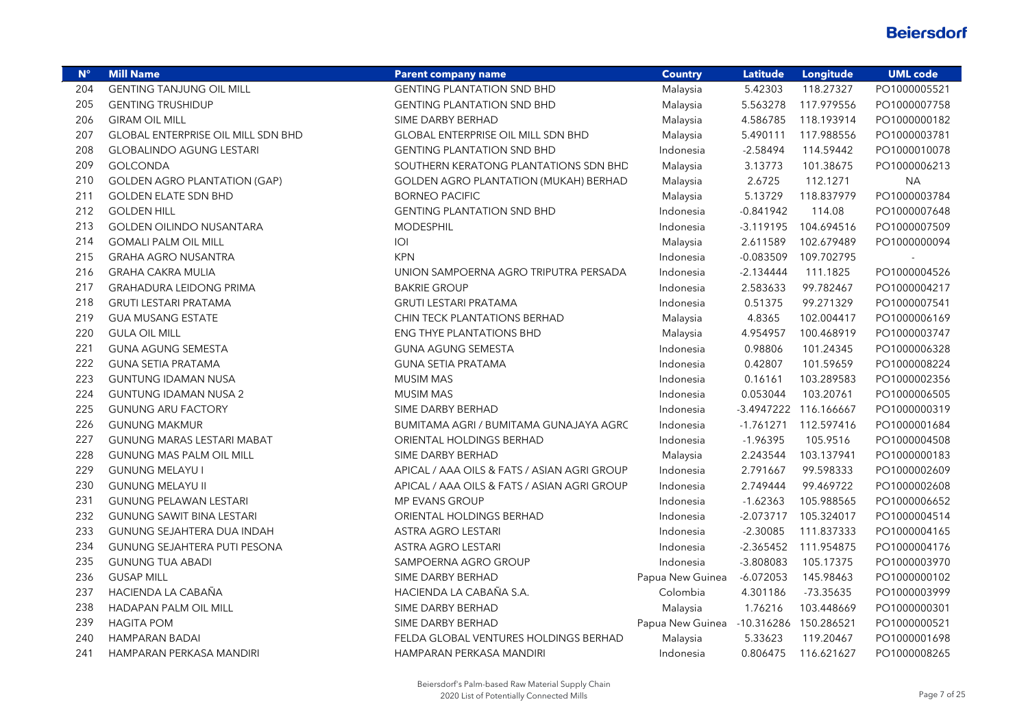| $N^{\circ}$ | <b>Mill Name</b>                          | <b>Parent company name</b>                  | <b>Country</b>   | <b>Latitude</b> | Longitude  | <b>UML code</b> |
|-------------|-------------------------------------------|---------------------------------------------|------------------|-----------------|------------|-----------------|
| 204         | <b>GENTING TANJUNG OIL MILL</b>           | <b>GENTING PLANTATION SND BHD</b>           | Malaysia         | 5.42303         | 118.27327  | PO1000005521    |
| 205         | <b>GENTING TRUSHIDUP</b>                  | <b>GENTING PLANTATION SND BHD</b>           | Malaysia         | 5.563278        | 117.979556 | PO1000007758    |
| 206         | <b>GIRAM OIL MILL</b>                     | SIME DARBY BERHAD                           | Malaysia         | 4.586785        | 118.193914 | PO1000000182    |
| 207         | <b>GLOBAL ENTERPRISE OIL MILL SDN BHD</b> | <b>GLOBAL ENTERPRISE OIL MILL SDN BHD</b>   | Malaysia         | 5.490111        | 117.988556 | PO1000003781    |
| 208         | <b>GLOBALINDO AGUNG LESTARI</b>           | <b>GENTING PLANTATION SND BHD</b>           | Indonesia        | $-2.58494$      | 114.59442  | PO1000010078    |
| 209         | <b>GOLCONDA</b>                           | SOUTHERN KERATONG PLANTATIONS SDN BHD       | Malaysia         | 3.13773         | 101.38675  | PO1000006213    |
| 210         | <b>GOLDEN AGRO PLANTATION (GAP)</b>       | GOLDEN AGRO PLANTATION (MUKAH) BERHAD       | Malaysia         | 2.6725          | 112.1271   | <b>NA</b>       |
| 211         | <b>GOLDEN ELATE SDN BHD</b>               | <b>BORNEO PACIFIC</b>                       | Malaysia         | 5.13729         | 118.837979 | PO1000003784    |
| 212         | <b>GOLDEN HILL</b>                        | <b>GENTING PLANTATION SND BHD</b>           | Indonesia        | $-0.841942$     | 114.08     | PO1000007648    |
| 213         | <b>GOLDEN OILINDO NUSANTARA</b>           | <b>MODESPHIL</b>                            | Indonesia        | $-3.119195$     | 104.694516 | PO1000007509    |
| 214         | <b>GOMALI PALM OIL MILL</b>               | O                                           | Malaysia         | 2.611589        | 102.679489 | PO1000000094    |
| 215         | <b>GRAHA AGRO NUSANTRA</b>                | <b>KPN</b>                                  | Indonesia        | $-0.083509$     | 109.702795 |                 |
| 216         | <b>GRAHA CAKRA MULIA</b>                  | UNION SAMPOERNA AGRO TRIPUTRA PERSADA       | Indonesia        | $-2.134444$     | 111.1825   | PO1000004526    |
| 217         | <b>GRAHADURA LEIDONG PRIMA</b>            | <b>BAKRIE GROUP</b>                         | Indonesia        | 2.583633        | 99.782467  | PO1000004217    |
| 218         | <b>GRUTI LESTARI PRATAMA</b>              | <b>GRUTI LESTARI PRATAMA</b>                | Indonesia        | 0.51375         | 99.271329  | PO1000007541    |
| 219         | <b>GUA MUSANG ESTATE</b>                  | CHIN TECK PLANTATIONS BERHAD                | Malaysia         | 4.8365          | 102.004417 | PO1000006169    |
| 220         | <b>GULA OIL MILL</b>                      | ENG THYE PLANTATIONS BHD                    | Malaysia         | 4.954957        | 100.468919 | PO1000003747    |
| 221         | <b>GUNA AGUNG SEMESTA</b>                 | <b>GUNA AGUNG SEMESTA</b>                   | Indonesia        | 0.98806         | 101.24345  | PO1000006328    |
| 222         | <b>GUNA SETIA PRATAMA</b>                 | <b>GUNA SETIA PRATAMA</b>                   | Indonesia        | 0.42807         | 101.59659  | PO1000008224    |
| 223         | <b>GUNTUNG IDAMAN NUSA</b>                | <b>MUSIM MAS</b>                            | Indonesia        | 0.16161         | 103.289583 | PO1000002356    |
| 224         | <b>GUNTUNG IDAMAN NUSA 2</b>              | <b>MUSIM MAS</b>                            | Indonesia        | 0.053044        | 103.20761  | PO1000006505    |
| 225         | <b>GUNUNG ARU FACTORY</b>                 | SIME DARBY BERHAD                           | Indonesia        | $-3.4947222$    | 116.166667 | PO1000000319    |
| 226         | <b>GUNUNG MAKMUR</b>                      | BUMITAMA AGRI / BUMITAMA GUNAJAYA AGRC      | Indonesia        | $-1.761271$     | 112.597416 | PO1000001684    |
| 227         | <b>GUNUNG MARAS LESTARI MABAT</b>         | ORIENTAL HOLDINGS BERHAD                    | Indonesia        | $-1.96395$      | 105.9516   | PO1000004508    |
| 228         | <b>GUNUNG MAS PALM OIL MILL</b>           | SIME DARBY BERHAD                           | Malaysia         | 2.243544        | 103.137941 | PO1000000183    |
| 229         | <b>GUNUNG MELAYU I</b>                    | APICAL / AAA OILS & FATS / ASIAN AGRI GROUP | Indonesia        | 2.791667        | 99.598333  | PO1000002609    |
| 230         | <b>GUNUNG MELAYU II</b>                   | APICAL / AAA OILS & FATS / ASIAN AGRI GROUP | Indonesia        | 2.749444        | 99.469722  | PO1000002608    |
| 231         | <b>GUNUNG PELAWAN LESTARI</b>             | MP EVANS GROUP                              | Indonesia        | $-1.62363$      | 105.988565 | PO1000006652    |
| 232         | <b>GUNUNG SAWIT BINA LESTARI</b>          | ORIENTAL HOLDINGS BERHAD                    | Indonesia        | $-2.073717$     | 105.324017 | PO1000004514    |
| 233         | <b>GUNUNG SEJAHTERA DUA INDAH</b>         | <b>ASTRA AGRO LESTARI</b>                   | Indonesia        | $-2.30085$      | 111.837333 | PO1000004165    |
| 234         | GUNUNG SEJAHTERA PUTI PESONA              | <b>ASTRA AGRO LESTARI</b>                   | Indonesia        | $-2.365452$     | 111.954875 | PO1000004176    |
| 235         | <b>GUNUNG TUA ABADI</b>                   | SAMPOERNA AGRO GROUP                        | Indonesia        | $-3.808083$     | 105.17375  | PO1000003970    |
| 236         | <b>GUSAP MILL</b>                         | SIME DARBY BERHAD                           | Papua New Guinea | $-6.072053$     | 145.98463  | PO1000000102    |
| 237         | HACIENDA LA CABAÑA                        | HACIENDA LA CABAÑA S.A.                     | Colombia         | 4.301186        | -73.35635  | PO1000003999    |
| 238         | HADAPAN PALM OIL MILL                     | SIME DARBY BERHAD                           | Malaysia         | 1.76216         | 103.448669 | PO1000000301    |
| 239         | <b>HAGITA POM</b>                         | SIME DARBY BERHAD                           | Papua New Guinea | -10.316286      | 150.286521 | PO1000000521    |
| 240         | HAMPARAN BADAI                            | FELDA GLOBAL VENTURES HOLDINGS BERHAD       | Malaysia         | 5.33623         | 119.20467  | PO1000001698    |
| 241         | HAMPARAN PERKASA MANDIRI                  | HAMPARAN PERKASA MANDIRI                    | Indonesia        | 0.806475        | 116.621627 | PO1000008265    |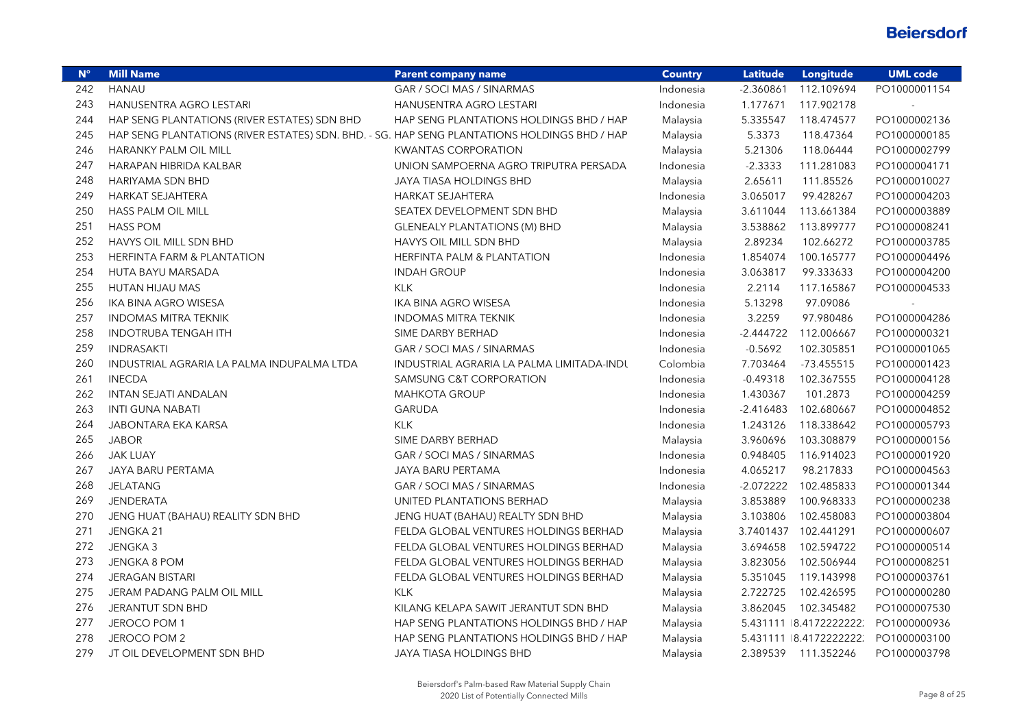| $N^{\circ}$ | <b>Mill Name</b>                                                                             | <b>Parent company name</b>                | <b>Country</b> | <b>Latitude</b> | Longitude               | <b>UML code</b> |
|-------------|----------------------------------------------------------------------------------------------|-------------------------------------------|----------------|-----------------|-------------------------|-----------------|
| 242         | <b>HANAU</b>                                                                                 | GAR / SOCI MAS / SINARMAS                 | Indonesia      | $-2.360861$     | 112.109694              | PO1000001154    |
| 243         | HANUSENTRA AGRO LESTARI                                                                      | HANUSENTRA AGRO LESTARI                   | Indonesia      | 1.177671        | 117.902178              |                 |
| 244         | HAP SENG PLANTATIONS (RIVER ESTATES) SDN BHD                                                 | HAP SENG PLANTATIONS HOLDINGS BHD / HAP   | Malaysia       | 5.335547        | 118.474577              | PO1000002136    |
| 245         | HAP SENG PLANTATIONS (RIVER ESTATES) SDN. BHD. - SG. HAP SENG PLANTATIONS HOLDINGS BHD / HAP |                                           | Malaysia       | 5.3373          | 118.47364               | PO1000000185    |
| 246         | HARANKY PALM OIL MILL                                                                        | <b>KWANTAS CORPORATION</b>                | Malaysia       | 5.21306         | 118.06444               | PO1000002799    |
| 247         | HARAPAN HIBRIDA KALBAR                                                                       | UNION SAMPOERNA AGRO TRIPUTRA PERSADA     | Indonesia      | $-2.3333$       | 111.281083              | PO1000004171    |
| 248         | HARIYAMA SDN BHD                                                                             | JAYA TIASA HOLDINGS BHD                   | Malaysia       | 2.65611         | 111.85526               | PO1000010027    |
| 249         | HARKAT SEJAHTERA                                                                             | HARKAT SEJAHTERA                          | Indonesia      | 3.065017        | 99.428267               | PO1000004203    |
| 250         | <b>HASS PALM OIL MILL</b>                                                                    | SEATEX DEVELOPMENT SDN BHD                | Malaysia       | 3.611044        | 113.661384              | PO1000003889    |
| 251         | <b>HASS POM</b>                                                                              | <b>GLENEALY PLANTATIONS (M) BHD</b>       | Malaysia       | 3.538862        | 113.899777              | PO1000008241    |
| 252         | HAVYS OIL MILL SDN BHD                                                                       | HAVYS OIL MILL SDN BHD                    | Malaysia       | 2.89234         | 102.66272               | PO1000003785    |
| 253         | HERFINTA FARM & PLANTATION                                                                   | HERFINTA PALM & PLANTATION                | Indonesia      | 1.854074        | 100.165777              | PO1000004496    |
| 254         | HUTA BAYU MARSADA                                                                            | <b>INDAH GROUP</b>                        | Indonesia      | 3.063817        | 99.333633               | PO1000004200    |
| 255         | HUTAN HIJAU MAS                                                                              | <b>KLK</b>                                | Indonesia      | 2.2114          | 117.165867              | PO1000004533    |
| 256         | IKA BINA AGRO WISESA                                                                         | IKA BINA AGRO WISESA                      | Indonesia      | 5.13298         | 97.09086                |                 |
| 257         | <b>INDOMAS MITRA TEKNIK</b>                                                                  | <b>INDOMAS MITRA TEKNIK</b>               | Indonesia      | 3.2259          | 97.980486               | PO1000004286    |
| 258         | <b>INDOTRUBA TENGAH ITH</b>                                                                  | SIME DARBY BERHAD                         | Indonesia      | $-2.444722$     | 112.006667              | PO1000000321    |
| 259         | <b>INDRASAKTI</b>                                                                            | GAR / SOCI MAS / SINARMAS                 | Indonesia      | $-0.5692$       | 102.305851              | PO1000001065    |
| 260         | INDUSTRIAL AGRARIA LA PALMA INDUPALMA LTDA                                                   | INDUSTRIAL AGRARIA LA PALMA LIMITADA-INDU | Colombia       | 7.703464        | -73.455515              | PO1000001423    |
| 261         | <b>INECDA</b>                                                                                | SAMSUNG C&T CORPORATION                   | Indonesia      | $-0.49318$      | 102.367555              | PO1000004128    |
| 262         | INTAN SEJATI ANDALAN                                                                         | <b>MAHKOTA GROUP</b>                      | Indonesia      | 1.430367        | 101.2873                | PO1000004259    |
| 263         | <b>INTI GUNA NABATI</b>                                                                      | <b>GARUDA</b>                             | Indonesia      | $-2.416483$     | 102.680667              | PO1000004852    |
| 264         | JABONTARA EKA KARSA                                                                          | <b>KLK</b>                                | Indonesia      | 1.243126        | 118.338642              | PO1000005793    |
| 265         | <b>JABOR</b>                                                                                 | SIME DARBY BERHAD                         | Malaysia       | 3.960696        | 103.308879              | PO1000000156    |
| 266         | <b>JAK LUAY</b>                                                                              | GAR / SOCI MAS / SINARMAS                 | Indonesia      | 0.948405        | 116.914023              | PO1000001920    |
| 267         | JAYA BARU PERTAMA                                                                            | JAYA BARU PERTAMA                         | Indonesia      | 4.065217        | 98.217833               | PO1000004563    |
| 268         | <b>JELATANG</b>                                                                              | GAR / SOCI MAS / SINARMAS                 | Indonesia      | $-2.072222$     | 102.485833              | PO1000001344    |
| 269         | <b>JENDERATA</b>                                                                             | UNITED PLANTATIONS BERHAD                 | Malaysia       | 3.853889        | 100.968333              | PO1000000238    |
| 270         | JENG HUAT (BAHAU) REALITY SDN BHD                                                            | JENG HUAT (BAHAU) REALTY SDN BHD          | Malaysia       | 3.103806        | 102.458083              | PO1000003804    |
| 271         | JENGKA 21                                                                                    | FELDA GLOBAL VENTURES HOLDINGS BERHAD     | Malaysia       |                 | 3.7401437 102.441291    | PO1000000607    |
| 272         | JENGKA 3                                                                                     | FELDA GLOBAL VENTURES HOLDINGS BERHAD     | Malaysia       | 3.694658        | 102.594722              | PO1000000514    |
| 273         | <b>JENGKA 8 POM</b>                                                                          | FELDA GLOBAL VENTURES HOLDINGS BERHAD     | Malaysia       | 3.823056        | 102.506944              | PO1000008251    |
| 274         | <b>JERAGAN BISTARI</b>                                                                       | FELDA GLOBAL VENTURES HOLDINGS BERHAD     | Malaysia       | 5.351045        | 119.143998              | PO1000003761    |
| 275         | JERAM PADANG PALM OIL MILL                                                                   | <b>KLK</b>                                | Malaysia       | 2.722725        | 102.426595              | PO1000000280    |
| 276         | JERANTUT SDN BHD                                                                             | KILANG KELAPA SAWIT JERANTUT SDN BHD      | Malaysia       | 3.862045        | 102.345482              | PO1000007530    |
| 277         | JEROCO POM 1                                                                                 | HAP SENG PLANTATIONS HOLDINGS BHD / HAP   | Malaysia       |                 | 5.431111 8.41722222222: | PO1000000936    |
| 278         | JEROCO POM 2                                                                                 | HAP SENG PLANTATIONS HOLDINGS BHD / HAP   | Malaysia       |                 | 5.431111 8.41722222222. | PO1000003100    |
| 279         | JT OIL DEVELOPMENT SDN BHD                                                                   | JAYA TIASA HOLDINGS BHD                   | Malaysia       | 2.389539        | 111.352246              | PO1000003798    |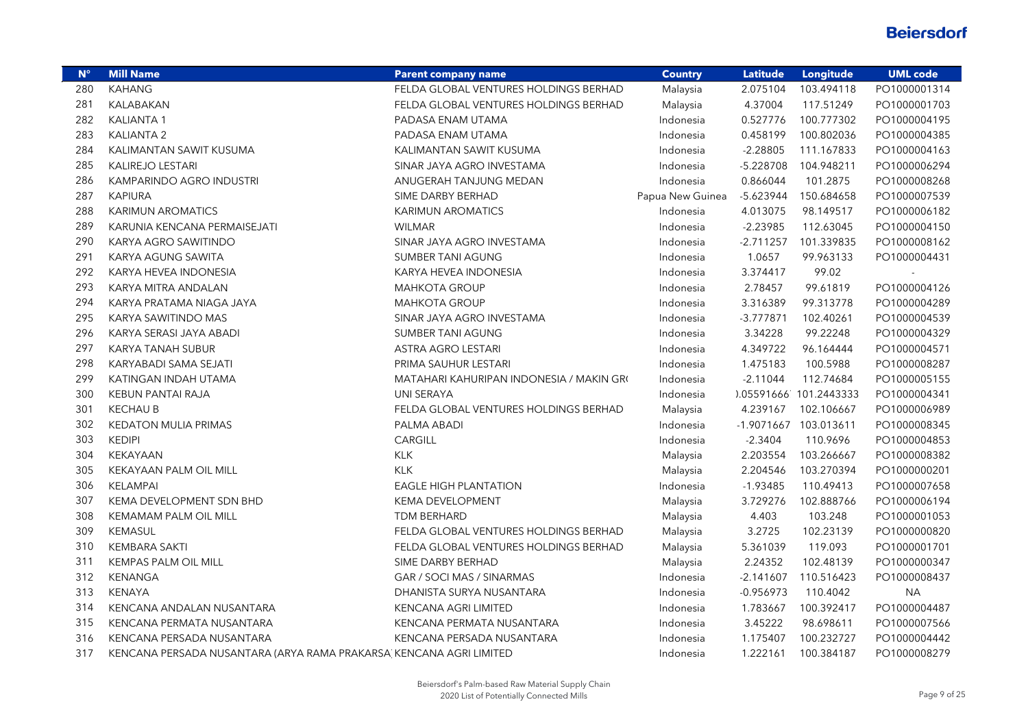| $N^{\circ}$ | <b>Mill Name</b>                                                   | <b>Parent company name</b>               | <b>Country</b>   | <b>Latitude</b> | Longitude              | <b>UML code</b> |
|-------------|--------------------------------------------------------------------|------------------------------------------|------------------|-----------------|------------------------|-----------------|
| 280         | <b>KAHANG</b>                                                      | FELDA GLOBAL VENTURES HOLDINGS BERHAD    | Malaysia         | 2.075104        | 103.494118             | PO1000001314    |
| 281         | <b>KALABAKAN</b>                                                   | FELDA GLOBAL VENTURES HOLDINGS BERHAD    | Malaysia         | 4.37004         | 117.51249              | PO1000001703    |
| 282         | <b>KALIANTA1</b>                                                   | PADASA ENAM UTAMA                        | Indonesia        | 0.527776        | 100.777302             | PO1000004195    |
| 283         | <b>KALIANTA 2</b>                                                  | PADASA ENAM UTAMA                        | Indonesia        | 0.458199        | 100.802036             | PO1000004385    |
| 284         | KALIMANTAN SAWIT KUSUMA                                            | KALIMANTAN SAWIT KUSUMA                  | Indonesia        | $-2.28805$      | 111.167833             | PO1000004163    |
| 285         | <b>KALIREJO LESTARI</b>                                            | SINAR JAYA AGRO INVESTAMA                | Indonesia        | $-5.228708$     | 104.948211             | PO1000006294    |
| 286         | KAMPARINDO AGRO INDUSTRI                                           | ANUGERAH TANJUNG MEDAN                   | Indonesia        | 0.866044        | 101.2875               | PO1000008268    |
| 287         | <b>KAPIURA</b>                                                     | SIME DARBY BERHAD                        | Papua New Guinea | $-5.623944$     | 150.684658             | PO1000007539    |
| 288         | <b>KARIMUN AROMATICS</b>                                           | <b>KARIMUN AROMATICS</b>                 | Indonesia        | 4.013075        | 98.149517              | PO1000006182    |
| 289         | KARUNIA KENCANA PERMAISEJATI                                       | <b>WILMAR</b>                            | Indonesia        | $-2.23985$      | 112.63045              | PO1000004150    |
| 290         | KARYA AGRO SAWITINDO                                               | SINAR JAYA AGRO INVESTAMA                | Indonesia        | $-2.711257$     | 101.339835             | PO1000008162    |
| 291         | KARYA AGUNG SAWITA                                                 | SUMBER TANI AGUNG                        | Indonesia        | 1.0657          | 99.963133              | PO1000004431    |
| 292         | KARYA HEVEA INDONESIA                                              | KARYA HEVEA INDONESIA                    | Indonesia        | 3.374417        | 99.02                  |                 |
| 293         | KARYA MITRA ANDALAN                                                | <b>MAHKOTA GROUP</b>                     | Indonesia        | 2.78457         | 99.61819               | PO1000004126    |
| 294         | KARYA PRATAMA NIAGA JAYA                                           | <b>MAHKOTA GROUP</b>                     | Indonesia        | 3.316389        | 99.313778              | PO1000004289    |
| 295         | KARYA SAWITINDO MAS                                                | SINAR JAYA AGRO INVESTAMA                | Indonesia        | $-3.777871$     | 102.40261              | PO1000004539    |
| 296         | KARYA SERASI JAYA ABADI                                            | SUMBER TANI AGUNG                        | Indonesia        | 3.34228         | 99.22248               | PO1000004329    |
| 297         | <b>KARYA TANAH SUBUR</b>                                           | ASTRA AGRO LESTARI                       | Indonesia        | 4.349722        | 96.164444              | PO1000004571    |
| 298         | KARYABADI SAMA SEJATI                                              | PRIMA SAUHUR LESTARI                     | Indonesia        | 1.475183        | 100.5988               | PO1000008287    |
| 299         | KATINGAN INDAH UTAMA                                               | MATAHARI KAHURIPAN INDONESIA / MAKIN GRO | Indonesia        | $-2.11044$      | 112.74684              | PO1000005155    |
| 300         | KEBUN PANTAI RAJA                                                  | UNI SERAYA                               | Indonesia        |                 | 1.05591666 101.2443333 | PO1000004341    |
| 301         | <b>KECHAU B</b>                                                    | FELDA GLOBAL VENTURES HOLDINGS BERHAD    | Malaysia         | 4.239167        | 102.106667             | PO1000006989    |
| 302         | <b>KEDATON MULIA PRIMAS</b>                                        | PALMA ABADI                              | Indonesia        | $-1.9071667$    | 103.013611             | PO1000008345    |
| 303         | <b>KEDIPI</b>                                                      | CARGILL                                  | Indonesia        | $-2.3404$       | 110.9696               | PO1000004853    |
| 304         | KEKAYAAN                                                           | <b>KLK</b>                               | Malaysia         | 2.203554        | 103.266667             | PO1000008382    |
| 305         | <b>KEKAYAAN PALM OIL MILL</b>                                      | <b>KLK</b>                               | Malaysia         | 2.204546        | 103.270394             | PO1000000201    |
| 306         | KELAMPAI                                                           | <b>EAGLE HIGH PLANTATION</b>             | Indonesia        | $-1.93485$      | 110.49413              | PO1000007658    |
| 307         | KEMA DEVELOPMENT SDN BHD                                           | <b>KEMA DEVELOPMENT</b>                  | Malaysia         | 3.729276        | 102.888766             | PO1000006194    |
| 308         | <b>KEMAMAM PALM OIL MILL</b>                                       | TDM BERHARD                              | Malaysia         | 4.403           | 103.248                | PO1000001053    |
| 309         | <b>KEMASUL</b>                                                     | FELDA GLOBAL VENTURES HOLDINGS BERHAD    | Malaysia         | 3.2725          | 102.23139              | PO1000000820    |
| 310         | <b>KEMBARA SAKTI</b>                                               | FELDA GLOBAL VENTURES HOLDINGS BERHAD    | Malaysia         | 5.361039        | 119.093                | PO1000001701    |
| 311         | <b>KEMPAS PALM OIL MILL</b>                                        | SIME DARBY BERHAD                        | Malaysia         | 2.24352         | 102.48139              | PO1000000347    |
| 312         | KENANGA                                                            | GAR / SOCI MAS / SINARMAS                | Indonesia        | $-2.141607$     | 110.516423             | PO1000008437    |
| 313         | <b>KENAYA</b>                                                      | DHANISTA SURYA NUSANTARA                 | Indonesia        | $-0.956973$     | 110.4042               | <b>NA</b>       |
| 314         | KENCANA ANDALAN NUSANTARA                                          | KENCANA AGRI LIMITED                     | Indonesia        | 1.783667        | 100.392417             | PO1000004487    |
| 315         | KENCANA PERMATA NUSANTARA                                          | KENCANA PERMATA NUSANTARA                | Indonesia        | 3.45222         | 98.698611              | PO1000007566    |
| 316         | KENCANA PERSADA NUSANTARA                                          | KENCANA PERSADA NUSANTARA                | Indonesia        | 1.175407        | 100.232727             | PO1000004442    |
| 317         | KENCANA PERSADA NUSANTARA (ARYA RAMA PRAKARSA KENCANA AGRI LIMITED |                                          | Indonesia        | 1.222161        | 100.384187             | PO1000008279    |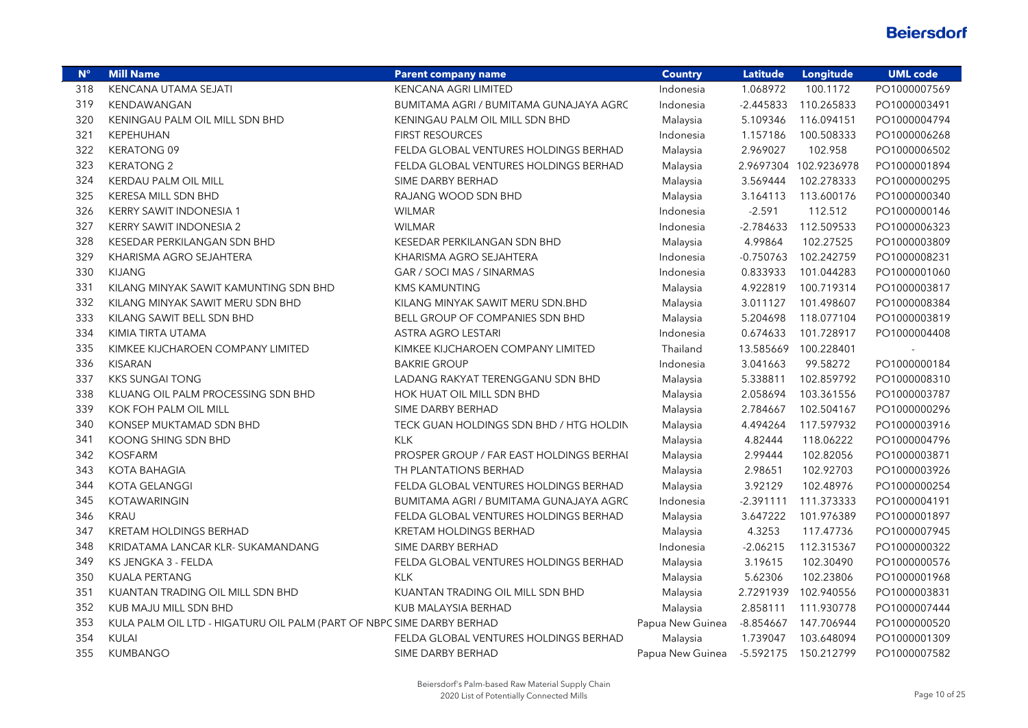| $N^{\circ}$ | <b>Mill Name</b>                                                      | <b>Parent company name</b>               | <b>Country</b>   | <b>Latitude</b> | Longitude             | <b>UML code</b> |
|-------------|-----------------------------------------------------------------------|------------------------------------------|------------------|-----------------|-----------------------|-----------------|
| 318         | KENCANA UTAMA SEJATI                                                  | <b>KENCANA AGRI LIMITED</b>              | Indonesia        | 1.068972        | 100.1172              | PO1000007569    |
| 319         | KENDAWANGAN                                                           | BUMITAMA AGRI / BUMITAMA GUNAJAYA AGRC   | Indonesia        | $-2.445833$     | 110.265833            | PO1000003491    |
| 320         | KENINGAU PALM OIL MILL SDN BHD                                        | KENINGAU PALM OIL MILL SDN BHD           | Malaysia         | 5.109346        | 116.094151            | PO1000004794    |
| 321         | KEPEHUHAN                                                             | <b>FIRST RESOURCES</b>                   | Indonesia        | 1.157186        | 100.508333            | PO1000006268    |
| 322         | <b>KERATONG 09</b>                                                    | FELDA GLOBAL VENTURES HOLDINGS BERHAD    | Malaysia         | 2.969027        | 102.958               | PO1000006502    |
| 323         | <b>KERATONG 2</b>                                                     | FELDA GLOBAL VENTURES HOLDINGS BERHAD    | Malaysia         |                 | 2.9697304 102.9236978 | PO1000001894    |
| 324         | <b>KERDAU PALM OIL MILL</b>                                           | SIME DARBY BERHAD                        | Malaysia         | 3.569444        | 102.278333            | PO1000000295    |
| 325         | KERESA MILL SDN BHD                                                   | RAJANG WOOD SDN BHD                      | Malaysia         | 3.164113        | 113.600176            | PO1000000340    |
| 326         | KERRY SAWIT INDONESIA 1                                               | <b>WILMAR</b>                            | Indonesia        | $-2.591$        | 112.512               | PO1000000146    |
| 327         | KERRY SAWIT INDONESIA 2                                               | <b>WILMAR</b>                            | Indonesia        | $-2.784633$     | 112.509533            | PO1000006323    |
| 328         | KESEDAR PERKILANGAN SDN BHD                                           | KESEDAR PERKILANGAN SDN BHD              | Malaysia         | 4.99864         | 102.27525             | PO1000003809    |
| 329         | KHARISMA AGRO SEJAHTERA                                               | KHARISMA AGRO SEJAHTERA                  | Indonesia        | $-0.750763$     | 102.242759            | PO1000008231    |
| 330         | <b>KIJANG</b>                                                         | GAR / SOCI MAS / SINARMAS                | Indonesia        | 0.833933        | 101.044283            | PO1000001060    |
| 331         | KILANG MINYAK SAWIT KAMUNTING SDN BHD                                 | <b>KMS KAMUNTING</b>                     | Malaysia         | 4.922819        | 100.719314            | PO1000003817    |
| 332         | KILANG MINYAK SAWIT MERU SDN BHD                                      | KILANG MINYAK SAWIT MERU SDN.BHD         | Malaysia         | 3.011127        | 101.498607            | PO1000008384    |
| 333         | KILANG SAWIT BELL SDN BHD                                             | BELL GROUP OF COMPANIES SDN BHD          | Malaysia         | 5.204698        | 118.077104            | PO1000003819    |
| 334         | KIMIA TIRTA UTAMA                                                     | <b>ASTRA AGRO LESTARI</b>                | Indonesia        | 0.674633        | 101.728917            | PO1000004408    |
| 335         | KIMKEE KIJCHAROEN COMPANY LIMITED                                     | KIMKEE KIJCHAROEN COMPANY LIMITED        | Thailand         | 13.585669       | 100.228401            |                 |
| 336         | <b>KISARAN</b>                                                        | <b>BAKRIE GROUP</b>                      | Indonesia        | 3.041663        | 99.58272              | PO1000000184    |
| 337         | <b>KKS SUNGAI TONG</b>                                                | LADANG RAKYAT TERENGGANU SDN BHD         | Malaysia         | 5.338811        | 102.859792            | PO1000008310    |
| 338         | KLUANG OIL PALM PROCESSING SDN BHD                                    | HOK HUAT OIL MILL SDN BHD                | Malaysia         | 2.058694        | 103.361556            | PO1000003787    |
| 339         | KOK FOH PALM OIL MILL                                                 | SIME DARBY BERHAD                        | Malaysia         | 2.784667        | 102.504167            | PO1000000296    |
| 340         | KONSEP MUKTAMAD SDN BHD                                               | TECK GUAN HOLDINGS SDN BHD / HTG HOLDIN  | Malaysia         | 4.494264        | 117.597932            | PO1000003916    |
| 341         | KOONG SHING SDN BHD                                                   | <b>KLK</b>                               | Malaysia         | 4.82444         | 118.06222             | PO1000004796    |
| 342         | <b>KOSFARM</b>                                                        | PROSPER GROUP / FAR EAST HOLDINGS BERHAI | Malaysia         | 2.99444         | 102.82056             | PO1000003871    |
| 343         | KOTA BAHAGIA                                                          | TH PLANTATIONS BERHAD                    | Malaysia         | 2.98651         | 102.92703             | PO1000003926    |
| 344         | <b>KOTA GELANGGI</b>                                                  | FELDA GLOBAL VENTURES HOLDINGS BERHAD    | Malaysia         | 3.92129         | 102.48976             | PO1000000254    |
| 345         | <b>KOTAWARINGIN</b>                                                   | BUMITAMA AGRI / BUMITAMA GUNAJAYA AGRC   | Indonesia        | $-2.391111$     | 111.373333            | PO1000004191    |
| 346         | <b>KRAU</b>                                                           | FELDA GLOBAL VENTURES HOLDINGS BERHAD    | Malaysia         | 3.647222        | 101.976389            | PO1000001897    |
| 347         | <b>KRETAM HOLDINGS BERHAD</b>                                         | <b>KRETAM HOLDINGS BERHAD</b>            | Malaysia         | 4.3253          | 117.47736             | PO1000007945    |
| 348         | KRIDATAMA LANCAR KLR- SUKAMANDANG                                     | SIME DARBY BERHAD                        | Indonesia        | $-2.06215$      | 112.315367            | PO1000000322    |
| 349         | KS JENGKA 3 - FELDA                                                   | FELDA GLOBAL VENTURES HOLDINGS BERHAD    | Malaysia         | 3.19615         | 102.30490             | PO1000000576    |
| 350         | <b>KUALA PERTANG</b>                                                  | <b>KLK</b>                               | Malaysia         | 5.62306         | 102.23806             | PO1000001968    |
| 351         | KUANTAN TRADING OIL MILL SDN BHD                                      | KUANTAN TRADING OIL MILL SDN BHD         | Malaysia         | 2.7291939       | 102.940556            | PO1000003831    |
| 352         | KUB MAJU MILL SDN BHD                                                 | KUB MALAYSIA BERHAD                      | Malaysia         | 2.858111        | 111.930778            | PO1000007444    |
| 353         | KULA PALM OIL LTD - HIGATURU OIL PALM (PART OF NBPC SIME DARBY BERHAD |                                          | Papua New Guinea | $-8.854667$     | 147.706944            | PO1000000520    |
| 354         | <b>KULAI</b>                                                          | FELDA GLOBAL VENTURES HOLDINGS BERHAD    | Malaysia         | 1.739047        | 103.648094            | PO1000001309    |
| 355         | KUMBANGO                                                              | SIME DARBY BERHAD                        | Papua New Guinea |                 | -5.592175 150.212799  | PO1000007582    |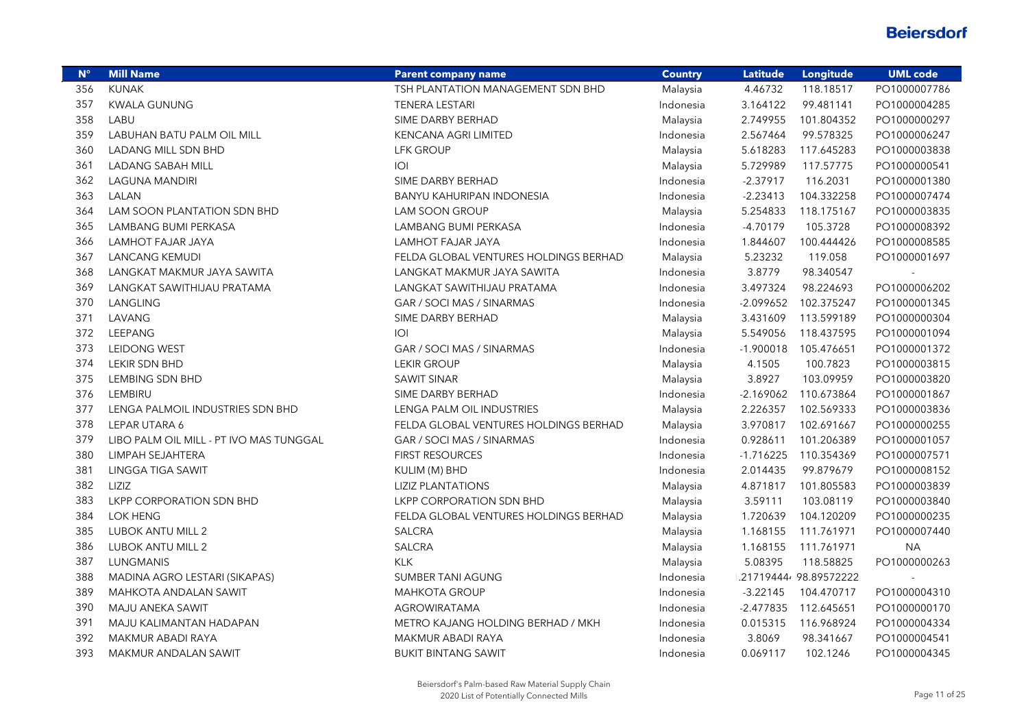| $N^{\circ}$ | <b>Mill Name</b>                        | <b>Parent company name</b>            | <b>Country</b> | <b>Latitude</b> | Longitude             | <b>UML code</b> |
|-------------|-----------------------------------------|---------------------------------------|----------------|-----------------|-----------------------|-----------------|
| 356         | <b>KUNAK</b>                            | TSH PLANTATION MANAGEMENT SDN BHD     | Malaysia       | 4.46732         | 118.18517             | PO1000007786    |
| 357         | <b>KWALA GUNUNG</b>                     | <b>TENERA LESTARI</b>                 | Indonesia      | 3.164122        | 99.481141             | PO1000004285    |
| 358         | LABU                                    | SIME DARBY BERHAD                     | Malaysia       | 2.749955        | 101.804352            | PO1000000297    |
| 359         | <b>LABUHAN BATU PALM OIL MILL</b>       | KENCANA AGRI LIMITED                  | Indonesia      | 2.567464        | 99.578325             | PO1000006247    |
| 360         | LADANG MILL SDN BHD                     | <b>LFK GROUP</b>                      | Malaysia       | 5.618283        | 117.645283            | PO1000003838    |
| 361         | <b>LADANG SABAH MILL</b>                | O                                     | Malaysia       | 5.729989        | 117.57775             | PO1000000541    |
| 362         | <b>LAGUNA MANDIRI</b>                   | SIME DARBY BERHAD                     | Indonesia      | $-2.37917$      | 116.2031              | PO1000001380    |
| 363         | <b>LALAN</b>                            | BANYU KAHURIPAN INDONESIA             | Indonesia      | $-2.23413$      | 104.332258            | PO1000007474    |
| 364         | LAM SOON PLANTATION SDN BHD             | LAM SOON GROUP                        | Malaysia       | 5.254833        | 118.175167            | PO1000003835    |
| 365         | LAMBANG BUMI PERKASA                    | LAMBANG BUMI PERKASA                  | Indonesia      | $-4.70179$      | 105.3728              | PO1000008392    |
| 366         | <b>LAMHOT FAJAR JAYA</b>                | <b>LAMHOT FAJAR JAYA</b>              | Indonesia      | 1.844607        | 100.444426            | PO1000008585    |
| 367         | <b>LANCANG KEMUDI</b>                   | FELDA GLOBAL VENTURES HOLDINGS BERHAD | Malaysia       | 5.23232         | 119.058               | PO1000001697    |
| 368         | LANGKAT MAKMUR JAYA SAWITA              | LANGKAT MAKMUR JAYA SAWITA            | Indonesia      | 3.8779          | 98.340547             | $\sim$          |
| 369         | LANGKAT SAWITHIJAU PRATAMA              | LANGKAT SAWITHIJAU PRATAMA            | Indonesia      | 3.497324        | 98.224693             | PO1000006202    |
| 370         | <b>LANGLING</b>                         | GAR / SOCI MAS / SINARMAS             | Indonesia      | $-2.099652$     | 102.375247            | PO1000001345    |
| 371         | LAVANG                                  | SIME DARBY BERHAD                     | Malaysia       | 3.431609        | 113.599189            | PO1000000304    |
| 372         | LEEPANG                                 | O                                     | Malaysia       | 5.549056        | 118.437595            | PO1000001094    |
| 373         | <b>LEIDONG WEST</b>                     | GAR / SOCI MAS / SINARMAS             | Indonesia      | $-1.900018$     | 105.476651            | PO1000001372    |
| 374         | LEKIR SDN BHD                           | <b>LEKIR GROUP</b>                    | Malaysia       | 4.1505          | 100.7823              | PO1000003815    |
| 375         | LEMBING SDN BHD                         | <b>SAWIT SINAR</b>                    | Malaysia       | 3.8927          | 103.09959             | PO1000003820    |
| 376         | LEMBIRU                                 | SIME DARBY BERHAD                     | Indonesia      | $-2.169062$     | 110.673864            | PO1000001867    |
| 377         | LENGA PALMOIL INDUSTRIES SDN BHD        | LENGA PALM OIL INDUSTRIES             | Malaysia       | 2.226357        | 102.569333            | PO1000003836    |
| 378         | LEPAR UTARA 6                           | FELDA GLOBAL VENTURES HOLDINGS BERHAD | Malaysia       | 3.970817        | 102.691667            | PO1000000255    |
| 379         | LIBO PALM OIL MILL - PT IVO MAS TUNGGAL | GAR / SOCI MAS / SINARMAS             | Indonesia      | 0.928611        | 101.206389            | PO1000001057    |
| 380         | LIMPAH SEJAHTERA                        | <b>FIRST RESOURCES</b>                | Indonesia      | $-1.716225$     | 110.354369            | PO1000007571    |
| 381         | LINGGA TIGA SAWIT                       | KULIM (M) BHD                         | Indonesia      | 2.014435        | 99.879679             | PO1000008152    |
| 382         | LIZIZ                                   | <b>LIZIZ PLANTATIONS</b>              | Malaysia       | 4.871817        | 101.805583            | PO1000003839    |
| 383         | <b>LKPP CORPORATION SDN BHD</b>         | LKPP CORPORATION SDN BHD              | Malaysia       | 3.59111         | 103.08119             | PO1000003840    |
| 384         | <b>LOK HENG</b>                         | FELDA GLOBAL VENTURES HOLDINGS BERHAD | Malaysia       | 1.720639        | 104.120209            | PO1000000235    |
| 385         | LUBOK ANTU MILL 2                       | <b>SALCRA</b>                         | Malaysia       | 1.168155        | 111.761971            | PO1000007440    |
| 386         | LUBOK ANTU MILL 2                       | <b>SALCRA</b>                         | Malaysia       | 1.168155        | 111.761971            | <b>NA</b>       |
| 387         | <b>LUNGMANIS</b>                        | <b>KLK</b>                            | Malaysia       | 5.08395         | 118.58825             | PO1000000263    |
| 388         | MADINA AGRO LESTARI (SIKAPAS)           | SUMBER TANI AGUNG                     | Indonesia      |                 | .21719444 98.89572222 |                 |
| 389         | <b>MAHKOTA ANDALAN SAWIT</b>            | <b>MAHKOTA GROUP</b>                  | Indonesia      | $-3.22145$      | 104.470717            | PO1000004310    |
| 390         | MAJU ANEKA SAWIT                        | AGROWIRATAMA                          | Indonesia      | $-2.477835$     | 112.645651            | PO1000000170    |
| 391         | MAJU KALIMANTAN HADAPAN                 | METRO KAJANG HOLDING BERHAD / MKH     | Indonesia      | 0.015315        | 116.968924            | PO1000004334    |
| 392         | MAKMUR ABADI RAYA                       | MAKMUR ABADI RAYA                     | Indonesia      | 3.8069          | 98.341667             | PO1000004541    |
| 393         | MAKMUR ANDALAN SAWIT                    | <b>BUKIT BINTANG SAWIT</b>            | Indonesia      | 0.069117        | 102.1246              | PO1000004345    |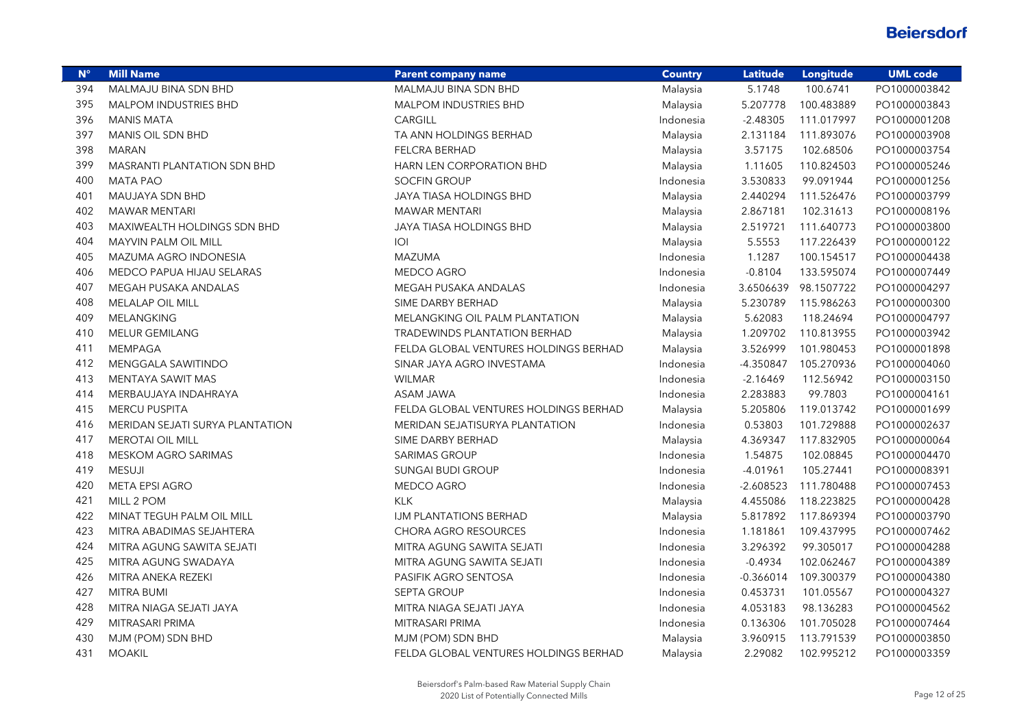| $N^{\circ}$ | <b>Mill Name</b>                | <b>Parent company name</b>            | <b>Country</b> | <b>Latitude</b> | Longitude  | <b>UML code</b> |
|-------------|---------------------------------|---------------------------------------|----------------|-----------------|------------|-----------------|
| 394         | MALMAJU BINA SDN BHD            | MALMAJU BINA SDN BHD                  | Malaysia       | 5.1748          | 100.6741   | PO1000003842    |
| 395         | <b>MALPOM INDUSTRIES BHD</b>    | <b>MALPOM INDUSTRIES BHD</b>          | Malaysia       | 5.207778        | 100.483889 | PO1000003843    |
| 396         | <b>MANIS MATA</b>               | <b>CARGILL</b>                        | Indonesia      | $-2.48305$      | 111.017997 | PO1000001208    |
| 397         | MANIS OIL SDN BHD               | TA ANN HOLDINGS BERHAD                | Malaysia       | 2.131184        | 111.893076 | PO1000003908    |
| 398         | <b>MARAN</b>                    | FELCRA BERHAD                         | Malaysia       | 3.57175         | 102.68506  | PO1000003754    |
| 399         | MASRANTI PLANTATION SDN BHD     | HARN LEN CORPORATION BHD              | Malaysia       | 1.11605         | 110.824503 | PO1000005246    |
| 400         | <b>MATA PAO</b>                 | <b>SOCFIN GROUP</b>                   | Indonesia      | 3.530833        | 99.091944  | PO1000001256    |
| 401         | MAUJAYA SDN BHD                 | JAYA TIASA HOLDINGS BHD               | Malaysia       | 2.440294        | 111.526476 | PO1000003799    |
| 402         | <b>MAWAR MENTARI</b>            | <b>MAWAR MENTARI</b>                  | Malaysia       | 2.867181        | 102.31613  | PO1000008196    |
| 403         | MAXIWEALTH HOLDINGS SDN BHD     | JAYA TIASA HOLDINGS BHD               | Malaysia       | 2.519721        | 111.640773 | PO1000003800    |
| 404         | <b>MAYVIN PALM OIL MILL</b>     | IOI                                   | Malaysia       | 5.5553          | 117.226439 | PO1000000122    |
| 405         | MAZUMA AGRO INDONESIA           | <b>MAZUMA</b>                         | Indonesia      | 1.1287          | 100.154517 | PO1000004438    |
| 406         | MEDCO PAPUA HIJAU SELARAS       | MEDCO AGRO                            | Indonesia      | $-0.8104$       | 133.595074 | PO1000007449    |
| 407         | MEGAH PUSAKA ANDALAS            | MEGAH PUSAKA ANDALAS                  | Indonesia      | 3.6506639       | 98.1507722 | PO1000004297    |
| 408         | MELALAP OIL MILL                | SIME DARBY BERHAD                     | Malaysia       | 5.230789        | 115.986263 | PO1000000300    |
| 409         | MELANGKING                      | MELANGKING OIL PALM PLANTATION        | Malaysia       | 5.62083         | 118.24694  | PO1000004797    |
| 410         | <b>MELUR GEMILANG</b>           | <b>TRADEWINDS PLANTATION BERHAD</b>   | Malaysia       | 1.209702        | 110.813955 | PO1000003942    |
| 411         | <b>MEMPAGA</b>                  | FELDA GLOBAL VENTURES HOLDINGS BERHAD | Malaysia       | 3.526999        | 101.980453 | PO1000001898    |
| 412         | MENGGALA SAWITINDO              | SINAR JAYA AGRO INVESTAMA             | Indonesia      | $-4.350847$     | 105.270936 | PO1000004060    |
| 413         | MENTAYA SAWIT MAS               | <b>WILMAR</b>                         | Indonesia      | $-2.16469$      | 112.56942  | PO1000003150    |
| 414         | MERBAUJAYA INDAHRAYA            | ASAM JAWA                             | Indonesia      | 2.283883        | 99.7803    | PO1000004161    |
| 415         | <b>MERCU PUSPITA</b>            | FELDA GLOBAL VENTURES HOLDINGS BERHAD | Malaysia       | 5.205806        | 119.013742 | PO1000001699    |
| 416         | MERIDAN SEJATI SURYA PLANTATION | MERIDAN SEJATISURYA PLANTATION        | Indonesia      | 0.53803         | 101.729888 | PO1000002637    |
| 417         | <b>MEROTAI OIL MILL</b>         | SIME DARBY BERHAD                     | Malaysia       | 4.369347        | 117.832905 | PO1000000064    |
| 418         | MESKOM AGRO SARIMAS             | <b>SARIMAS GROUP</b>                  | Indonesia      | 1.54875         | 102.08845  | PO1000004470    |
| 419         | <b>MESUJI</b>                   | <b>SUNGAI BUDI GROUP</b>              | Indonesia      | $-4.01961$      | 105.27441  | PO1000008391    |
| 420         | <b>META EPSI AGRO</b>           | MEDCO AGRO                            | Indonesia      | $-2.608523$     | 111.780488 | PO1000007453    |
| 421         | MILL 2 POM                      | <b>KLK</b>                            | Malaysia       | 4.455086        | 118.223825 | PO1000000428    |
| 422         | MINAT TEGUH PALM OIL MILL       | IJM PLANTATIONS BERHAD                | Malaysia       | 5.817892        | 117.869394 | PO1000003790    |
| 423         | MITRA ABADIMAS SEJAHTERA        | <b>CHORA AGRO RESOURCES</b>           | Indonesia      | 1.181861        | 109.437995 | PO1000007462    |
| 424         | MITRA AGUNG SAWITA SEJATI       | MITRA AGUNG SAWITA SEJATI             | Indonesia      | 3.296392        | 99.305017  | PO1000004288    |
| 425         | MITRA AGUNG SWADAYA             | MITRA AGUNG SAWITA SEJATI             | Indonesia      | $-0.4934$       | 102.062467 | PO1000004389    |
| 426         | MITRA ANEKA REZEKI              | PASIFIK AGRO SENTOSA                  | Indonesia      | $-0.366014$     | 109.300379 | PO1000004380    |
| 427         | <b>MITRA BUMI</b>               | <b>SEPTA GROUP</b>                    | Indonesia      | 0.453731        | 101.05567  | PO1000004327    |
| 428         | MITRA NIAGA SEJATI JAYA         | MITRA NIAGA SEJATI JAYA               | Indonesia      | 4.053183        | 98.136283  | PO1000004562    |
| 429         | MITRASARI PRIMA                 | MITRASARI PRIMA                       | Indonesia      | 0.136306        | 101.705028 | PO1000007464    |
| 430         | MJM (POM) SDN BHD               | MJM (POM) SDN BHD                     | Malaysia       | 3.960915        | 113.791539 | PO1000003850    |
| 431         | <b>MOAKIL</b>                   | FELDA GLOBAL VENTURES HOLDINGS BERHAD | Malaysia       | 2.29082         | 102.995212 | PO1000003359    |

I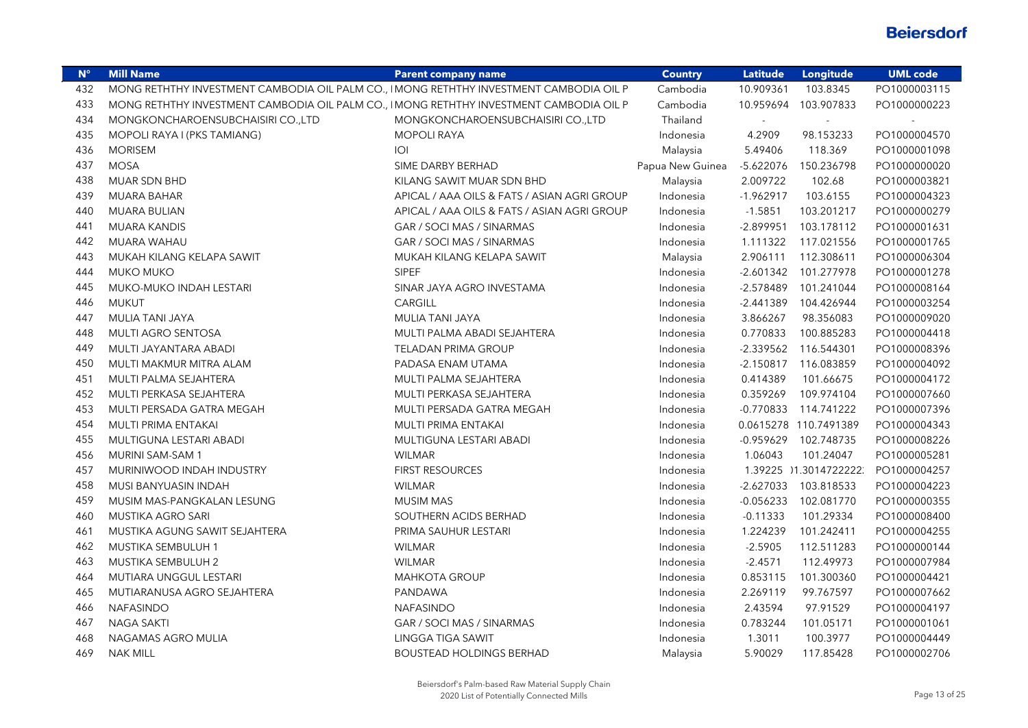| $N^{\circ}$ | <b>Mill Name</b>                                                                        | <b>Parent company name</b>                  | <b>Country</b>   | <b>Latitude</b> | Longitude              | <b>UML code</b> |
|-------------|-----------------------------------------------------------------------------------------|---------------------------------------------|------------------|-----------------|------------------------|-----------------|
| 432         | MONG RETHTHY INVESTMENT CAMBODIA OIL PALM CO., I MONG RETHTHY INVESTMENT CAMBODIA OIL P |                                             | Cambodia         | 10.909361       | 103.8345               | PO1000003115    |
| 433         | MONG RETHTHY INVESTMENT CAMBODIA OIL PALM CO., I MONG RETHTHY INVESTMENT CAMBODIA OIL P |                                             | Cambodia         |                 | 10.959694 103.907833   | PO1000000223    |
| 434         | MONGKONCHAROENSUBCHAISIRI CO.,LTD                                                       | MONGKONCHAROENSUBCHAISIRI CO., LTD          | Thailand         |                 |                        |                 |
| 435         | MOPOLI RAYA I (PKS TAMIANG)                                                             | <b>MOPOLI RAYA</b>                          | Indonesia        | 4.2909          | 98.153233              | PO1000004570    |
| 436         | <b>MORISEM</b>                                                                          | O                                           | Malaysia         | 5.49406         | 118.369                | PO1000001098    |
| 437         | <b>MOSA</b>                                                                             | SIME DARBY BERHAD                           | Papua New Guinea | $-5.622076$     | 150.236798             | PO1000000020    |
| 438         | MUAR SDN BHD                                                                            | KILANG SAWIT MUAR SDN BHD                   | Malaysia         | 2.009722        | 102.68                 | PO1000003821    |
| 439         | <b>MUARA BAHAR</b>                                                                      | APICAL / AAA OILS & FATS / ASIAN AGRI GROUP | Indonesia        | $-1.962917$     | 103.6155               | PO1000004323    |
| 440         | <b>MUARA BULIAN</b>                                                                     | APICAL / AAA OILS & FATS / ASIAN AGRI GROUP | Indonesia        | $-1.5851$       | 103.201217             | PO1000000279    |
| 441         | <b>MUARA KANDIS</b>                                                                     | GAR / SOCI MAS / SINARMAS                   | Indonesia        | $-2.899951$     | 103.178112             | PO1000001631    |
| 442         | MUARA WAHAU                                                                             | GAR / SOCI MAS / SINARMAS                   | Indonesia        | 1.111322        | 117.021556             | PO1000001765    |
| 443         | MUKAH KILANG KELAPA SAWIT                                                               | MUKAH KILANG KELAPA SAWIT                   | Malaysia         | 2.906111        | 112.308611             | PO1000006304    |
| 444         | <b>MUKO MUKO</b>                                                                        | <b>SIPEF</b>                                | Indonesia        |                 | -2.601342 101.277978   | PO1000001278    |
| 445         | MUKO-MUKO INDAH LESTARI                                                                 | SINAR JAYA AGRO INVESTAMA                   | Indonesia        | $-2.578489$     | 101.241044             | PO1000008164    |
| 446         | <b>MUKUT</b>                                                                            | CARGILL                                     | Indonesia        | $-2.441389$     | 104.426944             | PO1000003254    |
| 447         | MULIA TANI JAYA                                                                         | MULIA TANI JAYA                             | Indonesia        | 3.866267        | 98.356083              | PO1000009020    |
| 448         | MULTI AGRO SENTOSA                                                                      | MULTI PALMA ABADI SEJAHTERA                 | Indonesia        | 0.770833        | 100.885283             | PO1000004418    |
| 449         | MULTI JAYANTARA ABADI                                                                   | <b>TELADAN PRIMA GROUP</b>                  | Indonesia        | $-2.339562$     | 116.544301             | PO1000008396    |
| 450         | MULTI MAKMUR MITRA ALAM                                                                 | PADASA ENAM UTAMA                           | Indonesia        |                 | -2.150817 116.083859   | PO1000004092    |
| 451         | MULTI PALMA SEJAHTERA                                                                   | MULTI PALMA SEJAHTERA                       | Indonesia        | 0.414389        | 101.66675              | PO1000004172    |
| 452         | MULTI PERKASA SEJAHTERA                                                                 | MULTI PERKASA SEJAHTERA                     | Indonesia        | 0.359269        | 109.974104             | PO1000007660    |
| 453         | MULTI PERSADA GATRA MEGAH                                                               | MULTI PERSADA GATRA MEGAH                   | Indonesia        | $-0.770833$     | 114.741222             | PO1000007396    |
| 454         | MULTI PRIMA ENTAKAI                                                                     | MULTI PRIMA ENTAKAI                         | Indonesia        |                 | 0.0615278 110.7491389  | PO1000004343    |
| 455         | MULTIGUNA LESTARI ABADI                                                                 | MULTIGUNA LESTARI ABADI                     | Indonesia        | $-0.959629$     | 102.748735             | PO1000008226    |
| 456         | <b>MURINI SAM-SAM 1</b>                                                                 | <b>WILMAR</b>                               | Indonesia        | 1.06043         | 101.24047              | PO1000005281    |
| 457         | MURINIWOOD INDAH INDUSTRY                                                               | <b>FIRST RESOURCES</b>                      | Indonesia        |                 | 1.39225 11.3014722222. | PO1000004257    |
| 458         | MUSI BANYUASIN INDAH                                                                    | <b>WILMAR</b>                               | Indonesia        | $-2.627033$     | 103.818533             | PO1000004223    |
| 459         | MUSIM MAS-PANGKALAN LESUNG                                                              | <b>MUSIM MAS</b>                            | Indonesia        | $-0.056233$     | 102.081770             | PO1000000355    |
| 460         | MUSTIKA AGRO SARI                                                                       | SOUTHERN ACIDS BERHAD                       | Indonesia        | $-0.11333$      | 101.29334              | PO1000008400    |
| 461         | MUSTIKA AGUNG SAWIT SEJAHTERA                                                           | PRIMA SAUHUR LESTARI                        | Indonesia        | 1.224239        | 101.242411             | PO1000004255    |
| 462         | MUSTIKA SEMBULUH 1                                                                      | <b>WILMAR</b>                               | Indonesia        | $-2.5905$       | 112.511283             | PO1000000144    |
| 463         | MUSTIKA SEMBULUH 2                                                                      | <b>WILMAR</b>                               | Indonesia        | $-2.4571$       | 112.49973              | PO1000007984    |
| 464         | MUTIARA UNGGUL LESTARI                                                                  | <b>MAHKOTA GROUP</b>                        | Indonesia        | 0.853115        | 101.300360             | PO1000004421    |
| 465         | MUTIARANUSA AGRO SEJAHTERA                                                              | PANDAWA                                     | Indonesia        | 2.269119        | 99.767597              | PO1000007662    |
| 466         | <b>NAFASINDO</b>                                                                        | <b>NAFASINDO</b>                            | Indonesia        | 2.43594         | 97.91529               | PO1000004197    |
| 467         | NAGA SAKTI                                                                              | GAR / SOCI MAS / SINARMAS                   | Indonesia        | 0.783244        | 101.05171              | PO1000001061    |
| 468         | NAGAMAS AGRO MULIA                                                                      | LINGGA TIGA SAWIT                           | Indonesia        | 1.3011          | 100.3977               | PO1000004449    |
| 469         | <b>NAK MILL</b>                                                                         | <b>BOUSTEAD HOLDINGS BERHAD</b>             | Malaysia         | 5.90029         | 117.85428              | PO1000002706    |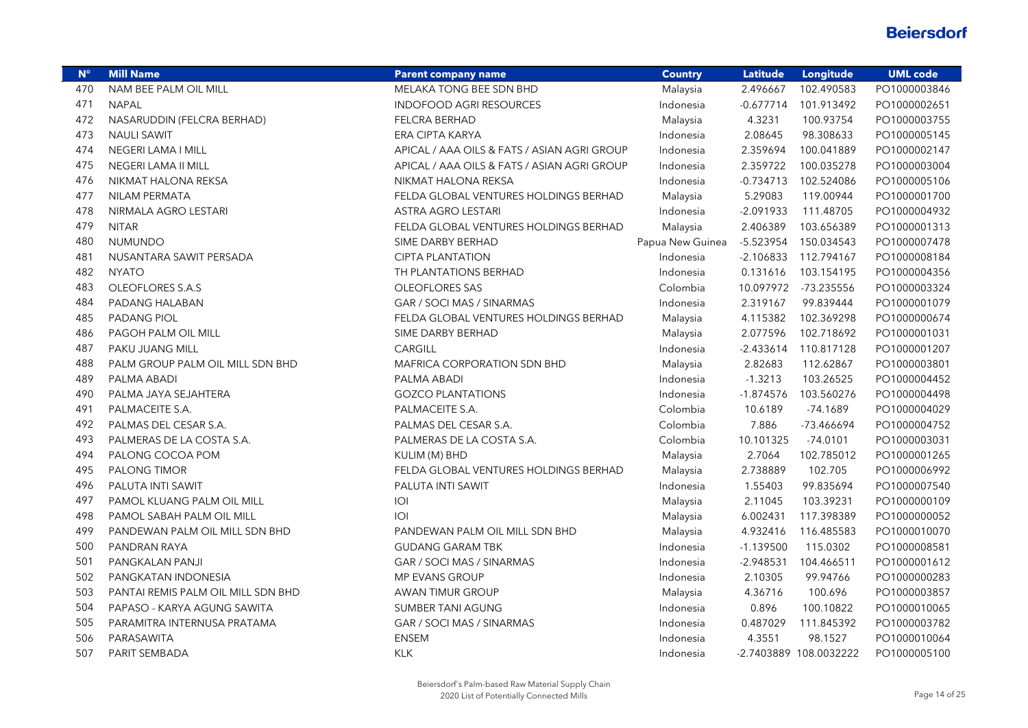| $N^{\circ}$ | <b>Mill Name</b>                   | <b>Parent company name</b>                  | <b>Country</b>   | <b>Latitude</b> | Longitude              | <b>UML code</b> |
|-------------|------------------------------------|---------------------------------------------|------------------|-----------------|------------------------|-----------------|
| 470         | NAM BEE PALM OIL MILL              | MELAKA TONG BEE SDN BHD                     | Malaysia         | 2.496667        | 102.490583             | PO1000003846    |
| 471         | <b>NAPAL</b>                       | <b>INDOFOOD AGRI RESOURCES</b>              | Indonesia        | $-0.677714$     | 101.913492             | PO1000002651    |
| 472         | NASARUDDIN (FELCRA BERHAD)         | FELCRA BERHAD                               | Malaysia         | 4.3231          | 100.93754              | PO1000003755    |
| 473         | <b>NAULI SAWIT</b>                 | ERA CIPTA KARYA                             | Indonesia        | 2.08645         | 98.308633              | PO1000005145    |
| 474         | NEGERI LAMA I MILL                 | APICAL / AAA OILS & FATS / ASIAN AGRI GROUP | Indonesia        | 2.359694        | 100.041889             | PO1000002147    |
| 475         | NEGERI LAMA II MILL                | APICAL / AAA OILS & FATS / ASIAN AGRI GROUP | Indonesia        | 2.359722        | 100.035278             | PO1000003004    |
| 476         | NIKMAT HALONA REKSA                | NIKMAT HALONA REKSA                         | Indonesia        | $-0.734713$     | 102.524086             | PO1000005106    |
| 477         | NILAM PERMATA                      | FELDA GLOBAL VENTURES HOLDINGS BERHAD       | Malaysia         | 5.29083         | 119.00944              | PO1000001700    |
| 478         | NIRMALA AGRO LESTARI               | ASTRA AGRO LESTARI                          | Indonesia        | $-2.091933$     | 111.48705              | PO1000004932    |
| 479         | <b>NITAR</b>                       | FELDA GLOBAL VENTURES HOLDINGS BERHAD       | Malaysia         | 2.406389        | 103.656389             | PO1000001313    |
| 480         | <b>NUMUNDO</b>                     | SIME DARBY BERHAD                           | Papua New Guinea | -5.523954       | 150.034543             | PO1000007478    |
| 481         | NUSANTARA SAWIT PERSADA            | <b>CIPTA PLANTATION</b>                     | Indonesia        | $-2.106833$     | 112.794167             | PO1000008184    |
| 482         | <b>NYATO</b>                       | TH PLANTATIONS BERHAD                       | Indonesia        | 0.131616        | 103.154195             | PO1000004356    |
| 483         | OLEOFLORES S.A.S                   | <b>OLEOFLORES SAS</b>                       | Colombia         | 10.097972       | -73.235556             | PO1000003324    |
| 484         | PADANG HALABAN                     | GAR / SOCI MAS / SINARMAS                   | Indonesia        | 2.319167        | 99.839444              | PO1000001079    |
| 485         | PADANG PIOL                        | FELDA GLOBAL VENTURES HOLDINGS BERHAD       | Malaysia         | 4.115382        | 102.369298             | PO1000000674    |
| 486         | PAGOH PALM OIL MILL                | SIME DARBY BERHAD                           | Malaysia         | 2.077596        | 102.718692             | PO1000001031    |
| 487         | PAKU JUANG MILL                    | <b>CARGILL</b>                              | Indonesia        | $-2.433614$     | 110.817128             | PO1000001207    |
| 488         | PALM GROUP PALM OIL MILL SDN BHD   | MAFRICA CORPORATION SDN BHD                 | Malaysia         | 2.82683         | 112.62867              | PO1000003801    |
| 489         | PALMA ABADI                        | PALMA ABADI                                 | Indonesia        | $-1.3213$       | 103.26525              | PO1000004452    |
| 490         | PALMA JAYA SEJAHTERA               | <b>GOZCO PLANTATIONS</b>                    | Indonesia        | $-1.874576$     | 103.560276             | PO1000004498    |
| 491         | PALMACEITE S.A.                    | PALMACEITE S.A.                             | Colombia         | 10.6189         | $-74.1689$             | PO1000004029    |
| 492         | PALMAS DEL CESAR S.A.              | PALMAS DEL CESAR S.A.                       | Colombia         | 7.886           | -73.466694             | PO1000004752    |
| 493         | PALMERAS DE LA COSTA S.A.          | PALMERAS DE LA COSTA S.A.                   | Colombia         | 10.101325       | $-74.0101$             | PO1000003031    |
| 494         | PALONG COCOA POM                   | KULIM (M) BHD                               | Malaysia         | 2.7064          | 102.785012             | PO1000001265    |
| 495         | PALONG TIMOR                       | FELDA GLOBAL VENTURES HOLDINGS BERHAD       | Malaysia         | 2.738889        | 102.705                | PO1000006992    |
| 496         | PALUTA INTI SAWIT                  | PALUTA INTI SAWIT                           | Indonesia        | 1.55403         | 99.835694              | PO1000007540    |
| 497         | PAMOL KLUANG PALM OIL MILL         | O                                           | Malaysia         | 2.11045         | 103.39231              | PO1000000109    |
| 498         | PAMOL SABAH PALM OIL MILL          | O                                           | Malaysia         | 6.002431        | 117.398389             | PO1000000052    |
| 499         | PANDEWAN PALM OIL MILL SDN BHD     | PANDEWAN PALM OIL MILL SDN BHD              | Malaysia         | 4.932416        | 116.485583             | PO1000010070    |
| 500         | PANDRAN RAYA                       | <b>GUDANG GARAM TBK</b>                     | Indonesia        | $-1.139500$     | 115.0302               | PO1000008581    |
| 501         | PANGKALAN PANJI                    | GAR / SOCI MAS / SINARMAS                   | Indonesia        | $-2.948531$     | 104.466511             | PO1000001612    |
| 502         | PANGKATAN INDONESIA                | MP EVANS GROUP                              | Indonesia        | 2.10305         | 99.94766               | PO1000000283    |
| 503         | PANTAI REMIS PALM OIL MILL SDN BHD | <b>AWAN TIMUR GROUP</b>                     | Malaysia         | 4.36716         | 100.696                | PO1000003857    |
| 504         | PAPASO - KARYA AGUNG SAWITA        | SUMBER TANI AGUNG                           | Indonesia        | 0.896           | 100.10822              | PO1000010065    |
| 505         | PARAMITRA INTERNUSA PRATAMA        | GAR / SOCI MAS / SINARMAS                   | Indonesia        | 0.487029        | 111.845392             | PO1000003782    |
| 506         | PARASAWITA                         | <b>ENSEM</b>                                | Indonesia        | 4.3551          | 98.1527                | PO1000010064    |
| 507         | PARIT SEMBADA                      | <b>KLK</b>                                  | Indonesia        |                 | -2.7403889 108.0032222 | PO1000005100    |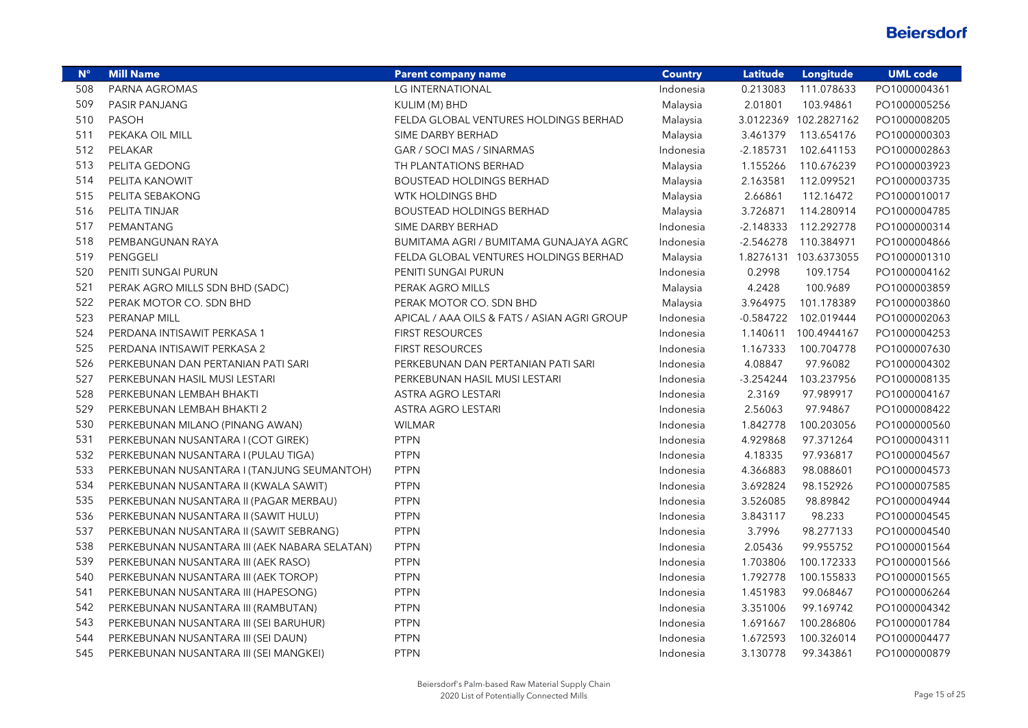| $N^{\circ}$ | <b>Mill Name</b>                              | <b>Parent company name</b>                  | <b>Country</b> | <b>Latitude</b> | Longitude             | <b>UML code</b> |
|-------------|-----------------------------------------------|---------------------------------------------|----------------|-----------------|-----------------------|-----------------|
| 508         | PARNA AGROMAS                                 | <b>LG INTERNATIONAL</b>                     | Indonesia      | 0.213083        | 111.078633            | PO1000004361    |
| 509         | PASIR PANJANG                                 | KULIM (M) BHD                               | Malaysia       | 2.01801         | 103.94861             | PO1000005256    |
| 510         | <b>PASOH</b>                                  | FELDA GLOBAL VENTURES HOLDINGS BERHAD       | Malaysia       |                 | 3.0122369 102.2827162 | PO1000008205    |
| 511         | PEKAKA OIL MILL                               | SIME DARBY BERHAD                           | Malaysia       | 3.461379        | 113.654176            | PO1000000303    |
| 512         | PELAKAR                                       | GAR / SOCI MAS / SINARMAS                   | Indonesia      | $-2.185731$     | 102.641153            | PO1000002863    |
| 513         | PELITA GEDONG                                 | TH PLANTATIONS BERHAD                       | Malaysia       | 1.155266        | 110.676239            | PO1000003923    |
| 514         | PELITA KANOWIT                                | <b>BOUSTEAD HOLDINGS BERHAD</b>             | Malaysia       | 2.163581        | 112.099521            | PO1000003735    |
| 515         | PELITA SEBAKONG                               | <b>WTK HOLDINGS BHD</b>                     | Malaysia       | 2.66861         | 112.16472             | PO1000010017    |
| 516         | PELITA TINJAR                                 | <b>BOUSTEAD HOLDINGS BERHAD</b>             | Malaysia       | 3.726871        | 114.280914            | PO1000004785    |
| 517         | PEMANTANG                                     | SIME DARBY BERHAD                           | Indonesia      | -2.148333       | 112.292778            | PO1000000314    |
| 518         | PEMBANGUNAN RAYA                              | BUMITAMA AGRI / BUMITAMA GUNAJAYA AGRC      | Indonesia      |                 | -2.546278 110.384971  | PO1000004866    |
| 519         | PENGGELI                                      | FELDA GLOBAL VENTURES HOLDINGS BERHAD       | Malaysia       |                 | 1.8276131 103.6373055 | PO1000001310    |
| 520         | PENITI SUNGAI PURUN                           | PENITI SUNGAI PURUN                         | Indonesia      | 0.2998          | 109.1754              | PO1000004162    |
| 521         | PERAK AGRO MILLS SDN BHD (SADC)               | PERAK AGRO MILLS                            | Malaysia       | 4.2428          | 100.9689              | PO1000003859    |
| 522         | PERAK MOTOR CO. SDN BHD                       | PERAK MOTOR CO. SDN BHD                     | Malaysia       | 3.964975        | 101.178389            | PO1000003860    |
| 523         | PERANAP MILL                                  | APICAL / AAA OILS & FATS / ASIAN AGRI GROUP | Indonesia      | $-0.584722$     | 102.019444            | PO1000002063    |
| 524         | PERDANA INTISAWIT PERKASA 1                   | <b>FIRST RESOURCES</b>                      | Indonesia      |                 | 1.140611 100.4944167  | PO1000004253    |
| 525         | PERDANA INTISAWIT PERKASA 2                   | <b>FIRST RESOURCES</b>                      | Indonesia      | 1.167333        | 100.704778            | PO1000007630    |
| 526         | PERKEBUNAN DAN PERTANIAN PATI SARI            | PERKEBUNAN DAN PERTANIAN PATI SARI          | Indonesia      | 4.08847         | 97.96082              | PO1000004302    |
| 527         | PERKEBUNAN HASIL MUSI LESTARI                 | PERKEBUNAN HASIL MUSI LESTARI               | Indonesia      | $-3.254244$     | 103.237956            | PO1000008135    |
| 528         | PERKEBUNAN LEMBAH BHAKTI                      | ASTRA AGRO LESTARI                          | Indonesia      | 2.3169          | 97.989917             | PO1000004167    |
| 529         | PERKEBUNAN LEMBAH BHAKTI 2                    | <b>ASTRA AGRO LESTARI</b>                   | Indonesia      | 2.56063         | 97.94867              | PO1000008422    |
| 530         | PERKEBUNAN MILANO (PINANG AWAN)               | <b>WILMAR</b>                               | Indonesia      | 1.842778        | 100.203056            | PO1000000560    |
| 531         | PERKEBUNAN NUSANTARA I (COT GIREK)            | <b>PTPN</b>                                 | Indonesia      | 4.929868        | 97.371264             | PO1000004311    |
| 532         | PERKEBUNAN NUSANTARA I (PULAU TIGA)           | <b>PTPN</b>                                 | Indonesia      | 4.18335         | 97.936817             | PO1000004567    |
| 533         | PERKEBUNAN NUSANTARA I (TANJUNG SEUMANTOH)    | <b>PTPN</b>                                 | Indonesia      | 4.366883        | 98.088601             | PO1000004573    |
| 534         | PERKEBUNAN NUSANTARA II (KWALA SAWIT)         | <b>PTPN</b>                                 | Indonesia      | 3.692824        | 98.152926             | PO1000007585    |
| 535         | PERKEBUNAN NUSANTARA II (PAGAR MERBAU)        | <b>PTPN</b>                                 | Indonesia      | 3.526085        | 98.89842              | PO1000004944    |
| 536         | PERKEBUNAN NUSANTARA II (SAWIT HULU)          | <b>PTPN</b>                                 | Indonesia      | 3.843117        | 98.233                | PO1000004545    |
| 537         | PERKEBUNAN NUSANTARA II (SAWIT SEBRANG)       | <b>PTPN</b>                                 | Indonesia      | 3.7996          | 98.277133             | PO1000004540    |
| 538         | PERKEBUNAN NUSANTARA III (AEK NABARA SELATAN) | <b>PTPN</b>                                 | Indonesia      | 2.05436         | 99.955752             | PO1000001564    |
| 539         | PERKEBUNAN NUSANTARA III (AEK RASO)           | <b>PTPN</b>                                 | Indonesia      | 1.703806        | 100.172333            | PO1000001566    |
| 540         | PERKEBUNAN NUSANTARA III (AEK TOROP)          | <b>PTPN</b>                                 | Indonesia      | 1.792778        | 100.155833            | PO1000001565    |
| 541         | PERKEBUNAN NUSANTARA III (HAPESONG)           | <b>PTPN</b>                                 | Indonesia      | 1.451983        | 99.068467             | PO1000006264    |
| 542         | PERKEBUNAN NUSANTARA III (RAMBUTAN)           | <b>PTPN</b>                                 | Indonesia      | 3.351006        | 99.169742             | PO1000004342    |
| 543         | PERKEBUNAN NUSANTARA III (SEI BARUHUR)        | <b>PTPN</b>                                 | Indonesia      | 1.691667        | 100.286806            | PO1000001784    |
| 544         | PERKEBUNAN NUSANTARA III (SEI DAUN)           | <b>PTPN</b>                                 | Indonesia      | 1.672593        | 100.326014            | PO1000004477    |
| 545         | PERKEBUNAN NUSANTARA III (SEI MANGKEI)        | <b>PTPN</b>                                 | Indonesia      | 3.130778        | 99.343861             | PO1000000879    |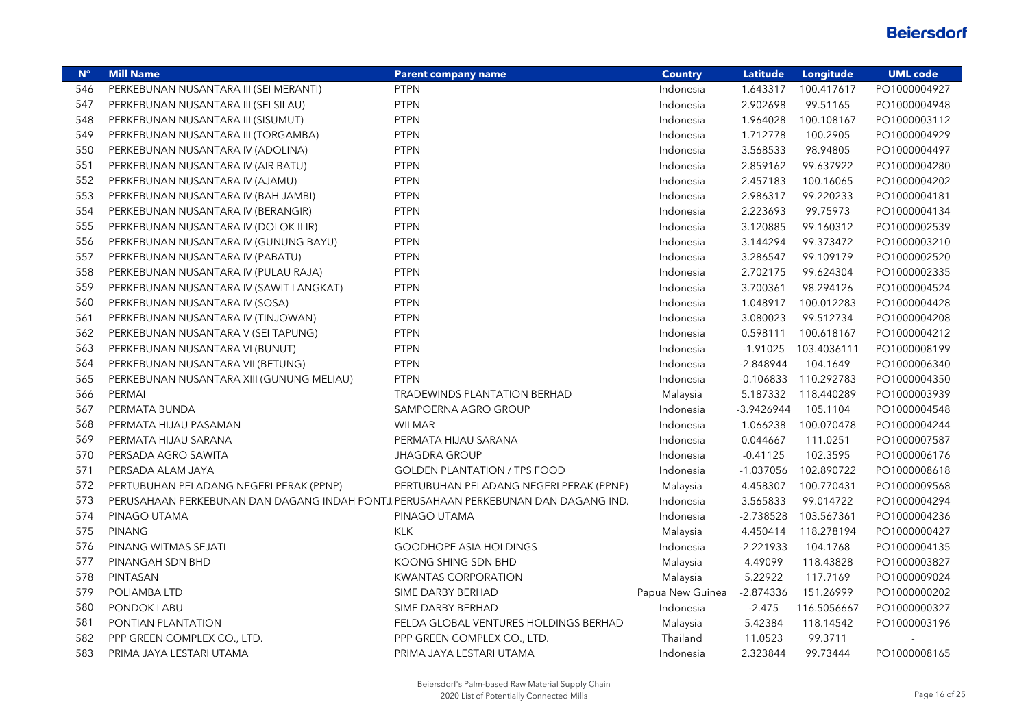| $N^{\circ}$ | <b>Mill Name</b>                                                                    | <b>Parent company name</b>              | <b>Country</b>   | <b>Latitude</b> | Longitude   | <b>UML code</b> |
|-------------|-------------------------------------------------------------------------------------|-----------------------------------------|------------------|-----------------|-------------|-----------------|
| 546         | PERKEBUNAN NUSANTARA III (SEI MERANTI)                                              | <b>PTPN</b>                             | Indonesia        | 1.643317        | 100.417617  | PO1000004927    |
| 547         | PERKEBUNAN NUSANTARA III (SEI SILAU)                                                | <b>PTPN</b>                             | Indonesia        | 2.902698        | 99.51165    | PO1000004948    |
| 548         | PERKEBUNAN NUSANTARA III (SISUMUT)                                                  | <b>PTPN</b>                             | Indonesia        | 1.964028        | 100.108167  | PO1000003112    |
| 549         | PERKEBUNAN NUSANTARA III (TORGAMBA)                                                 | <b>PTPN</b>                             | Indonesia        | 1.712778        | 100.2905    | PO1000004929    |
| 550         | PERKEBUNAN NUSANTARA IV (ADOLINA)                                                   | <b>PTPN</b>                             | Indonesia        | 3.568533        | 98.94805    | PO1000004497    |
| 551         | PERKEBUNAN NUSANTARA IV (AIR BATU)                                                  | <b>PTPN</b>                             | Indonesia        | 2.859162        | 99.637922   | PO1000004280    |
| 552         | PERKEBUNAN NUSANTARA IV (AJAMU)                                                     | <b>PTPN</b>                             | Indonesia        | 2.457183        | 100.16065   | PO1000004202    |
| 553         | PERKEBUNAN NUSANTARA IV (BAH JAMBI)                                                 | <b>PTPN</b>                             | Indonesia        | 2.986317        | 99.220233   | PO1000004181    |
| 554         | PERKEBUNAN NUSANTARA IV (BERANGIR)                                                  | <b>PTPN</b>                             | Indonesia        | 2.223693        | 99.75973    | PO1000004134    |
| 555         | PERKEBUNAN NUSANTARA IV (DOLOK ILIR)                                                | <b>PTPN</b>                             | Indonesia        | 3.120885        | 99.160312   | PO1000002539    |
| 556         | PERKEBUNAN NUSANTARA IV (GUNUNG BAYU)                                               | <b>PTPN</b>                             | Indonesia        | 3.144294        | 99.373472   | PO1000003210    |
| 557         | PERKEBUNAN NUSANTARA IV (PABATU)                                                    | <b>PTPN</b>                             | Indonesia        | 3.286547        | 99.109179   | PO1000002520    |
| 558         | PERKEBUNAN NUSANTARA IV (PULAU RAJA)                                                | <b>PTPN</b>                             | Indonesia        | 2.702175        | 99.624304   | PO1000002335    |
| 559         | PERKEBUNAN NUSANTARA IV (SAWIT LANGKAT)                                             | <b>PTPN</b>                             | Indonesia        | 3.700361        | 98.294126   | PO1000004524    |
| 560         | PERKEBUNAN NUSANTARA IV (SOSA)                                                      | <b>PTPN</b>                             | Indonesia        | 1.048917        | 100.012283  | PO1000004428    |
| 561         | PERKEBUNAN NUSANTARA IV (TINJOWAN)                                                  | <b>PTPN</b>                             | Indonesia        | 3.080023        | 99.512734   | PO1000004208    |
| 562         | PERKEBUNAN NUSANTARA V (SEI TAPUNG)                                                 | <b>PTPN</b>                             | Indonesia        | 0.598111        | 100.618167  | PO1000004212    |
| 563         | PERKEBUNAN NUSANTARA VI (BUNUT)                                                     | <b>PTPN</b>                             | Indonesia        | $-1.91025$      | 103.4036111 | PO1000008199    |
| 564         | PERKEBUNAN NUSANTARA VII (BETUNG)                                                   | <b>PTPN</b>                             | Indonesia        | $-2.848944$     | 104.1649    | PO1000006340    |
| 565         | PERKEBUNAN NUSANTARA XIII (GUNUNG MELIAU)                                           | <b>PTPN</b>                             | Indonesia        | $-0.106833$     | 110.292783  | PO1000004350    |
| 566         | PERMAI                                                                              | <b>TRADEWINDS PLANTATION BERHAD</b>     | Malaysia         | 5.187332        | 118.440289  | PO1000003939    |
| 567         | PERMATA BUNDA                                                                       | SAMPOERNA AGRO GROUP                    | Indonesia        | $-3.9426944$    | 105.1104    | PO1000004548    |
| 568         | PERMATA HIJAU PASAMAN                                                               | <b>WILMAR</b>                           | Indonesia        | 1.066238        | 100.070478  | PO1000004244    |
| 569         | PERMATA HIJAU SARANA                                                                | PERMATA HIJAU SARANA                    | Indonesia        | 0.044667        | 111.0251    | PO1000007587    |
| 570         | PERSADA AGRO SAWITA                                                                 | <b>JHAGDRA GROUP</b>                    | Indonesia        | $-0.41125$      | 102.3595    | PO1000006176    |
| 571         | PERSADA ALAM JAYA                                                                   | <b>GOLDEN PLANTATION / TPS FOOD</b>     | Indonesia        | $-1.037056$     | 102.890722  | PO1000008618    |
| 572         | PERTUBUHAN PELADANG NEGERI PERAK (PPNP)                                             | PERTUBUHAN PELADANG NEGERI PERAK (PPNP) | Malaysia         | 4.458307        | 100.770431  | PO1000009568    |
| 573         | PERUSAHAAN PERKEBUNAN DAN DAGANG INDAH PONTJ. PERUSAHAAN PERKEBUNAN DAN DAGANG IND. |                                         | Indonesia        | 3.565833        | 99.014722   | PO1000004294    |
| 574         | PINAGO UTAMA                                                                        | PINAGO UTAMA                            | Indonesia        | $-2.738528$     | 103.567361  | PO1000004236    |
| 575         | <b>PINANG</b>                                                                       | <b>KLK</b>                              | Malaysia         | 4.450414        | 118.278194  | PO1000000427    |
| 576         | PINANG WITMAS SEJATI                                                                | <b>GOODHOPE ASIA HOLDINGS</b>           | Indonesia        | $-2.221933$     | 104.1768    | PO1000004135    |
| 577         | PINANGAH SDN BHD                                                                    | KOONG SHING SDN BHD                     | Malaysia         | 4.49099         | 118.43828   | PO1000003827    |
| 578         | PINTASAN                                                                            | <b>KWANTAS CORPORATION</b>              | Malaysia         | 5.22922         | 117.7169    | PO1000009024    |
| 579         | POLIAMBA LTD                                                                        | SIME DARBY BERHAD                       | Papua New Guinea | $-2.874336$     | 151.26999   | PO1000000202    |
| 580         | PONDOK LABU                                                                         | SIME DARBY BERHAD                       | Indonesia        | $-2.475$        | 116.5056667 | PO1000000327    |
| 581         | PONTIAN PLANTATION                                                                  | FELDA GLOBAL VENTURES HOLDINGS BERHAD   | Malaysia         | 5.42384         | 118.14542   | PO1000003196    |
| 582         | PPP GREEN COMPLEX CO., LTD.                                                         | PPP GREEN COMPLEX CO., LTD.             | Thailand         | 11.0523         | 99.3711     |                 |
| 583         | PRIMA JAYA LESTARI UTAMA                                                            | PRIMA JAYA LESTARI UTAMA                | Indonesia        | 2.323844        | 99.73444    | PO1000008165    |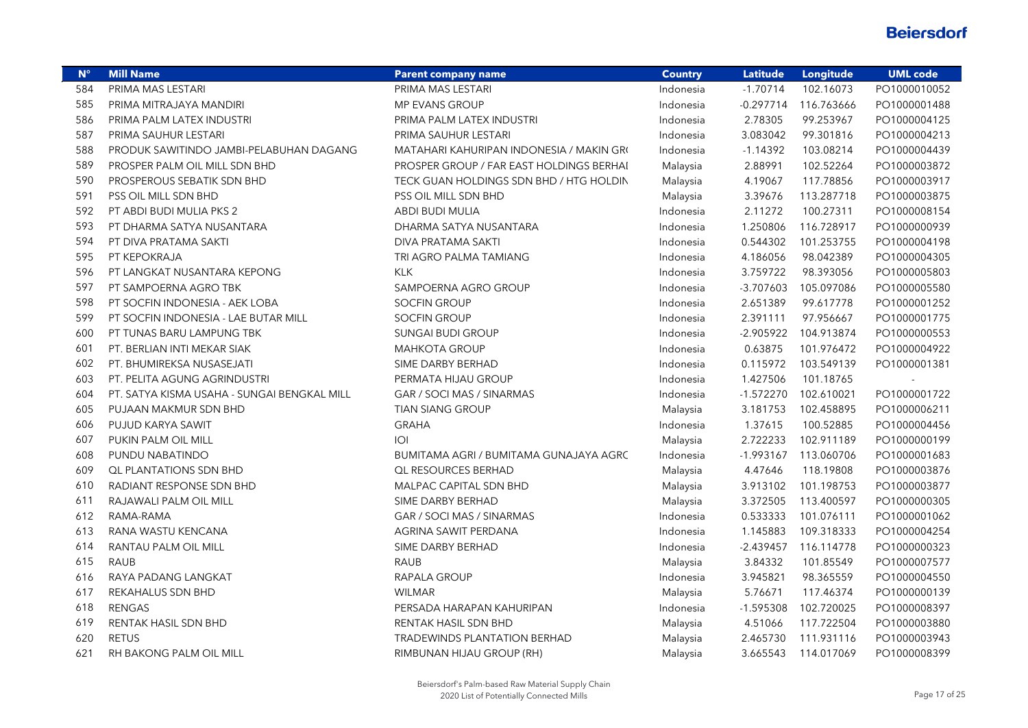| $N^{\circ}$ | <b>Mill Name</b>                            | <b>Parent company name</b>               | <b>Country</b> | <b>Latitude</b> | Longitude  | <b>UML code</b> |
|-------------|---------------------------------------------|------------------------------------------|----------------|-----------------|------------|-----------------|
| 584         | PRIMA MAS LESTARI                           | PRIMA MAS LESTARI                        | Indonesia      | $-1.70714$      | 102.16073  | PO1000010052    |
| 585         | PRIMA MITRAJAYA MANDIRI                     | MP EVANS GROUP                           | Indonesia      | $-0.297714$     | 116.763666 | PO1000001488    |
| 586         | PRIMA PALM LATEX INDUSTRI                   | PRIMA PALM LATEX INDUSTRI                | Indonesia      | 2.78305         | 99.253967  | PO1000004125    |
| 587         | PRIMA SAUHUR LESTARI                        | PRIMA SAUHUR LESTARI                     | Indonesia      | 3.083042        | 99.301816  | PO1000004213    |
| 588         | PRODUK SAWITINDO JAMBI-PELABUHAN DAGANG     | MATAHARI KAHURIPAN INDONESIA / MAKIN GRO | Indonesia      | $-1.14392$      | 103.08214  | PO1000004439    |
| 589         | PROSPER PALM OIL MILL SDN BHD               | PROSPER GROUP / FAR EAST HOLDINGS BERHAI | Malaysia       | 2.88991         | 102.52264  | PO1000003872    |
| 590         | PROSPEROUS SEBATIK SDN BHD                  | TECK GUAN HOLDINGS SDN BHD / HTG HOLDIN  | Malaysia       | 4.19067         | 117.78856  | PO1000003917    |
| 591         | PSS OIL MILL SDN BHD                        | PSS OIL MILL SDN BHD                     | Malaysia       | 3.39676         | 113.287718 | PO1000003875    |
| 592         | PT ABDI BUDI MULIA PKS 2                    | ABDI BUDI MULIA                          | Indonesia      | 2.11272         | 100.27311  | PO1000008154    |
| 593         | PT DHARMA SATYA NUSANTARA                   | DHARMA SATYA NUSANTARA                   | Indonesia      | 1.250806        | 116.728917 | PO1000000939    |
| 594         | PT DIVA PRATAMA SAKTI                       | DIVA PRATAMA SAKTI                       | Indonesia      | 0.544302        | 101.253755 | PO1000004198    |
| 595         | PT KEPOKRAJA                                | TRI AGRO PALMA TAMIANG                   | Indonesia      | 4.186056        | 98.042389  | PO1000004305    |
| 596         | PT LANGKAT NUSANTARA KEPONG                 | <b>KLK</b>                               | Indonesia      | 3.759722        | 98.393056  | PO1000005803    |
| 597         | PT SAMPOERNA AGRO TBK                       | SAMPOERNA AGRO GROUP                     | Indonesia      | $-3.707603$     | 105.097086 | PO1000005580    |
| 598         | PT SOCFIN INDONESIA - AEK LOBA              | <b>SOCFIN GROUP</b>                      | Indonesia      | 2.651389        | 99.617778  | PO1000001252    |
| 599         | PT SOCFIN INDONESIA - LAE BUTAR MILL        | <b>SOCFIN GROUP</b>                      | Indonesia      | 2.391111        | 97.956667  | PO1000001775    |
| 600         | PT TUNAS BARU LAMPUNG TBK                   | <b>SUNGAI BUDI GROUP</b>                 | Indonesia      | $-2.905922$     | 104.913874 | PO1000000553    |
| 601         | PT. BERLIAN INTI MEKAR SIAK                 | <b>MAHKOTA GROUP</b>                     | Indonesia      | 0.63875         | 101.976472 | PO1000004922    |
| 602         | PT. BHUMIREKSA NUSASEJATI                   | SIME DARBY BERHAD                        | Indonesia      | 0.115972        | 103.549139 | PO1000001381    |
| 603         | PT. PELITA AGUNG AGRINDUSTRI                | PERMATA HIJAU GROUP                      | Indonesia      | 1.427506        | 101.18765  |                 |
| 604         | PT. SATYA KISMA USAHA - SUNGAI BENGKAL MILL | GAR / SOCI MAS / SINARMAS                | Indonesia      | $-1.572270$     | 102.610021 | PO1000001722    |
| 605         | PUJAAN MAKMUR SDN BHD                       | <b>TIAN SIANG GROUP</b>                  | Malaysia       | 3.181753        | 102.458895 | PO1000006211    |
| 606         | PUJUD KARYA SAWIT                           | <b>GRAHA</b>                             | Indonesia      | 1.37615         | 100.52885  | PO1000004456    |
| 607         | PUKIN PALM OIL MILL                         | O                                        | Malaysia       | 2.722233        | 102.911189 | PO1000000199    |
| 608         | PUNDU NABATINDO                             | BUMITAMA AGRI / BUMITAMA GUNAJAYA AGRC   | Indonesia      | $-1.993167$     | 113.060706 | PO1000001683    |
| 609         | <b>QL PLANTATIONS SDN BHD</b>               | <b>QL RESOURCES BERHAD</b>               | Malaysia       | 4.47646         | 118.19808  | PO1000003876    |
| 610         | RADIANT RESPONSE SDN BHD                    | MALPAC CAPITAL SDN BHD                   | Malaysia       | 3.913102        | 101.198753 | PO1000003877    |
| 611         | RAJAWALI PALM OIL MILL                      | SIME DARBY BERHAD                        | Malaysia       | 3.372505        | 113.400597 | PO1000000305    |
| 612         | RAMA-RAMA                                   | GAR / SOCI MAS / SINARMAS                | Indonesia      | 0.533333        | 101.076111 | PO1000001062    |
| 613         | RANA WASTU KENCANA                          | AGRINA SAWIT PERDANA                     | Indonesia      | 1.145883        | 109.318333 | PO1000004254    |
| 614         | RANTAU PALM OIL MILL                        | SIME DARBY BERHAD                        | Indonesia      | $-2.439457$     | 116.114778 | PO1000000323    |
| 615         | <b>RAUB</b>                                 | <b>RAUB</b>                              | Malaysia       | 3.84332         | 101.85549  | PO1000007577    |
| 616         | RAYA PADANG LANGKAT                         | RAPALA GROUP                             | Indonesia      | 3.945821        | 98.365559  | PO1000004550    |
| 617         | REKAHALUS SDN BHD                           | <b>WILMAR</b>                            | Malaysia       | 5.76671         | 117.46374  | PO1000000139    |
| 618         | <b>RENGAS</b>                               | PERSADA HARAPAN KAHURIPAN                | Indonesia      | $-1.595308$     | 102.720025 | PO1000008397    |
| 619         | RENTAK HASIL SDN BHD                        | RENTAK HASIL SDN BHD                     | Malaysia       | 4.51066         | 117.722504 | PO1000003880    |
| 620         | <b>RETUS</b>                                | <b>TRADEWINDS PLANTATION BERHAD</b>      | Malaysia       | 2.465730        | 111.931116 | PO1000003943    |
| 621         | RH BAKONG PALM OIL MILL                     | RIMBUNAN HIJAU GROUP (RH)                | Malaysia       | 3.665543        | 114.017069 | PO1000008399    |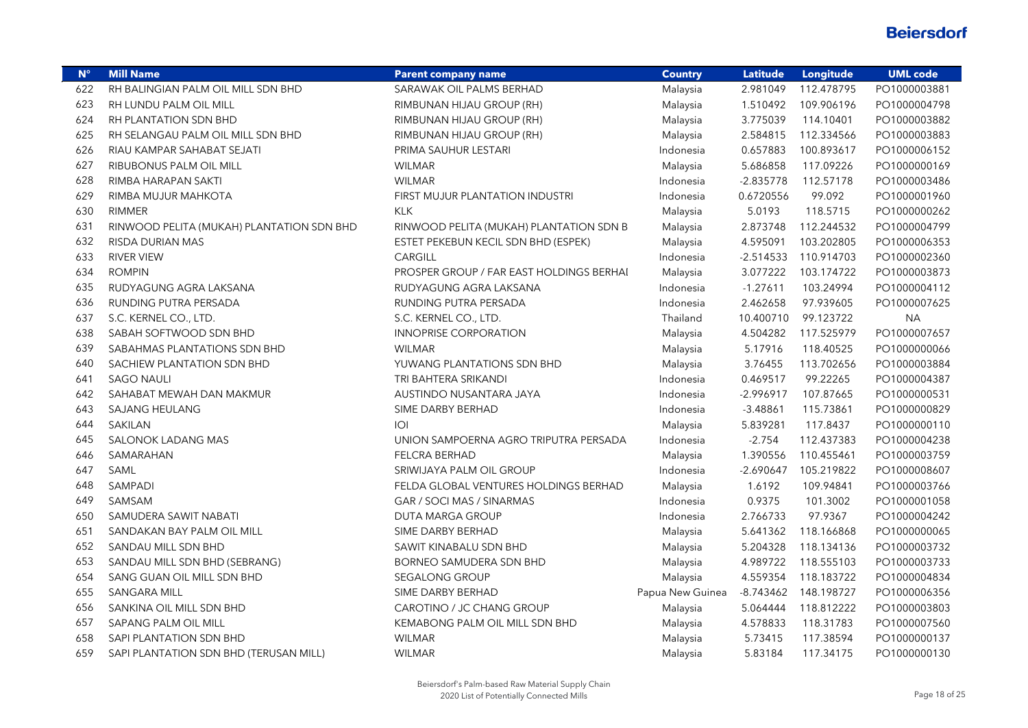| $N^{\circ}$ | <b>Mill Name</b>                          | <b>Parent company name</b>               | <b>Country</b>   | <b>Latitude</b> | Longitude            | <b>UML code</b> |
|-------------|-------------------------------------------|------------------------------------------|------------------|-----------------|----------------------|-----------------|
| 622         | RH BALINGIAN PALM OIL MILL SDN BHD        | SARAWAK OIL PALMS BERHAD                 | Malaysia         | 2.981049        | 112.478795           | PO1000003881    |
| 623         | RH LUNDU PALM OIL MILL                    | RIMBUNAN HIJAU GROUP (RH)                | Malaysia         | 1.510492        | 109.906196           | PO1000004798    |
| 624         | RH PLANTATION SDN BHD                     | RIMBUNAN HIJAU GROUP (RH)                | Malaysia         | 3.775039        | 114.10401            | PO1000003882    |
| 625         | RH SELANGAU PALM OIL MILL SDN BHD         | RIMBUNAN HIJAU GROUP (RH)                | Malaysia         | 2.584815        | 112.334566           | PO1000003883    |
| 626         | RIAU KAMPAR SAHABAT SEJATI                | PRIMA SAUHUR LESTARI                     | Indonesia        | 0.657883        | 100.893617           | PO1000006152    |
| 627         | RIBUBONUS PALM OIL MILL                   | <b>WILMAR</b>                            | Malaysia         | 5.686858        | 117.09226            | PO1000000169    |
| 628         | RIMBA HARAPAN SAKTI                       | <b>WILMAR</b>                            | Indonesia        | $-2.835778$     | 112.57178            | PO1000003486    |
| 629         | RIMBA MUJUR MAHKOTA                       | FIRST MUJUR PLANTATION INDUSTRI          | Indonesia        | 0.6720556       | 99.092               | PO1000001960    |
| 630         | <b>RIMMER</b>                             | <b>KLK</b>                               | Malaysia         | 5.0193          | 118.5715             | PO1000000262    |
| 631         | RINWOOD PELITA (MUKAH) PLANTATION SDN BHD | RINWOOD PELITA (MUKAH) PLANTATION SDN B  | Malaysia         | 2.873748        | 112.244532           | PO1000004799    |
| 632         | RISDA DURIAN MAS                          | ESTET PEKEBUN KECIL SDN BHD (ESPEK)      | Malaysia         | 4.595091        | 103.202805           | PO1000006353    |
| 633         | <b>RIVER VIEW</b>                         | <b>CARGILL</b>                           | Indonesia        |                 | -2.514533 110.914703 | PO1000002360    |
| 634         | <b>ROMPIN</b>                             | PROSPER GROUP / FAR EAST HOLDINGS BERHAI | Malaysia         | 3.077222        | 103.174722           | PO1000003873    |
| 635         | RUDYAGUNG AGRA LAKSANA                    | RUDYAGUNG AGRA LAKSANA                   | Indonesia        | $-1.27611$      | 103.24994            | PO1000004112    |
| 636         | RUNDING PUTRA PERSADA                     | RUNDING PUTRA PERSADA                    | Indonesia        | 2.462658        | 97.939605            | PO1000007625    |
| 637         | S.C. KERNEL CO., LTD.                     | S.C. KERNEL CO., LTD.                    | Thailand         | 10.400710       | 99.123722            | <b>NA</b>       |
| 638         | SABAH SOFTWOOD SDN BHD                    | <b>INNOPRISE CORPORATION</b>             | Malaysia         | 4.504282        | 117.525979           | PO1000007657    |
| 639         | SABAHMAS PLANTATIONS SDN BHD              | <b>WILMAR</b>                            | Malaysia         | 5.17916         | 118.40525            | PO1000000066    |
| 640         | SACHIEW PLANTATION SDN BHD                | YUWANG PLANTATIONS SDN BHD               | Malaysia         | 3.76455         | 113.702656           | PO1000003884    |
| 641         | <b>SAGO NAULI</b>                         | TRI BAHTERA SRIKANDI                     | Indonesia        | 0.469517        | 99.22265             | PO1000004387    |
| 642         | SAHABAT MEWAH DAN MAKMUR                  | AUSTINDO NUSANTARA JAYA                  | Indonesia        | $-2.996917$     | 107.87665            | PO1000000531    |
| 643         | <b>SAJANG HEULANG</b>                     | SIME DARBY BERHAD                        | Indonesia        | $-3.48861$      | 115.73861            | PO1000000829    |
| 644         | SAKILAN                                   | O                                        | Malaysia         | 5.839281        | 117.8437             | PO1000000110    |
| 645         | SALONOK LADANG MAS                        | UNION SAMPOERNA AGRO TRIPUTRA PERSADA    | Indonesia        | $-2.754$        | 112.437383           | PO1000004238    |
| 646         | SAMARAHAN                                 | <b>FELCRA BERHAD</b>                     | Malaysia         | 1.390556        | 110.455461           | PO1000003759    |
| 647         | SAML                                      | SRIWIJAYA PALM OIL GROUP                 | Indonesia        | $-2.690647$     | 105.219822           | PO1000008607    |
| 648         | SAMPADI                                   | FELDA GLOBAL VENTURES HOLDINGS BERHAD    | Malaysia         | 1.6192          | 109.94841            | PO1000003766    |
| 649         | SAMSAM                                    | GAR / SOCI MAS / SINARMAS                | Indonesia        | 0.9375          | 101.3002             | PO1000001058    |
| 650         | SAMUDERA SAWIT NABATI                     | <b>DUTA MARGA GROUP</b>                  | Indonesia        | 2.766733        | 97.9367              | PO1000004242    |
| 651         | SANDAKAN BAY PALM OIL MILL                | SIME DARBY BERHAD                        | Malaysia         | 5.641362        | 118.166868           | PO1000000065    |
| 652         | SANDAU MILL SDN BHD                       | SAWIT KINABALU SDN BHD                   | Malaysia         | 5.204328        | 118.134136           | PO1000003732    |
| 653         | SANDAU MILL SDN BHD (SEBRANG)             | BORNEO SAMUDERA SDN BHD                  | Malaysia         | 4.989722        | 118.555103           | PO1000003733    |
| 654         | SANG GUAN OIL MILL SDN BHD                | SEGALONG GROUP                           | Malaysia         | 4.559354        | 118.183722           | PO1000004834    |
| 655         | SANGARA MILL                              | SIME DARBY BERHAD                        | Papua New Guinea | -8.743462       | 148.198727           | PO1000006356    |
| 656         | SANKINA OIL MILL SDN BHD                  | CAROTINO / JC CHANG GROUP                | Malaysia         | 5.064444        | 118.812222           | PO1000003803    |
| 657         | SAPANG PALM OIL MILL                      | <b>KEMABONG PALM OIL MILL SDN BHD</b>    | Malaysia         | 4.578833        | 118.31783            | PO1000007560    |
| 658         | SAPI PLANTATION SDN BHD                   | <b>WILMAR</b>                            | Malaysia         | 5.73415         | 117.38594            | PO1000000137    |
| 659         | SAPI PLANTATION SDN BHD (TERUSAN MILL)    | <b>WILMAR</b>                            | Malaysia         | 5.83184         | 117.34175            | PO1000000130    |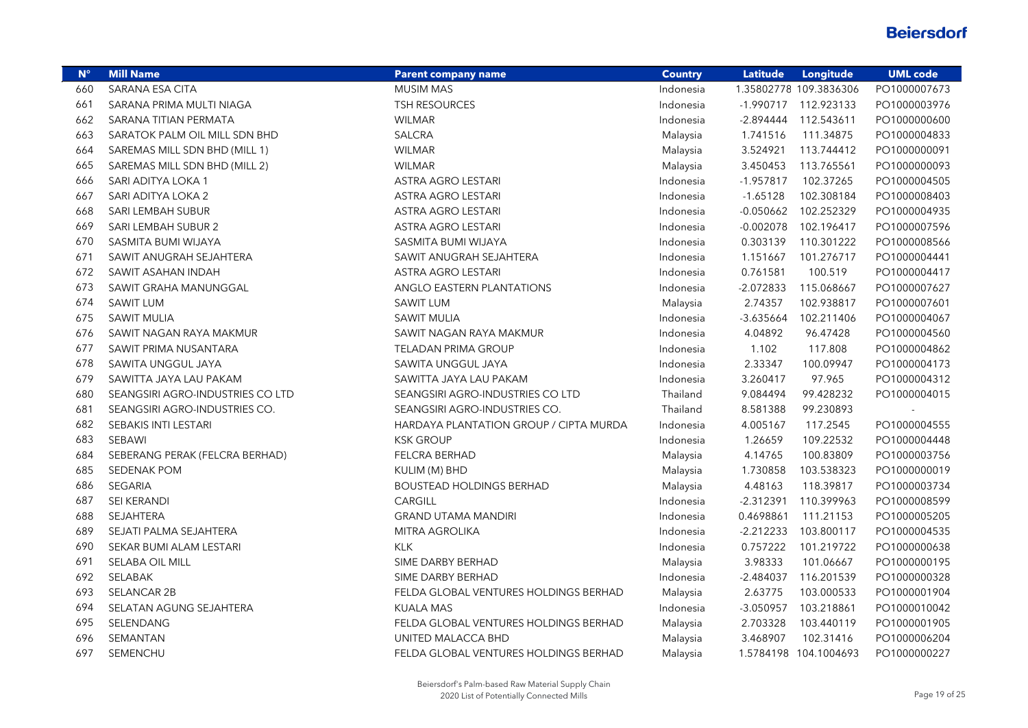| $N^{\circ}$ | <b>Mill Name</b>                 | <b>Parent company name</b>             | <b>Country</b> | <b>Latitude</b> | Longitude              | <b>UML</b> code |
|-------------|----------------------------------|----------------------------------------|----------------|-----------------|------------------------|-----------------|
| 660         | SARANA ESA CITA                  | <b>MUSIM MAS</b>                       | Indonesia      |                 | 1.35802778 109.3836306 | PO1000007673    |
| 661         | SARANA PRIMA MULTI NIAGA         | TSH RESOURCES                          | Indonesia      |                 | -1.990717 112.923133   | PO1000003976    |
| 662         | SARANA TITIAN PERMATA            | <b>WILMAR</b>                          | Indonesia      | $-2.894444$     | 112.543611             | PO1000000600    |
| 663         | SARATOK PALM OIL MILL SDN BHD    | SALCRA                                 | Malaysia       | 1.741516        | 111.34875              | PO1000004833    |
| 664         | SAREMAS MILL SDN BHD (MILL 1)    | <b>WILMAR</b>                          | Malaysia       | 3.524921        | 113.744412             | PO1000000091    |
| 665         | SAREMAS MILL SDN BHD (MILL 2)    | <b>WILMAR</b>                          | Malaysia       | 3.450453        | 113.765561             | PO1000000093    |
| 666         | SARI ADITYA LOKA 1               | <b>ASTRA AGRO LESTARI</b>              | Indonesia      | $-1.957817$     | 102.37265              | PO1000004505    |
| 667         | SARI ADITYA LOKA 2               | <b>ASTRA AGRO LESTARI</b>              | Indonesia      | $-1.65128$      | 102.308184             | PO1000008403    |
| 668         | SARI LEMBAH SUBUR                | <b>ASTRA AGRO LESTARI</b>              | Indonesia      | $-0.050662$     | 102.252329             | PO1000004935    |
| 669         | SARI LEMBAH SUBUR 2              | <b>ASTRA AGRO LESTARI</b>              | Indonesia      | $-0.002078$     | 102.196417             | PO1000007596    |
| 670         | SASMITA BUMI WIJAYA              | SASMITA BUMI WIJAYA                    | Indonesia      | 0.303139        | 110.301222             | PO1000008566    |
| 671         | SAWIT ANUGRAH SEJAHTERA          | SAWIT ANUGRAH SEJAHTERA                | Indonesia      | 1.151667        | 101.276717             | PO1000004441    |
| 672         | SAWIT ASAHAN INDAH               | <b>ASTRA AGRO LESTARI</b>              | Indonesia      | 0.761581        | 100.519                | PO1000004417    |
| 673         | SAWIT GRAHA MANUNGGAL            | ANGLO EASTERN PLANTATIONS              | Indonesia      | $-2.072833$     | 115.068667             | PO1000007627    |
| 674         | <b>SAWIT LUM</b>                 | <b>SAWIT LUM</b>                       | Malaysia       | 2.74357         | 102.938817             | PO1000007601    |
| 675         | <b>SAWIT MULIA</b>               | <b>SAWIT MULIA</b>                     | Indonesia      | $-3.635664$     | 102.211406             | PO1000004067    |
| 676         | SAWIT NAGAN RAYA MAKMUR          | SAWIT NAGAN RAYA MAKMUR                | Indonesia      | 4.04892         | 96.47428               | PO1000004560    |
| 677         | SAWIT PRIMA NUSANTARA            | <b>TELADAN PRIMA GROUP</b>             | Indonesia      | 1.102           | 117.808                | PO1000004862    |
| 678         | SAWITA UNGGUL JAYA               | SAWITA UNGGUL JAYA                     | Indonesia      | 2.33347         | 100.09947              | PO1000004173    |
| 679         | SAWITTA JAYA LAU PAKAM           | SAWITTA JAYA LAU PAKAM                 | Indonesia      | 3.260417        | 97.965                 | PO1000004312    |
| 680         | SEANGSIRI AGRO-INDUSTRIES CO LTD | SEANGSIRI AGRO-INDUSTRIES CO LTD       | Thailand       | 9.084494        | 99.428232              | PO1000004015    |
| 681         | SEANGSIRI AGRO-INDUSTRIES CO.    | SEANGSIRI AGRO-INDUSTRIES CO.          | Thailand       | 8.581388        | 99.230893              |                 |
| 682         | SEBAKIS INTI LESTARI             | HARDAYA PLANTATION GROUP / CIPTA MURDA | Indonesia      | 4.005167        | 117.2545               | PO1000004555    |
| 683         | SEBAWI                           | <b>KSK GROUP</b>                       | Indonesia      | 1.26659         | 109.22532              | PO1000004448    |
| 684         | SEBERANG PERAK (FELCRA BERHAD)   | FELCRA BERHAD                          | Malaysia       | 4.14765         | 100.83809              | PO1000003756    |
| 685         | <b>SEDENAK POM</b>               | KULIM (M) BHD                          | Malaysia       | 1.730858        | 103.538323             | PO1000000019    |
| 686         | SEGARIA                          | <b>BOUSTEAD HOLDINGS BERHAD</b>        | Malaysia       | 4.48163         | 118.39817              | PO1000003734    |
| 687         | SEI KERANDI                      | <b>CARGILL</b>                         | Indonesia      | $-2.312391$     | 110.399963             | PO1000008599    |
| 688         | SEJAHTERA                        | <b>GRAND UTAMA MANDIRI</b>             | Indonesia      | 0.4698861       | 111.21153              | PO1000005205    |
| 689         | SEJATI PALMA SEJAHTERA           | <b>MITRA AGROLIKA</b>                  | Indonesia      | $-2.212233$     | 103.800117             | PO1000004535    |
| 690         | SEKAR BUMI ALAM LESTARI          | <b>KLK</b>                             | Indonesia      | 0.757222        | 101.219722             | PO1000000638    |
| 691         | SELABA OIL MILL                  | SIME DARBY BERHAD                      | Malaysia       | 3.98333         | 101.06667              | PO1000000195    |
| 692         | SELABAK                          | SIME DARBY BERHAD                      | Indonesia      | $-2.484037$     | 116.201539             | PO1000000328    |
| 693         | SELANCAR 2B                      | FELDA GLOBAL VENTURES HOLDINGS BERHAD  | Malaysia       | 2.63775         | 103.000533             | PO1000001904    |
| 694         | SELATAN AGUNG SEJAHTERA          | <b>KUALA MAS</b>                       | Indonesia      | $-3.050957$     | 103.218861             | PO1000010042    |
| 695         | SELENDANG                        | FELDA GLOBAL VENTURES HOLDINGS BERHAD  | Malaysia       | 2.703328        | 103.440119             | PO1000001905    |
| 696         | SEMANTAN                         | UNITED MALACCA BHD                     | Malaysia       | 3.468907        | 102.31416              | PO1000006204    |
| 697         | SEMENCHU                         | FELDA GLOBAL VENTURES HOLDINGS BERHAD  | Malaysia       |                 | 1.5784198 104.1004693  | PO1000000227    |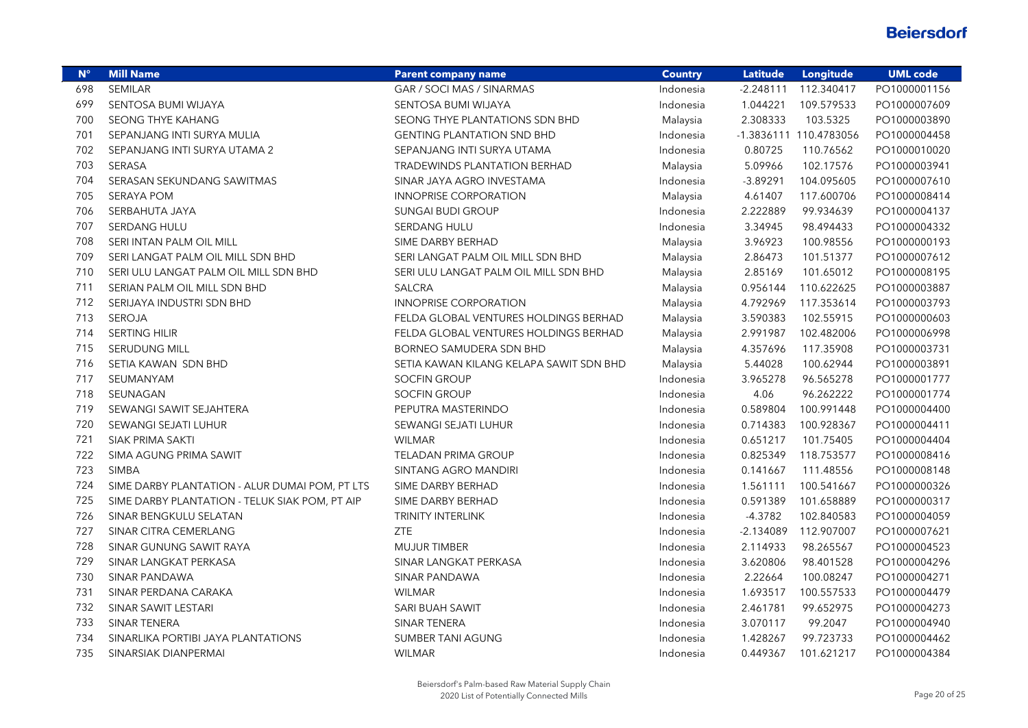| $N^{\circ}$ | <b>Mill Name</b>                               | <b>Parent company name</b>              | <b>Country</b> | <b>Latitude</b> | Longitude              | <b>UML code</b> |
|-------------|------------------------------------------------|-----------------------------------------|----------------|-----------------|------------------------|-----------------|
| 698         | <b>SEMILAR</b>                                 | GAR / SOCI MAS / SINARMAS               | Indonesia      | $-2.248111$     | 112.340417             | PO1000001156    |
| 699         | SENTOSA BUMI WIJAYA                            | SENTOSA BUMI WIJAYA                     | Indonesia      | 1.044221        | 109.579533             | PO1000007609    |
| 700         | SEONG THYE KAHANG                              | SEONG THYE PLANTATIONS SDN BHD          | Malaysia       | 2.308333        | 103.5325               | PO1000003890    |
| 701         | SEPANJANG INTI SURYA MULIA                     | <b>GENTING PLANTATION SND BHD</b>       | Indonesia      |                 | -1.3836111 110.4783056 | PO1000004458    |
| 702         | SEPANJANG INTI SURYA UTAMA 2                   | SEPANJANG INTI SURYA UTAMA              | Indonesia      | 0.80725         | 110.76562              | PO1000010020    |
| 703         | SERASA                                         | TRADEWINDS PLANTATION BERHAD            | Malaysia       | 5.09966         | 102.17576              | PO1000003941    |
| 704         | SERASAN SEKUNDANG SAWITMAS                     | SINAR JAYA AGRO INVESTAMA               | Indonesia      | $-3.89291$      | 104.095605             | PO1000007610    |
| 705         | <b>SERAYA POM</b>                              | <b>INNOPRISE CORPORATION</b>            | Malaysia       | 4.61407         | 117.600706             | PO1000008414    |
| 706         | SERBAHUTA JAYA                                 | <b>SUNGAI BUDI GROUP</b>                | Indonesia      | 2.222889        | 99.934639              | PO1000004137    |
| 707         | SERDANG HULU                                   | SERDANG HULU                            | Indonesia      | 3.34945         | 98.494433              | PO1000004332    |
| 708         | SERI INTAN PALM OIL MILL                       | SIME DARBY BERHAD                       | Malaysia       | 3.96923         | 100.98556              | PO1000000193    |
| 709         | SERI LANGAT PALM OIL MILL SDN BHD              | SERI LANGAT PALM OIL MILL SDN BHD       | Malaysia       | 2.86473         | 101.51377              | PO1000007612    |
| 710         | SERI ULU LANGAT PALM OIL MILL SDN BHD          | SERI ULU LANGAT PALM OIL MILL SDN BHD   | Malaysia       | 2.85169         | 101.65012              | PO1000008195    |
| 711         | SERIAN PALM OIL MILL SDN BHD                   | <b>SALCRA</b>                           | Malaysia       | 0.956144        | 110.622625             | PO1000003887    |
| 712         | SERIJAYA INDUSTRI SDN BHD                      | <b>INNOPRISE CORPORATION</b>            | Malaysia       | 4.792969        | 117.353614             | PO1000003793    |
| 713         | <b>SEROJA</b>                                  | FELDA GLOBAL VENTURES HOLDINGS BERHAD   | Malaysia       | 3.590383        | 102.55915              | PO1000000603    |
| 714         | <b>SERTING HILIR</b>                           | FELDA GLOBAL VENTURES HOLDINGS BERHAD   | Malaysia       | 2.991987        | 102.482006             | PO1000006998    |
| 715         | SERUDUNG MILL                                  | BORNEO SAMUDERA SDN BHD                 | Malaysia       | 4.357696        | 117.35908              | PO1000003731    |
| 716         | SETIA KAWAN SDN BHD                            | SETIA KAWAN KILANG KELAPA SAWIT SDN BHD | Malaysia       | 5.44028         | 100.62944              | PO1000003891    |
| 717         | SEUMANYAM                                      | <b>SOCFIN GROUP</b>                     | Indonesia      | 3.965278        | 96.565278              | PO1000001777    |
| 718         | SEUNAGAN                                       | SOCFIN GROUP                            | Indonesia      | 4.06            | 96.262222              | PO1000001774    |
| 719         | SEWANGI SAWIT SEJAHTERA                        | PEPUTRA MASTERINDO                      | Indonesia      | 0.589804        | 100.991448             | PO1000004400    |
| 720         | SEWANGI SEJATI LUHUR                           | SEWANGI SEJATI LUHUR                    | Indonesia      | 0.714383        | 100.928367             | PO1000004411    |
| 721         | SIAK PRIMA SAKTI                               | <b>WILMAR</b>                           | Indonesia      | 0.651217        | 101.75405              | PO1000004404    |
| 722         | SIMA AGUNG PRIMA SAWIT                         | <b>TELADAN PRIMA GROUP</b>              | Indonesia      | 0.825349        | 118.753577             | PO1000008416    |
| 723         | <b>SIMBA</b>                                   | <b>SINTANG AGRO MANDIRI</b>             | Indonesia      | 0.141667        | 111.48556              | PO1000008148    |
| 724         | SIME DARBY PLANTATION - ALUR DUMAI POM, PT LTS | SIME DARBY BERHAD                       | Indonesia      | 1.561111        | 100.541667             | PO1000000326    |
| 725         | SIME DARBY PLANTATION - TELUK SIAK POM, PT AIP | SIME DARBY BERHAD                       | Indonesia      | 0.591389        | 101.658889             | PO1000000317    |
| 726         | SINAR BENGKULU SELATAN                         | TRINITY INTERLINK                       | Indonesia      | $-4.3782$       | 102.840583             | PO1000004059    |
| 727         | SINAR CITRA CEMERLANG                          | <b>ZTE</b>                              | Indonesia      | $-2.134089$     | 112.907007             | PO1000007621    |
| 728         | SINAR GUNUNG SAWIT RAYA                        | <b>MUJUR TIMBER</b>                     | Indonesia      | 2.114933        | 98.265567              | PO1000004523    |
| 729         | SINAR LANGKAT PERKASA                          | SINAR LANGKAT PERKASA                   | Indonesia      | 3.620806        | 98.401528              | PO1000004296    |
| 730         | SINAR PANDAWA                                  | SINAR PANDAWA                           | Indonesia      | 2.22664         | 100.08247              | PO1000004271    |
| 731         | SINAR PERDANA CARAKA                           | <b>WILMAR</b>                           | Indonesia      | 1.693517        | 100.557533             | PO1000004479    |
| 732         | SINAR SAWIT LESTARI                            | SARI BUAH SAWIT                         | Indonesia      | 2.461781        | 99.652975              | PO1000004273    |
| 733         | SINAR TENERA                                   | SINAR TENERA                            | Indonesia      | 3.070117        | 99.2047                | PO1000004940    |
| 734         | SINARLIKA PORTIBI JAYA PLANTATIONS             | <b>SUMBER TANI AGUNG</b>                | Indonesia      | 1.428267        | 99.723733              | PO1000004462    |
| 735         | SINARSIAK DIANPERMAI                           | <b>WILMAR</b>                           | Indonesia      | 0.449367        | 101.621217             | PO1000004384    |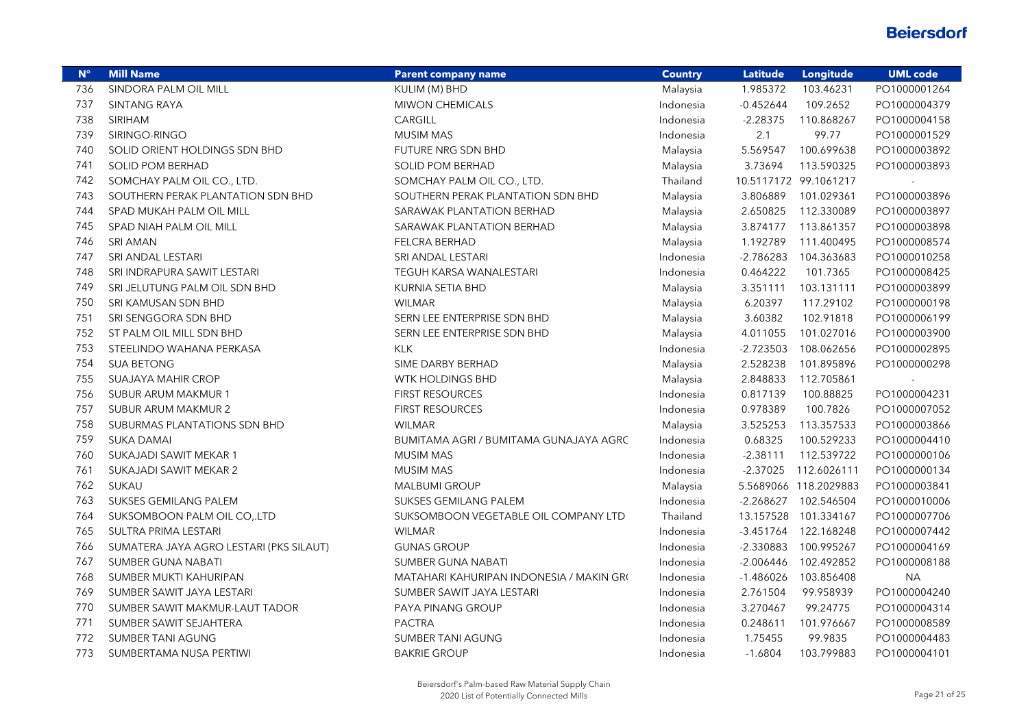| $N^{\circ}$ | <b>Mill Name</b>                        | <b>Parent company name</b>               | <b>Country</b> | <b>Latitude</b> | Longitude             | <b>UML code</b> |
|-------------|-----------------------------------------|------------------------------------------|----------------|-----------------|-----------------------|-----------------|
| 736         | SINDORA PALM OIL MILL                   | KULIM (M) BHD                            | Malaysia       | 1.985372        | 103.46231             | PO1000001264    |
| 737         | SINTANG RAYA                            | <b>MIWON CHEMICALS</b>                   | Indonesia      | $-0.452644$     | 109.2652              | PO1000004379    |
| 738         | SIRIHAM                                 | CARGILL                                  | Indonesia      | $-2.28375$      | 110.868267            | PO1000004158    |
| 739         | SIRINGO-RINGO                           | <b>MUSIM MAS</b>                         | Indonesia      | 2.1             | 99.77                 | PO1000001529    |
| 740         | SOLID ORIENT HOLDINGS SDN BHD           | FUTURE NRG SDN BHD                       | Malaysia       | 5.569547        | 100.699638            | PO1000003892    |
| 741         | SOLID POM BERHAD                        | <b>SOLID POM BERHAD</b>                  | Malaysia       | 3.73694         | 113.590325            | PO1000003893    |
| 742         | SOMCHAY PALM OIL CO., LTD.              | SOMCHAY PALM OIL CO., LTD.               | Thailand       |                 | 10.5117172 99.1061217 |                 |
| 743         | SOUTHERN PERAK PLANTATION SDN BHD       | SOUTHERN PERAK PLANTATION SDN BHD        | Malaysia       | 3.806889        | 101.029361            | PO1000003896    |
| 744         | SPAD MUKAH PALM OIL MILL                | SARAWAK PLANTATION BERHAD                | Malaysia       | 2.650825        | 112.330089            | PO1000003897    |
| 745         | SPAD NIAH PALM OIL MILL                 | SARAWAK PLANTATION BERHAD                | Malaysia       | 3.874177        | 113.861357            | PO1000003898    |
| 746         | <b>SRI AMAN</b>                         | <b>FELCRA BERHAD</b>                     | Malaysia       | 1.192789        | 111.400495            | PO1000008574    |
| 747         | SRI ANDAL LESTARI                       | SRI ANDAL LESTARI                        | Indonesia      | $-2.786283$     | 104.363683            | PO1000010258    |
| 748         | SRI INDRAPURA SAWIT LESTARI             | TEGUH KARSA WANALESTARI                  | Indonesia      | 0.464222        | 101.7365              | PO1000008425    |
| 749         | SRI JELUTUNG PALM OIL SDN BHD           | KURNIA SETIA BHD                         | Malaysia       | 3.351111        | 103.131111            | PO1000003899    |
| 750         | SRI KAMUSAN SDN BHD                     | <b>WILMAR</b>                            | Malaysia       | 6.20397         | 117.29102             | PO1000000198    |
| 751         | SRI SENGGORA SDN BHD                    | SERN LEE ENTERPRISE SDN BHD              | Malaysia       | 3.60382         | 102.91818             | PO1000006199    |
| 752         | ST PALM OIL MILL SDN BHD                | SERN LEE ENTERPRISE SDN BHD              | Malaysia       | 4.011055        | 101.027016            | PO1000003900    |
| 753         | STEELINDO WAHANA PERKASA                | <b>KLK</b>                               | Indonesia      | $-2.723503$     | 108.062656            | PO1000002895    |
| 754         | <b>SUA BETONG</b>                       | SIME DARBY BERHAD                        | Malaysia       | 2.528238        | 101.895896            | PO1000000298    |
| 755         | <b>SUAJAYA MAHIR CROP</b>               | <b>WTK HOLDINGS BHD</b>                  | Malaysia       | 2.848833        | 112.705861            |                 |
| 756         | SUBUR ARUM MAKMUR 1                     | <b>FIRST RESOURCES</b>                   | Indonesia      | 0.817139        | 100.88825             | PO1000004231    |
| 757         | SUBUR ARUM MAKMUR 2                     | <b>FIRST RESOURCES</b>                   | Indonesia      | 0.978389        | 100.7826              | PO1000007052    |
| 758         | SUBURMAS PLANTATIONS SDN BHD            | <b>WILMAR</b>                            | Malaysia       | 3.525253        | 113.357533            | PO1000003866    |
| 759         | <b>SUKA DAMAI</b>                       | BUMITAMA AGRI / BUMITAMA GUNAJAYA AGRC   | Indonesia      | 0.68325         | 100.529233            | PO1000004410    |
| 760         | SUKAJADI SAWIT MEKAR 1                  | <b>MUSIM MAS</b>                         | Indonesia      | $-2.38111$      | 112.539722            | PO1000000106    |
| 761         | SUKAJADI SAWIT MEKAR 2                  | <b>MUSIM MAS</b>                         | Indonesia      | $-2.37025$      | 112.6026111           | PO1000000134    |
| 762         | SUKAU                                   | <b>MALBUMI GROUP</b>                     | Malaysia       |                 | 5.5689066 118.2029883 | PO1000003841    |
| 763         | SUKSES GEMILANG PALEM                   | SUKSES GEMILANG PALEM                    | Indonesia      | $-2.268627$     | 102.546504            | PO1000010006    |
| 764         | SUKSOMBOON PALM OIL CO, LTD             | SUKSOMBOON VEGETABLE OIL COMPANY LTD     | Thailand       |                 | 13.157528 101.334167  | PO1000007706    |
| 765         | SULTRA PRIMA LESTARI                    | <b>WILMAR</b>                            | Indonesia      |                 | -3.451764 122.168248  | PO1000007442    |
| 766         | SUMATERA JAYA AGRO LESTARI (PKS SILAUT) | <b>GUNAS GROUP</b>                       | Indonesia      | $-2.330883$     | 100.995267            | PO1000004169    |
| 767         | SUMBER GUNA NABATI                      | SUMBER GUNA NABATI                       | Indonesia      | $-2.006446$     | 102.492852            | PO1000008188    |
| 768         | SUMBER MUKTI KAHURIPAN                  | MATAHARI KAHURIPAN INDONESIA / MAKIN GRO | Indonesia      | $-1.486026$     | 103.856408            | <b>NA</b>       |
| 769         | SUMBER SAWIT JAYA LESTARI               | SUMBER SAWIT JAYA LESTARI                | Indonesia      | 2.761504        | 99.958939             | PO1000004240    |
| 770         | SUMBER SAWIT MAKMUR-LAUT TADOR          | PAYA PINANG GROUP                        | Indonesia      | 3.270467        | 99.24775              | PO1000004314    |
| 771         | SUMBER SAWIT SEJAHTERA                  | <b>PACTRA</b>                            | Indonesia      | 0.248611        | 101.976667            | PO1000008589    |
| 772         | SUMBER TANI AGUNG                       | SUMBER TANI AGUNG                        | Indonesia      | 1.75455         | 99.9835               | PO1000004483    |
| 773         | SUMBERTAMA NUSA PERTIWI                 | <b>BAKRIE GROUP</b>                      | Indonesia      | $-1.6804$       | 103.799883            | PO1000004101    |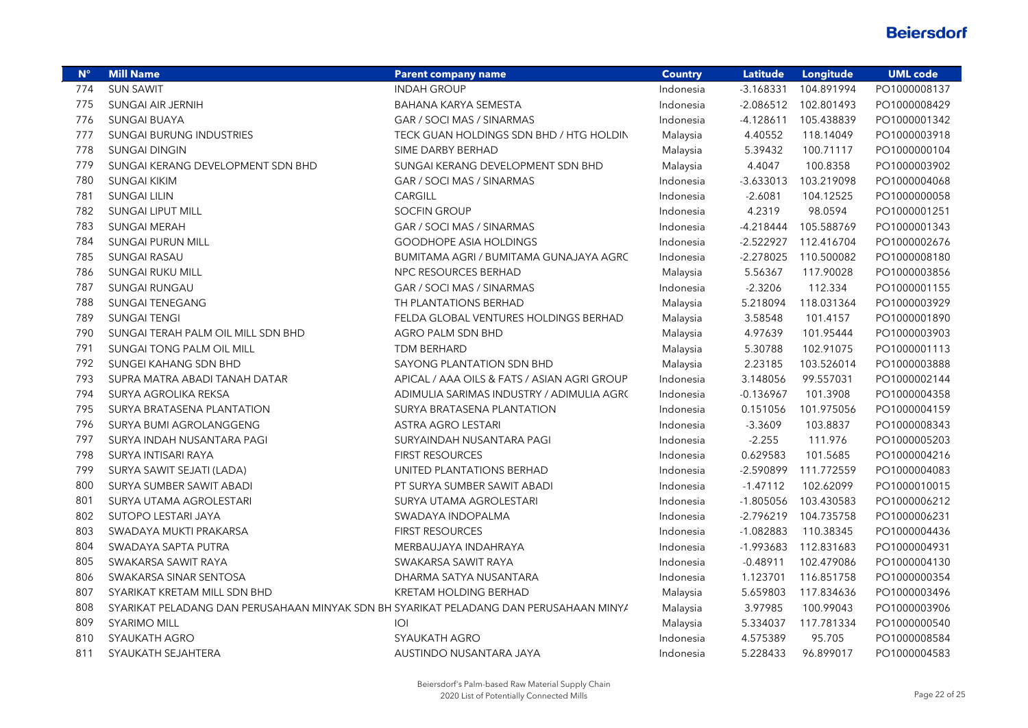| $N^{\circ}$ | <b>Mill Name</b>                                                                      | <b>Parent company name</b>                  | <b>Country</b> | <b>Latitude</b> | Longitude  | <b>UML code</b> |
|-------------|---------------------------------------------------------------------------------------|---------------------------------------------|----------------|-----------------|------------|-----------------|
| 774         | <b>SUN SAWIT</b>                                                                      | <b>INDAH GROUP</b>                          | Indonesia      | $-3.168331$     | 104.891994 | PO1000008137    |
| 775         | <b>SUNGAI AIR JERNIH</b>                                                              | BAHANA KARYA SEMESTA                        | Indonesia      | $-2.086512$     | 102.801493 | PO1000008429    |
| 776         | <b>SUNGAI BUAYA</b>                                                                   | GAR / SOCI MAS / SINARMAS                   | Indonesia      | $-4.128611$     | 105.438839 | PO1000001342    |
| 777         | <b>SUNGAI BURUNG INDUSTRIES</b>                                                       | TECK GUAN HOLDINGS SDN BHD / HTG HOLDIN     | Malaysia       | 4.40552         | 118.14049  | PO1000003918    |
| 778         | <b>SUNGAI DINGIN</b>                                                                  | SIME DARBY BERHAD                           | Malaysia       | 5.39432         | 100.71117  | PO1000000104    |
| 779         | SUNGAI KERANG DEVELOPMENT SDN BHD                                                     | SUNGAI KERANG DEVELOPMENT SDN BHD           | Malaysia       | 4.4047          | 100.8358   | PO1000003902    |
| 780         | <b>SUNGAI KIKIM</b>                                                                   | GAR / SOCI MAS / SINARMAS                   | Indonesia      | $-3.633013$     | 103.219098 | PO1000004068    |
| 781         | <b>SUNGAI LILIN</b>                                                                   | CARGILL                                     | Indonesia      | $-2.6081$       | 104.12525  | PO1000000058    |
| 782         | <b>SUNGAI LIPUT MILL</b>                                                              | <b>SOCFIN GROUP</b>                         | Indonesia      | 4.2319          | 98.0594    | PO1000001251    |
| 783         | <b>SUNGAI MERAH</b>                                                                   | GAR / SOCI MAS / SINARMAS                   | Indonesia      | $-4.218444$     | 105.588769 | PO1000001343    |
| 784         | <b>SUNGAI PURUN MILL</b>                                                              | <b>GOODHOPE ASIA HOLDINGS</b>               | Indonesia      | $-2.522927$     | 112.416704 | PO1000002676    |
| 785         | <b>SUNGAI RASAU</b>                                                                   | BUMITAMA AGRI / BUMITAMA GUNAJAYA AGRC      | Indonesia      | $-2.278025$     | 110.500082 | PO1000008180    |
| 786         | <b>SUNGAI RUKU MILL</b>                                                               | NPC RESOURCES BERHAD                        | Malaysia       | 5.56367         | 117.90028  | PO1000003856    |
| 787         | <b>SUNGAI RUNGAU</b>                                                                  | GAR / SOCI MAS / SINARMAS                   | Indonesia      | $-2.3206$       | 112.334    | PO1000001155    |
| 788         | <b>SUNGAI TENEGANG</b>                                                                | TH PLANTATIONS BERHAD                       | Malaysia       | 5.218094        | 118.031364 | PO1000003929    |
| 789         | <b>SUNGAI TENGI</b>                                                                   | FELDA GLOBAL VENTURES HOLDINGS BERHAD       | Malaysia       | 3.58548         | 101.4157   | PO1000001890    |
| 790         | SUNGAI TERAH PALM OIL MILL SDN BHD                                                    | AGRO PALM SDN BHD                           | Malaysia       | 4.97639         | 101.95444  | PO1000003903    |
| 791         | SUNGAI TONG PALM OIL MILL                                                             | TDM BERHARD                                 | Malaysia       | 5.30788         | 102.91075  | PO1000001113    |
| 792         | SUNGEI KAHANG SDN BHD                                                                 | SAYONG PLANTATION SDN BHD                   | Malaysia       | 2.23185         | 103.526014 | PO1000003888    |
| 793         | SUPRA MATRA ABADI TANAH DATAR                                                         | APICAL / AAA OILS & FATS / ASIAN AGRI GROUP | Indonesia      | 3.148056        | 99.557031  | PO1000002144    |
| 794         | SURYA AGROLIKA REKSA                                                                  | ADIMULIA SARIMAS INDUSTRY / ADIMULIA AGRO   | Indonesia      | $-0.136967$     | 101.3908   | PO1000004358    |
| 795         | SURYA BRATASENA PLANTATION                                                            | SURYA BRATASENA PLANTATION                  | Indonesia      | 0.151056        | 101.975056 | PO1000004159    |
| 796         | SURYA BUMI AGROLANGGENG                                                               | ASTRA AGRO LESTARI                          | Indonesia      | $-3.3609$       | 103.8837   | PO1000008343    |
| 797         | SURYA INDAH NUSANTARA PAGI                                                            | SURYAINDAH NUSANTARA PAGI                   | Indonesia      | $-2.255$        | 111.976    | PO1000005203    |
| 798         | SURYA INTISARI RAYA                                                                   | <b>FIRST RESOURCES</b>                      | Indonesia      | 0.629583        | 101.5685   | PO1000004216    |
| 799         | SURYA SAWIT SEJATI (LADA)                                                             | UNITED PLANTATIONS BERHAD                   | Indonesia      | $-2.590899$     | 111.772559 | PO1000004083    |
| 800         | SURYA SUMBER SAWIT ABADI                                                              | PT SURYA SUMBER SAWIT ABADI                 | Indonesia      | $-1.47112$      | 102.62099  | PO1000010015    |
| 801         | SURYA UTAMA AGROLESTARI                                                               | SURYA UTAMA AGROLESTARI                     | Indonesia      | $-1.805056$     | 103.430583 | PO1000006212    |
| 802         | SUTOPO LESTARI JAYA                                                                   | SWADAYA INDOPALMA                           | Indonesia      | $-2.796219$     | 104.735758 | PO1000006231    |
| 803         | SWADAYA MUKTI PRAKARSA                                                                | <b>FIRST RESOURCES</b>                      | Indonesia      | $-1.082883$     | 110.38345  | PO1000004436    |
| 804         | SWADAYA SAPTA PUTRA                                                                   | MERBAUJAYA INDAHRAYA                        | Indonesia      | $-1.993683$     | 112.831683 | PO1000004931    |
| 805         | SWAKARSA SAWIT RAYA                                                                   | SWAKARSA SAWIT RAYA                         | Indonesia      | $-0.48911$      | 102.479086 | PO1000004130    |
| 806         | SWAKARSA SINAR SENTOSA                                                                | DHARMA SATYA NUSANTARA                      | Indonesia      | 1.123701        | 116.851758 | PO1000000354    |
| 807         | SYARIKAT KRETAM MILL SDN BHD                                                          | <b>KRETAM HOLDING BERHAD</b>                | Malaysia       | 5.659803        | 117.834636 | PO1000003496    |
| 808         | SYARIKAT PELADANG DAN PERUSAHAAN MINYAK SDN BH SYARIKAT PELADANG DAN PERUSAHAAN MINY/ |                                             | Malaysia       | 3.97985         | 100.99043  | PO1000003906    |
| 809         | <b>SYARIMO MILL</b>                                                                   | O                                           | Malaysia       | 5.334037        | 117.781334 | PO1000000540    |
| 810         | SYAUKATH AGRO                                                                         | SYAUKATH AGRO                               | Indonesia      | 4.575389        | 95.705     | PO1000008584    |
| 811         | SYAUKATH SEJAHTERA                                                                    | AUSTINDO NUSANTARA JAYA                     | Indonesia      | 5.228433        | 96.899017  | PO1000004583    |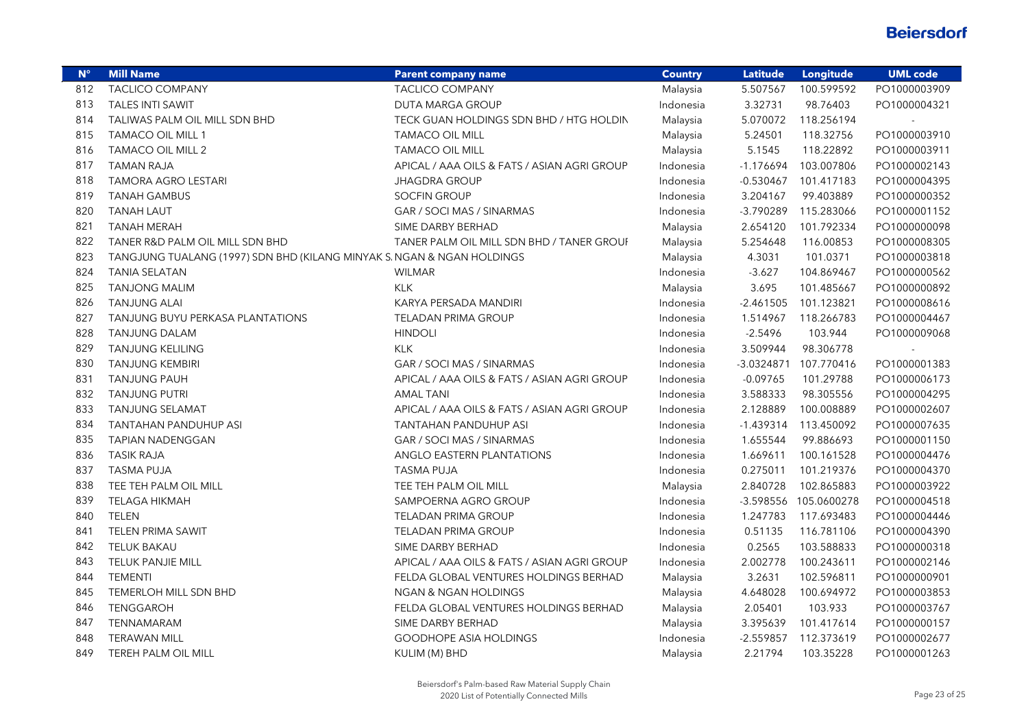| $N^{\circ}$ | <b>Mill Name</b>                                                       | <b>Parent company name</b>                  | <b>Country</b> | <b>Latitude</b> | Longitude             | <b>UML code</b> |
|-------------|------------------------------------------------------------------------|---------------------------------------------|----------------|-----------------|-----------------------|-----------------|
| 812         | <b>TACLICO COMPANY</b>                                                 | <b>TACLICO COMPANY</b>                      | Malaysia       | 5.507567        | 100.599592            | PO1000003909    |
| 813         | <b>TALES INTI SAWIT</b>                                                | DUTA MARGA GROUP                            | Indonesia      | 3.32731         | 98.76403              | PO1000004321    |
| 814         | TALIWAS PALM OIL MILL SDN BHD                                          | TECK GUAN HOLDINGS SDN BHD / HTG HOLDIN     | Malaysia       | 5.070072        | 118.256194            |                 |
| 815         | <b>TAMACO OIL MILL 1</b>                                               | <b>TAMACO OIL MILL</b>                      | Malaysia       | 5.24501         | 118.32756             | PO1000003910    |
| 816         | <b>TAMACO OIL MILL 2</b>                                               | <b>TAMACO OIL MILL</b>                      | Malaysia       | 5.1545          | 118.22892             | PO1000003911    |
| 817         | <b>TAMAN RAJA</b>                                                      | APICAL / AAA OILS & FATS / ASIAN AGRI GROUP | Indonesia      | $-1.176694$     | 103.007806            | PO1000002143    |
| 818         | <b>TAMORA AGRO LESTARI</b>                                             | <b>JHAGDRA GROUP</b>                        | Indonesia      | $-0.530467$     | 101.417183            | PO1000004395    |
| 819         | <b>TANAH GAMBUS</b>                                                    | <b>SOCFIN GROUP</b>                         | Indonesia      | 3.204167        | 99.403889             | PO1000000352    |
| 820         | <b>TANAH LAUT</b>                                                      | GAR / SOCI MAS / SINARMAS                   | Indonesia      | $-3.790289$     | 115.283066            | PO1000001152    |
| 821         | <b>TANAH MERAH</b>                                                     | SIME DARBY BERHAD                           | Malaysia       | 2.654120        | 101.792334            | PO1000000098    |
| 822         | TANER R&D PALM OIL MILL SDN BHD                                        | TANER PALM OIL MILL SDN BHD / TANER GROUI   | Malaysia       | 5.254648        | 116.00853             | PO1000008305    |
| 823         | TANGJUNG TUALANG (1997) SDN BHD (KILANG MINYAK S. NGAN & NGAN HOLDINGS |                                             | Malaysia       | 4.3031          | 101.0371              | PO1000003818    |
| 824         | <b>TANIA SELATAN</b>                                                   | <b>WILMAR</b>                               | Indonesia      | $-3.627$        | 104.869467            | PO1000000562    |
| 825         | <b>TANJONG MALIM</b>                                                   | <b>KLK</b>                                  | Malaysia       | 3.695           | 101.485667            | PO1000000892    |
| 826         | <b>TANJUNG ALAI</b>                                                    | KARYA PERSADA MANDIRI                       | Indonesia      | $-2.461505$     | 101.123821            | PO1000008616    |
| 827         | TANJUNG BUYU PERKASA PLANTATIONS                                       | <b>TELADAN PRIMA GROUP</b>                  | Indonesia      | 1.514967        | 118.266783            | PO1000004467    |
| 828         | <b>TANJUNG DALAM</b>                                                   | <b>HINDOLI</b>                              | Indonesia      | $-2.5496$       | 103.944               | PO1000009068    |
| 829         | <b>TANJUNG KELILING</b>                                                | <b>KLK</b>                                  | Indonesia      | 3.509944        | 98.306778             |                 |
| 830         | TANJUNG KEMBIRI                                                        | GAR / SOCI MAS / SINARMAS                   | Indonesia      | $-3.0324871$    | 107.770416            | PO1000001383    |
| 831         | <b>TANJUNG PAUH</b>                                                    | APICAL / AAA OILS & FATS / ASIAN AGRI GROUP | Indonesia      | $-0.09765$      | 101.29788             | PO1000006173    |
| 832         | <b>TANJUNG PUTRI</b>                                                   | <b>AMAL TANI</b>                            | Indonesia      | 3.588333        | 98.305556             | PO1000004295    |
| 833         | TANJUNG SELAMAT                                                        | APICAL / AAA OILS & FATS / ASIAN AGRI GROUP | Indonesia      | 2.128889        | 100.008889            | PO1000002607    |
| 834         | <b>TANTAHAN PANDUHUP ASI</b>                                           | TANTAHAN PANDUHUP ASI                       | Indonesia      | $-1.439314$     | 113.450092            | PO1000007635    |
| 835         | <b>TAPIAN NADENGGAN</b>                                                | GAR / SOCI MAS / SINARMAS                   | Indonesia      | 1.655544        | 99.886693             | PO1000001150    |
| 836         | <b>TASIK RAJA</b>                                                      | ANGLO EASTERN PLANTATIONS                   | Indonesia      | 1.669611        | 100.161528            | PO1000004476    |
| 837         | <b>TASMA PUJA</b>                                                      | <b>TASMA PUJA</b>                           | Indonesia      | 0.275011        | 101.219376            | PO1000004370    |
| 838         | TEE TEH PALM OIL MILL                                                  | TEE TEH PALM OIL MILL                       | Malaysia       | 2.840728        | 102.865883            | PO1000003922    |
| 839         | <b>TELAGA HIKMAH</b>                                                   | SAMPOERNA AGRO GROUP                        | Indonesia      |                 | -3.598556 105.0600278 | PO1000004518    |
| 840         | TELEN                                                                  | <b>TELADAN PRIMA GROUP</b>                  | Indonesia      |                 | 1.247783 117.693483   | PO1000004446    |
| 841         | <b>TELEN PRIMA SAWIT</b>                                               | <b>TELADAN PRIMA GROUP</b>                  | Indonesia      | 0.51135         | 116.781106            | PO1000004390    |
| 842         | <b>TELUK BAKAU</b>                                                     | SIME DARBY BERHAD                           | Indonesia      | 0.2565          | 103.588833            | PO1000000318    |
| 843         | <b>TELUK PANJIE MILL</b>                                               | APICAL / AAA OILS & FATS / ASIAN AGRI GROUP | Indonesia      | 2.002778        | 100.243611            | PO1000002146    |
| 844         | <b>TEMENTI</b>                                                         | FELDA GLOBAL VENTURES HOLDINGS BERHAD       | Malaysia       | 3.2631          | 102.596811            | PO1000000901    |
| 845         | <b>TEMERLOH MILL SDN BHD</b>                                           | NGAN & NGAN HOLDINGS                        | Malaysia       | 4.648028        | 100.694972            | PO1000003853    |
| 846         | <b>TENGGAROH</b>                                                       | FELDA GLOBAL VENTURES HOLDINGS BERHAD       | Malaysia       | 2.05401         | 103.933               | PO1000003767    |
| 847         | TENNAMARAM                                                             | SIME DARBY BERHAD                           | Malaysia       | 3.395639        | 101.417614            | PO1000000157    |
| 848         | <b>TERAWAN MILL</b>                                                    | <b>GOODHOPE ASIA HOLDINGS</b>               | Indonesia      | $-2.559857$     | 112.373619            | PO1000002677    |
| 849         | TEREH PALM OIL MILL                                                    | KULIM (M) BHD                               | Malaysia       | 2.21794         | 103.35228             | PO1000001263    |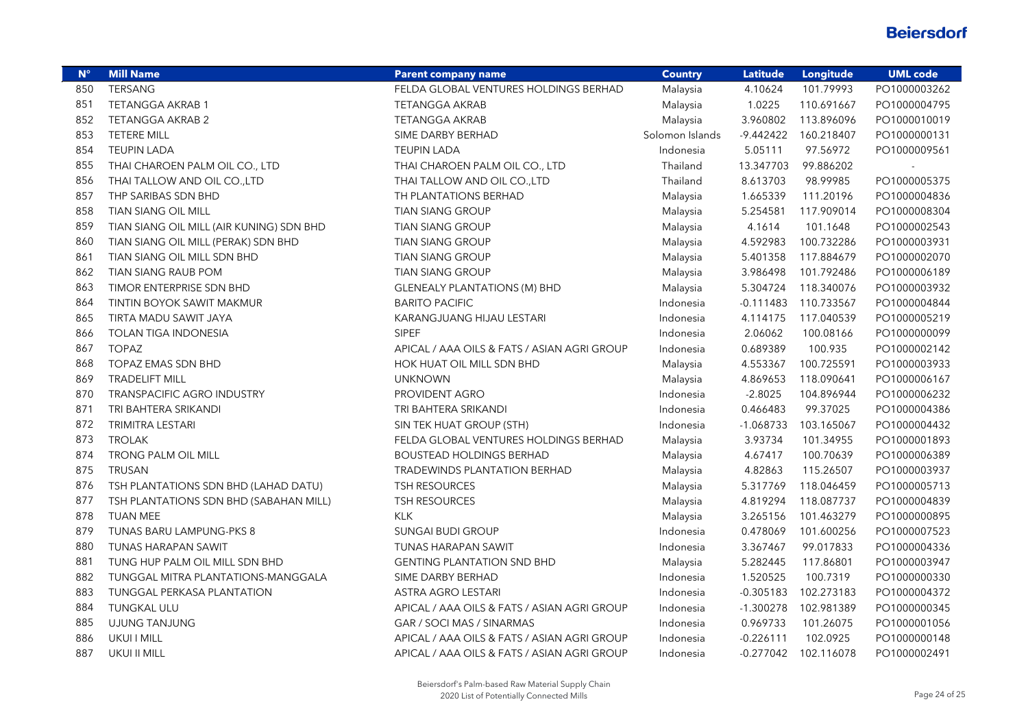| $N^{\circ}$ | <b>Mill Name</b>                         | <b>Parent company name</b>                  | <b>Country</b>  | <b>Latitude</b> | Longitude            | <b>UML</b> code |
|-------------|------------------------------------------|---------------------------------------------|-----------------|-----------------|----------------------|-----------------|
| 850         | <b>TERSANG</b>                           | FELDA GLOBAL VENTURES HOLDINGS BERHAD       | Malaysia        | 4.10624         | 101.79993            | PO1000003262    |
| 851         | <b>TETANGGA AKRAB 1</b>                  | <b>TETANGGA AKRAB</b>                       | Malaysia        | 1.0225          | 110.691667           | PO1000004795    |
| 852         | <b>TETANGGA AKRAB 2</b>                  | <b>TETANGGA AKRAB</b>                       | Malaysia        | 3.960802        | 113.896096           | PO1000010019    |
| 853         | <b>TETERE MILL</b>                       | SIME DARBY BERHAD                           | Solomon Islands | $-9.442422$     | 160.218407           | PO1000000131    |
| 854         | <b>TEUPIN LADA</b>                       | <b>TEUPIN LADA</b>                          | Indonesia       | 5.05111         | 97.56972             | PO1000009561    |
| 855         | THAI CHAROEN PALM OIL CO., LTD           | THAI CHAROEN PALM OIL CO., LTD              | Thailand        | 13.347703       | 99.886202            |                 |
| 856         | THAI TALLOW AND OIL CO., LTD             | THAI TALLOW AND OIL CO., LTD                | Thailand        | 8.613703        | 98.99985             | PO1000005375    |
| 857         | THP SARIBAS SDN BHD                      | TH PLANTATIONS BERHAD                       | Malaysia        | 1.665339        | 111.20196            | PO1000004836    |
| 858         | <b>TIAN SIANG OIL MILL</b>               | <b>TIAN SIANG GROUP</b>                     | Malaysia        | 5.254581        | 117.909014           | PO1000008304    |
| 859         | TIAN SIANG OIL MILL (AIR KUNING) SDN BHD | <b>TIAN SIANG GROUP</b>                     | Malaysia        | 4.1614          | 101.1648             | PO1000002543    |
| 860         | TIAN SIANG OIL MILL (PERAK) SDN BHD      | <b>TIAN SIANG GROUP</b>                     | Malaysia        | 4.592983        | 100.732286           | PO1000003931    |
| 861         | TIAN SIANG OIL MILL SDN BHD              | <b>TIAN SIANG GROUP</b>                     | Malaysia        | 5.401358        | 117.884679           | PO1000002070    |
| 862         | TIAN SIANG RAUB POM                      | <b>TIAN SIANG GROUP</b>                     | Malaysia        | 3.986498        | 101.792486           | PO1000006189    |
| 863         | TIMOR ENTERPRISE SDN BHD                 | <b>GLENEALY PLANTATIONS (M) BHD</b>         | Malaysia        | 5.304724        | 118.340076           | PO1000003932    |
| 864         | TINTIN BOYOK SAWIT MAKMUR                | <b>BARITO PACIFIC</b>                       | Indonesia       | $-0.111483$     | 110.733567           | PO1000004844    |
| 865         | TIRTA MADU SAWIT JAYA                    | KARANGJUANG HIJAU LESTARI                   | Indonesia       | 4.114175        | 117.040539           | PO1000005219    |
| 866         | <b>TOLAN TIGA INDONESIA</b>              | <b>SIPEF</b>                                | Indonesia       | 2.06062         | 100.08166            | PO1000000099    |
| 867         | <b>TOPAZ</b>                             | APICAL / AAA OILS & FATS / ASIAN AGRI GROUP | Indonesia       | 0.689389        | 100.935              | PO1000002142    |
| 868         | TOPAZ EMAS SDN BHD                       | HOK HUAT OIL MILL SDN BHD                   | Malaysia        | 4.553367        | 100.725591           | PO1000003933    |
| 869         | <b>TRADELIFT MILL</b>                    | <b>UNKNOWN</b>                              | Malaysia        | 4.869653        | 118.090641           | PO1000006167    |
| 870         | TRANSPACIFIC AGRO INDUSTRY               | PROVIDENT AGRO                              | Indonesia       | $-2.8025$       | 104.896944           | PO1000006232    |
| 871         | TRI BAHTERA SRIKANDI                     | TRI BAHTERA SRIKANDI                        | Indonesia       | 0.466483        | 99.37025             | PO1000004386    |
| 872         | <b>TRIMITRA LESTARI</b>                  | SIN TEK HUAT GROUP (STH)                    | Indonesia       | $-1.068733$     | 103.165067           | PO1000004432    |
| 873         | <b>TROLAK</b>                            | FELDA GLOBAL VENTURES HOLDINGS BERHAD       | Malaysia        | 3.93734         | 101.34955            | PO1000001893    |
| 874         | <b>TRONG PALM OIL MILL</b>               | <b>BOUSTEAD HOLDINGS BERHAD</b>             | Malaysia        | 4.67417         | 100.70639            | PO1000006389    |
| 875         | <b>TRUSAN</b>                            | TRADEWINDS PLANTATION BERHAD                | Malaysia        | 4.82863         | 115.26507            | PO1000003937    |
| 876         | TSH PLANTATIONS SDN BHD (LAHAD DATU)     | TSH RESOURCES                               | Malaysia        | 5.317769        | 118.046459           | PO1000005713    |
| 877         | TSH PLANTATIONS SDN BHD (SABAHAN MILL)   | <b>TSH RESOURCES</b>                        | Malaysia        | 4.819294        | 118.087737           | PO1000004839    |
| 878         | <b>TUAN MEE</b>                          | <b>KLK</b>                                  | Malaysia        | 3.265156        | 101.463279           | PO1000000895    |
| 879         | TUNAS BARU LAMPUNG-PKS 8                 | <b>SUNGAI BUDI GROUP</b>                    | Indonesia       | 0.478069        | 101.600256           | PO1000007523    |
| 880         | TUNAS HARAPAN SAWIT                      | <b>TUNAS HARAPAN SAWIT</b>                  | Indonesia       | 3.367467        | 99.017833            | PO1000004336    |
| 881         | TUNG HUP PALM OIL MILL SDN BHD           | <b>GENTING PLANTATION SND BHD</b>           | Malaysia        | 5.282445        | 117.86801            | PO1000003947    |
| 882         | TUNGGAL MITRA PLANTATIONS-MANGGALA       | SIME DARBY BERHAD                           | Indonesia       | 1.520525        | 100.7319             | PO1000000330    |
| 883         | TUNGGAL PERKASA PLANTATION               | ASTRA AGRO LESTARI                          | Indonesia       | $-0.305183$     | 102.273183           | PO1000004372    |
| 884         | TUNGKAL ULU                              | APICAL / AAA OILS & FATS / ASIAN AGRI GROUP | Indonesia       | $-1.300278$     | 102.981389           | PO1000000345    |
| 885         | <b>UJUNG TANJUNG</b>                     | GAR / SOCI MAS / SINARMAS                   | Indonesia       | 0.969733        | 101.26075            | PO1000001056    |
| 886         | UKUI I MILL                              | APICAL / AAA OILS & FATS / ASIAN AGRI GROUP | Indonesia       | $-0.226111$     | 102.0925             | PO1000000148    |
| 887         | UKUI II MILL                             | APICAL / AAA OILS & FATS / ASIAN AGRI GROUP | Indonesia       |                 | -0.277042 102.116078 | PO1000002491    |